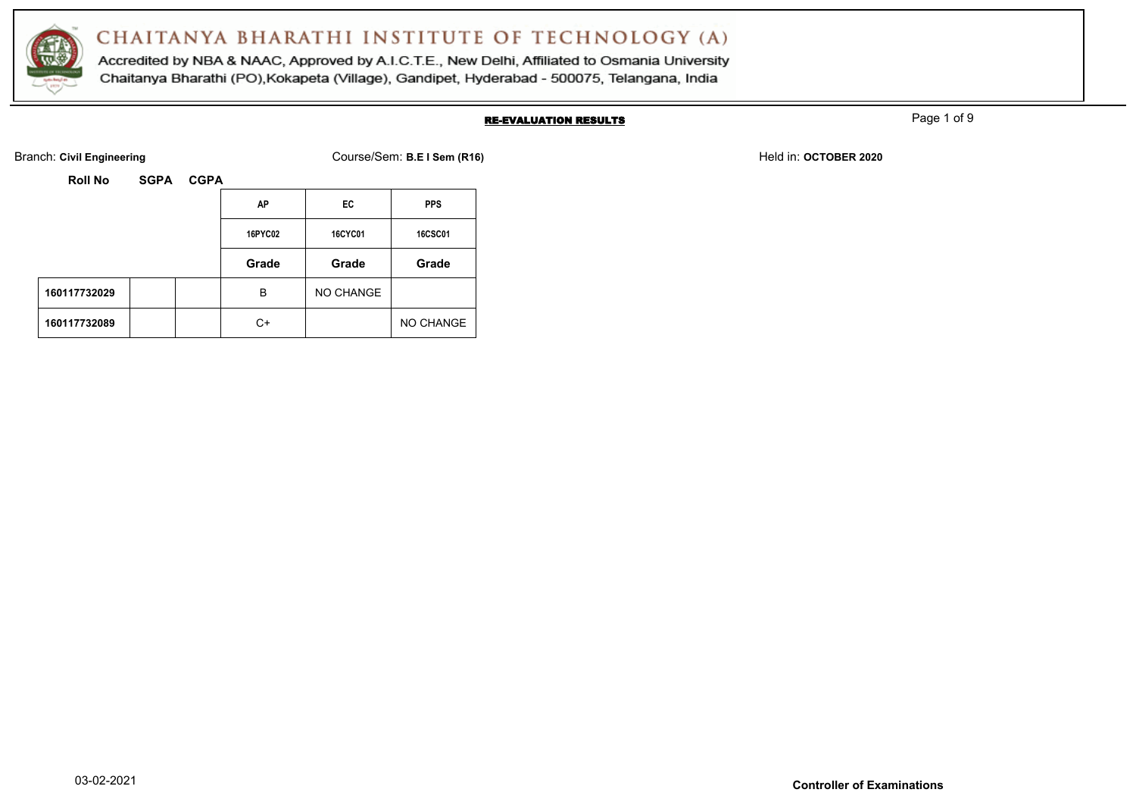

Accredited by NBA & NAAC, Approved by A.I.C.T.E., New Delhi, Affiliated to Osmania University Chaitanya Bharathi (PO), Kokapeta (Village), Gandipet, Hyderabad - 500075, Telangana, India

#### RE-EVALUATION RESULTS

Page 1 of 9

Branch: Civil Engineering **COULS EXECUTE:** Course/Sem: B.E I Sem (R16) Held in: OCTOBER 2020

|              |  | ΑP      | EC      | <b>PPS</b>     |           |
|--------------|--|---------|---------|----------------|-----------|
|              |  | 16PYC02 | 16CYC01 | <b>16CSC01</b> |           |
|              |  |         | Grade   | Grade          | Grade     |
| 160117732029 |  |         | B       | NO CHANGE      |           |
| 160117732089 |  |         | C+      |                | NO CHANGE |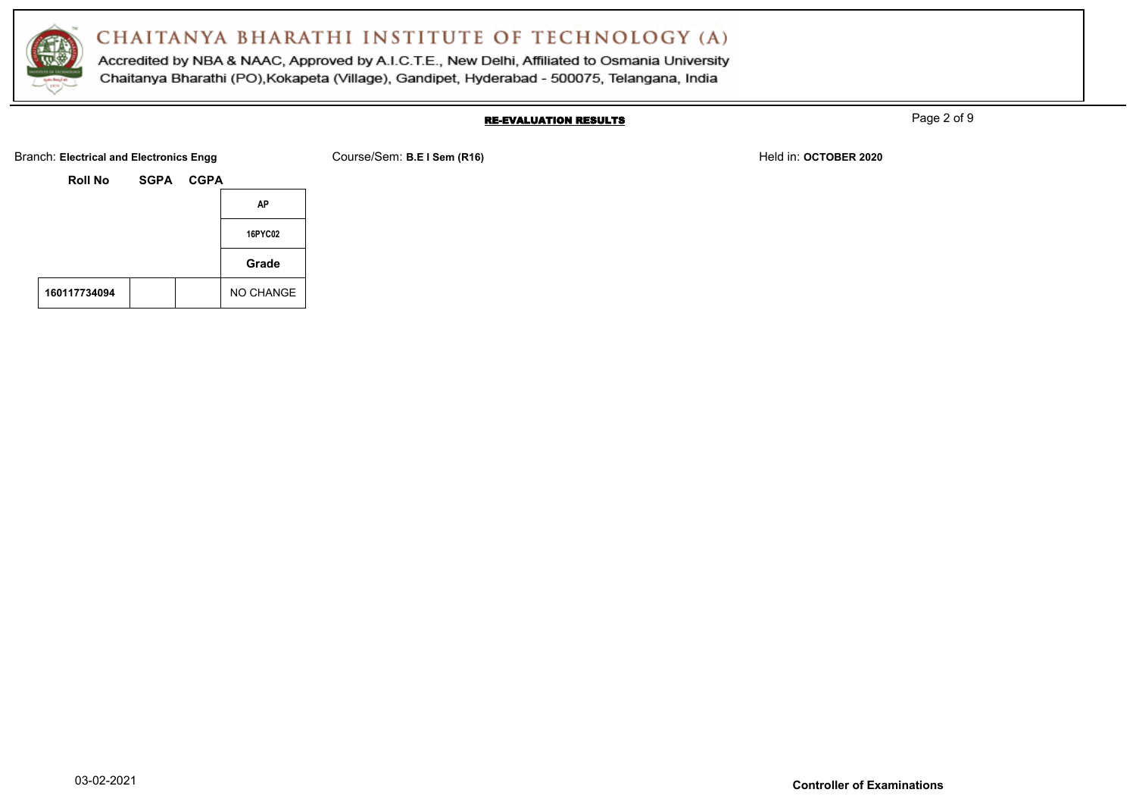

Accredited by NBA & NAAC, Approved by A.I.C.T.E., New Delhi, Affiliated to Osmania University Chaitanya Bharathi (PO), Kokapeta (Village), Gandipet, Hyderabad - 500075, Telangana, India

#### RE-EVALUATION RESULTS

Page 2 of 9

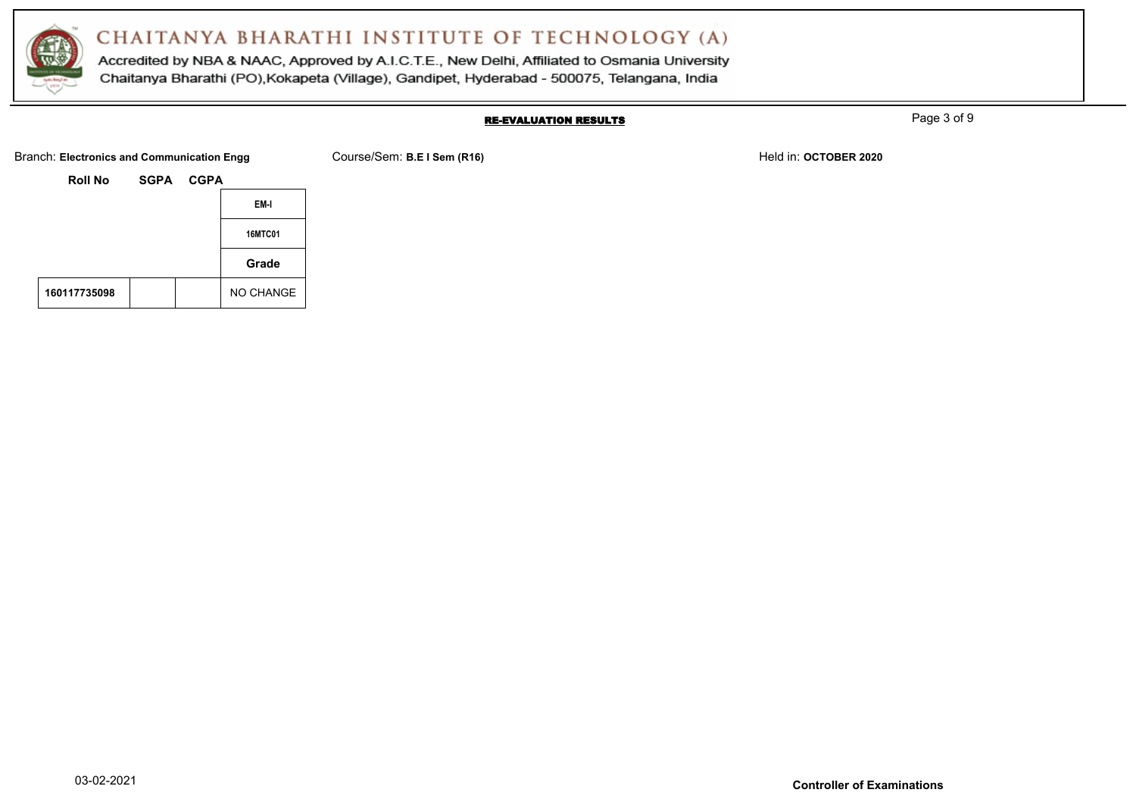

Accredited by NBA & NAAC, Approved by A.I.C.T.E., New Delhi, Affiliated to Osmania University Chaitanya Bharathi (PO), Kokapeta (Village), Gandipet, Hyderabad - 500075, Telangana, India

#### RE-EVALUATION RESULTS

Page 3 of 9

Branch: Electronics and Communication Engg Course/Sem: B.E I Sem (R16) Held in: OCTOBER 2020

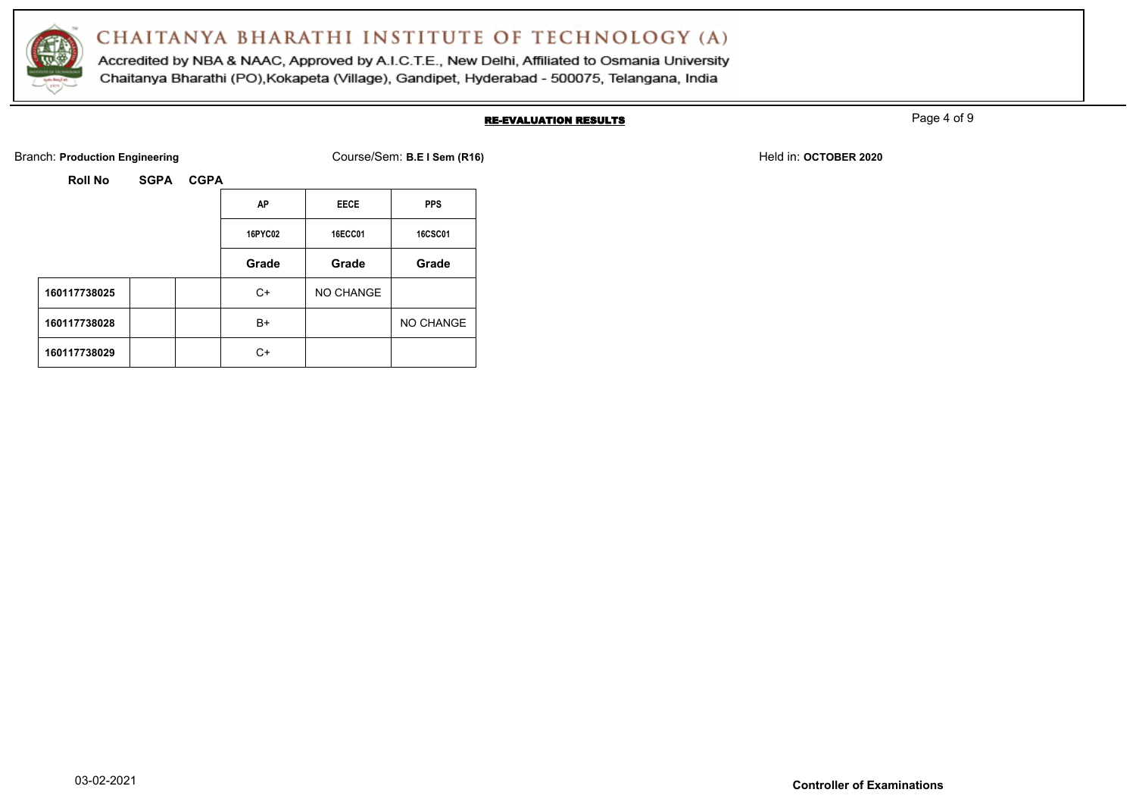

Accredited by NBA & NAAC, Approved by A.I.C.T.E., New Delhi, Affiliated to Osmania University Chaitanya Bharathi (PO), Kokapeta (Village), Gandipet, Hyderabad - 500075, Telangana, India

#### RE-EVALUATION RESULTS

Page 4 of 9

Branch: **Production Engineering Course/Sem: B.E I Sem (R16)** Branch: **Production Engineering Held in: OCTOBER 2020** 

| Roll No | <b>SGPA</b> | <b>CGPA</b> |
|---------|-------------|-------------|
|         |             |             |

|              | AP      | <b>EECE</b> | <b>PPS</b>     |
|--------------|---------|-------------|----------------|
|              | 16PYC02 | 16ECC01     | <b>16CSC01</b> |
|              | Grade   | Grade       | Grade          |
| 160117738025 | C+      | NO CHANGE   |                |
| 160117738028 | B+      |             | NO CHANGE      |
| 160117738029 | C+      |             |                |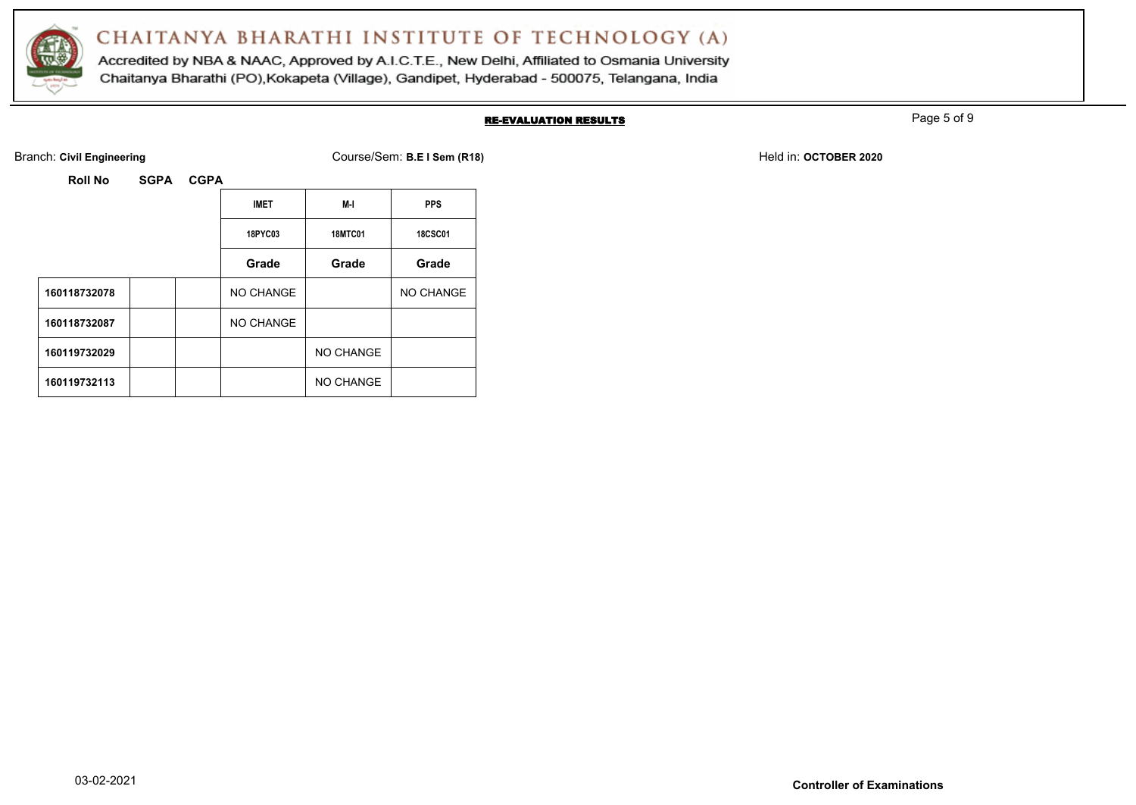

Accredited by NBA & NAAC, Approved by A.I.C.T.E., New Delhi, Affiliated to Osmania University Chaitanya Bharathi (PO), Kokapeta (Village), Gandipet, Hyderabad - 500075, Telangana, India

#### RE-EVALUATION RESULTS

Page 5 of 9

Branch: Civil Engineering **COULS EXECUTE:** Course/Sem: B.E I Sem (R18) Held in: OCTOBER 2020

| <b>SGPA</b><br>Roll No |
|------------------------|
|                        |

|              |  |                | <b>IMET</b>      | M-I            | <b>PPS</b> |
|--------------|--|----------------|------------------|----------------|------------|
|              |  | <b>18PYC03</b> | <b>18MTC01</b>   | <b>18CSC01</b> |            |
|              |  |                | Grade            | Grade          | Grade      |
| 160118732078 |  |                | NO CHANGE        |                | NO CHANGE  |
| 160118732087 |  |                | <b>NO CHANGE</b> |                |            |
| 160119732029 |  |                |                  | NO CHANGE      |            |
| 160119732113 |  |                |                  | NO CHANGE      |            |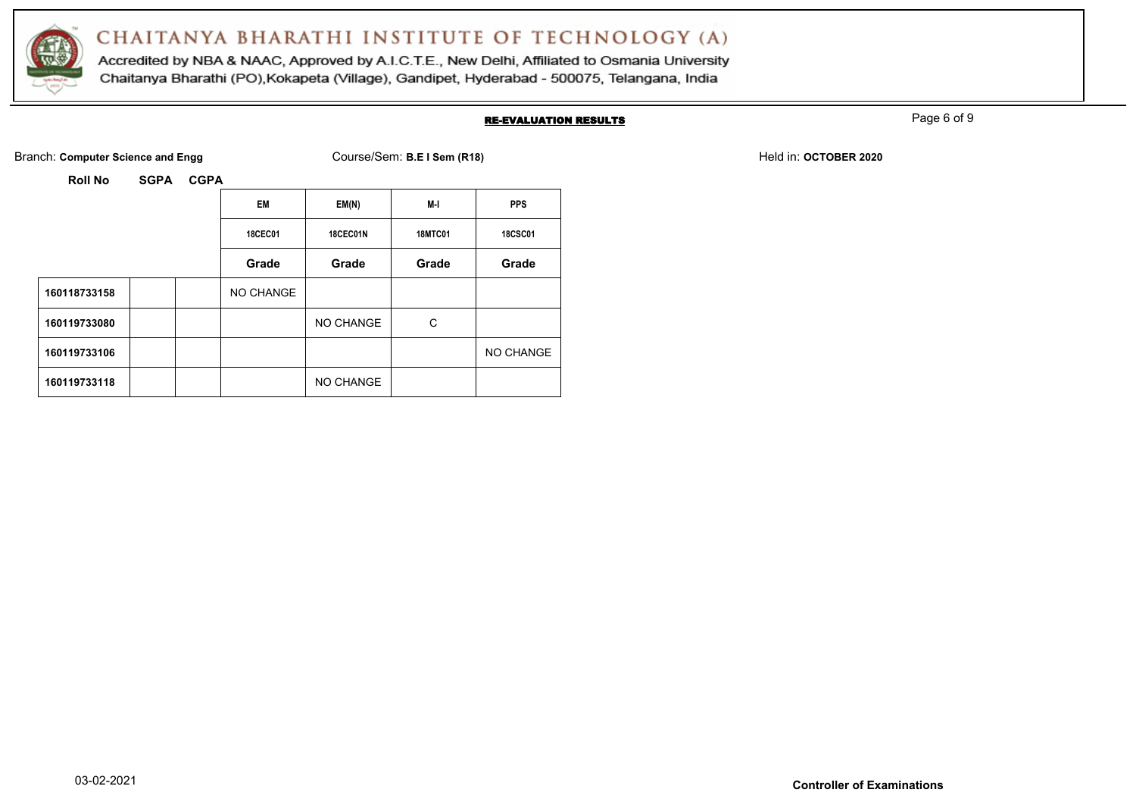

Accredited by NBA & NAAC, Approved by A.I.C.T.E., New Delhi, Affiliated to Osmania University Chaitanya Bharathi (PO), Kokapeta (Village), Gandipet, Hyderabad - 500075, Telangana, India

#### RE-EVALUATION RESULTS

Page 6 of 9

Branch: **Computer Science and Engg** Course/Sem: **B.E I Sem (R18)** Held in: **OCTOBER 2020** Held in: **OCTOBER 2020** 

|              | <b>EM</b>      | EM(N)     | M-I            | <b>PPS</b>     |
|--------------|----------------|-----------|----------------|----------------|
|              | <b>18CEC01</b> | 18CEC01N  | <b>18MTC01</b> | <b>18CSC01</b> |
|              | Grade          | Grade     | Grade          | Grade          |
| 160118733158 | NO CHANGE      |           |                |                |
| 160119733080 |                | NO CHANGE | C              |                |
| 160119733106 |                |           |                | NO CHANGE      |
| 160119733118 |                | NO CHANGE |                |                |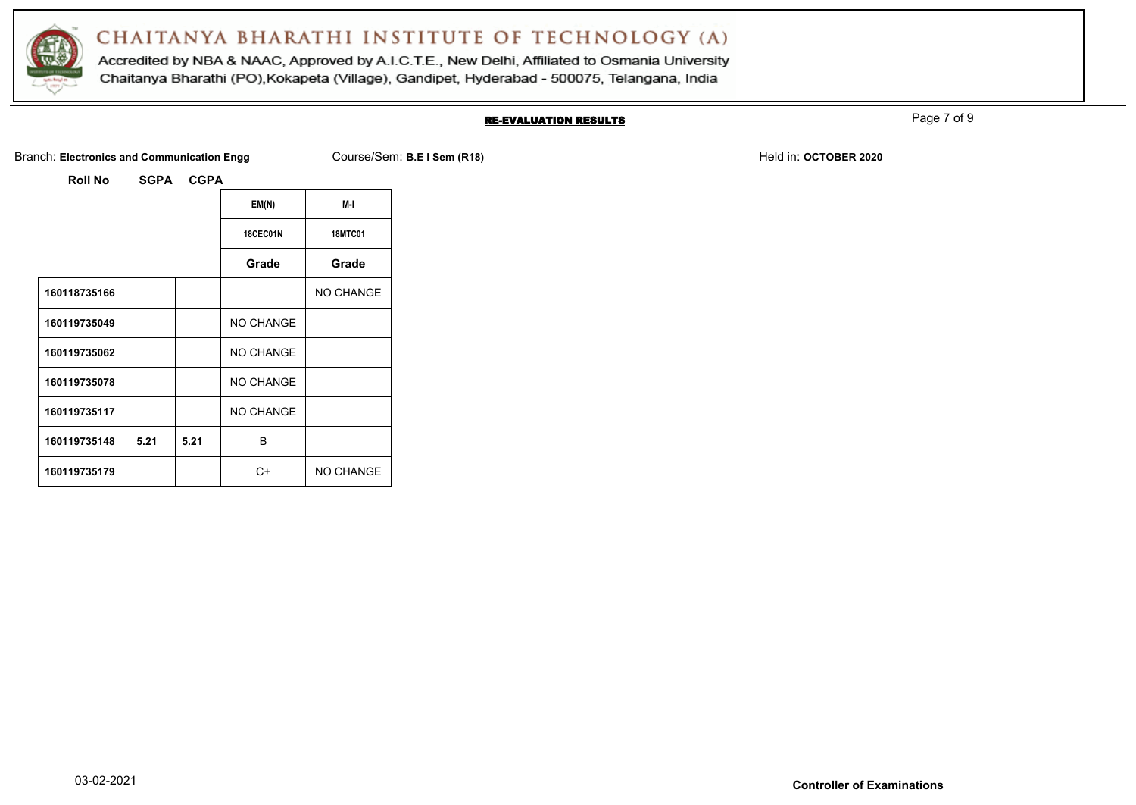

Accredited by NBA & NAAC, Approved by A.I.C.T.E., New Delhi, Affiliated to Osmania University Chaitanya Bharathi (PO), Kokapeta (Village), Gandipet, Hyderabad - 500075, Telangana, India

#### RE-EVALUATION RESULTS

Page 7 of 9

Branch: Electronics and Communication Engg Course/Sem: B.E I Sem (R18) Held in: OCTOBER 2020

|  | Tanon. Electronics and communication En |  |
|--|-----------------------------------------|--|
|  |                                         |  |
|  |                                         |  |

|              |      |      | EM(N)            | M-I              |
|--------------|------|------|------------------|------------------|
|              |      |      | 18CEC01N         | <b>18MTC01</b>   |
|              |      |      | Grade            | Grade            |
| 160118735166 |      |      |                  | <b>NO CHANGE</b> |
| 160119735049 |      |      | NO CHANGE        |                  |
| 160119735062 |      |      | <b>NO CHANGE</b> |                  |
| 160119735078 |      |      | NO CHANGE        |                  |
| 160119735117 |      |      | <b>NO CHANGE</b> |                  |
| 160119735148 | 5.21 | 5.21 | B                |                  |
| 160119735179 |      |      | C+               | <b>NO CHANGE</b> |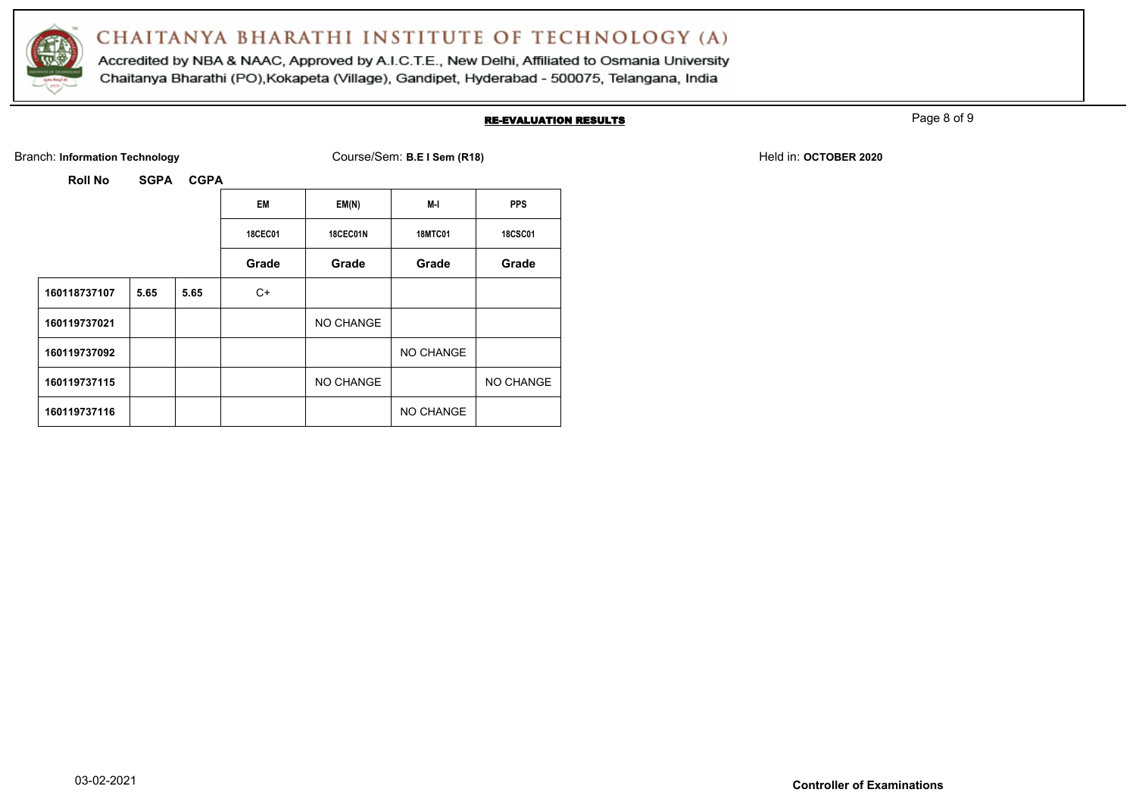

Accredited by NBA & NAAC, Approved by A.I.C.T.E., New Delhi, Affiliated to Osmania University Chaitanya Bharathi (PO), Kokapeta (Village), Gandipet, Hyderabad - 500075, Telangana, India

#### RE-EVALUATION RESULTS

Page 8 of 9

Branch: Information Technology **Course/Sem: B.E I Sem (R18)** Branch: Information Technology Held in: **OCTOBER 2020** 

|              |      |      | <b>EM</b>      | EM(N)           | M-I            | <b>PPS</b>     |
|--------------|------|------|----------------|-----------------|----------------|----------------|
|              |      |      | <b>18CEC01</b> | <b>18CEC01N</b> | <b>18MTC01</b> | <b>18CSC01</b> |
|              |      |      | Grade          | Grade           | Grade          | Grade          |
| 160118737107 | 5.65 | 5.65 | C+             |                 |                |                |
| 160119737021 |      |      |                | NO CHANGE       |                |                |
| 160119737092 |      |      |                |                 | NO CHANGE      |                |
| 160119737115 |      |      |                | NO CHANGE       |                | NO CHANGE      |
| 160119737116 |      |      |                |                 | NO CHANGE      |                |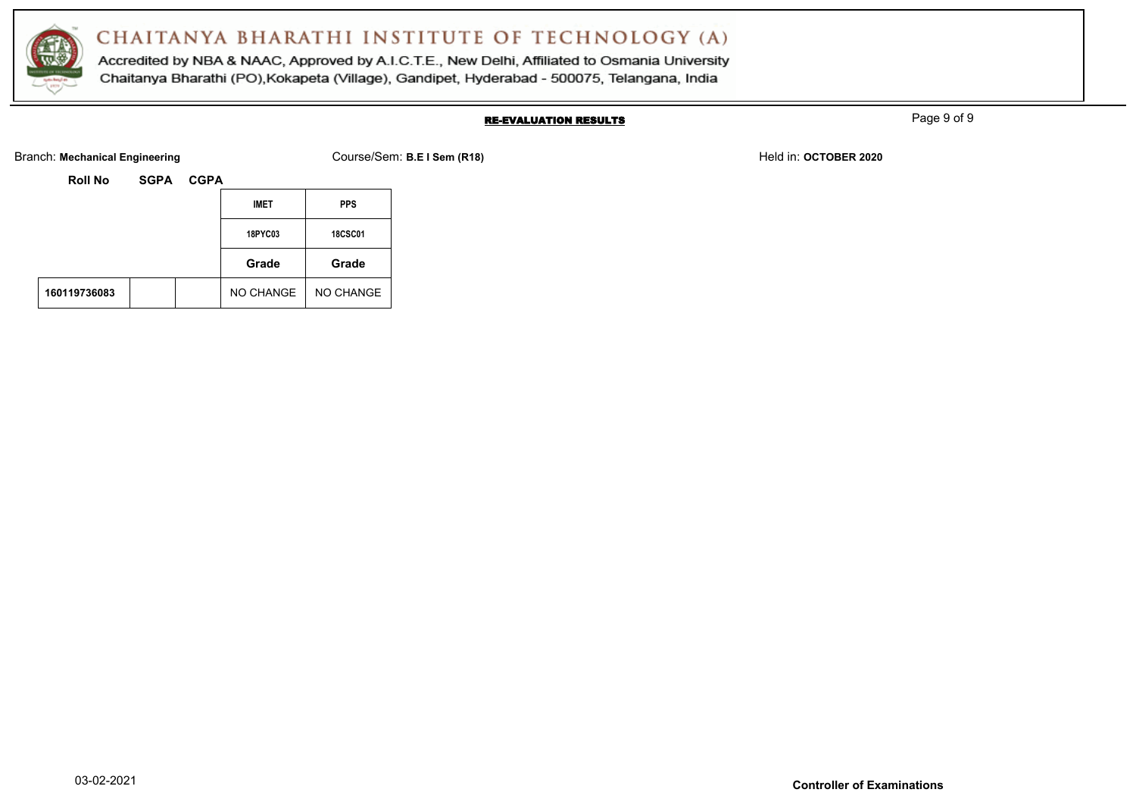

Accredited by NBA & NAAC, Approved by A.I.C.T.E., New Delhi, Affiliated to Osmania University Chaitanya Bharathi (PO), Kokapeta (Village), Gandipet, Hyderabad - 500075, Telangana, India

### RE-EVALUATION RESULTS

Page 9 of 9

Branch: Mechanical Engineering **Course/Sem: B.E I Sem (R18)** Branch: Mechanical Engineering **Held in: OCTOBER 2020** 

| <b>Roll No</b> | <b>SGPA</b> | <b>CGPA</b> |                |                |
|----------------|-------------|-------------|----------------|----------------|
|                |             |             | <b>IMET</b>    | <b>PPS</b>     |
|                |             |             | <b>18PYC03</b> | <b>18CSC01</b> |
|                |             |             | Grade          | Grade          |
| 160119736083   |             |             | NO CHANGE      | NO CHANGE      |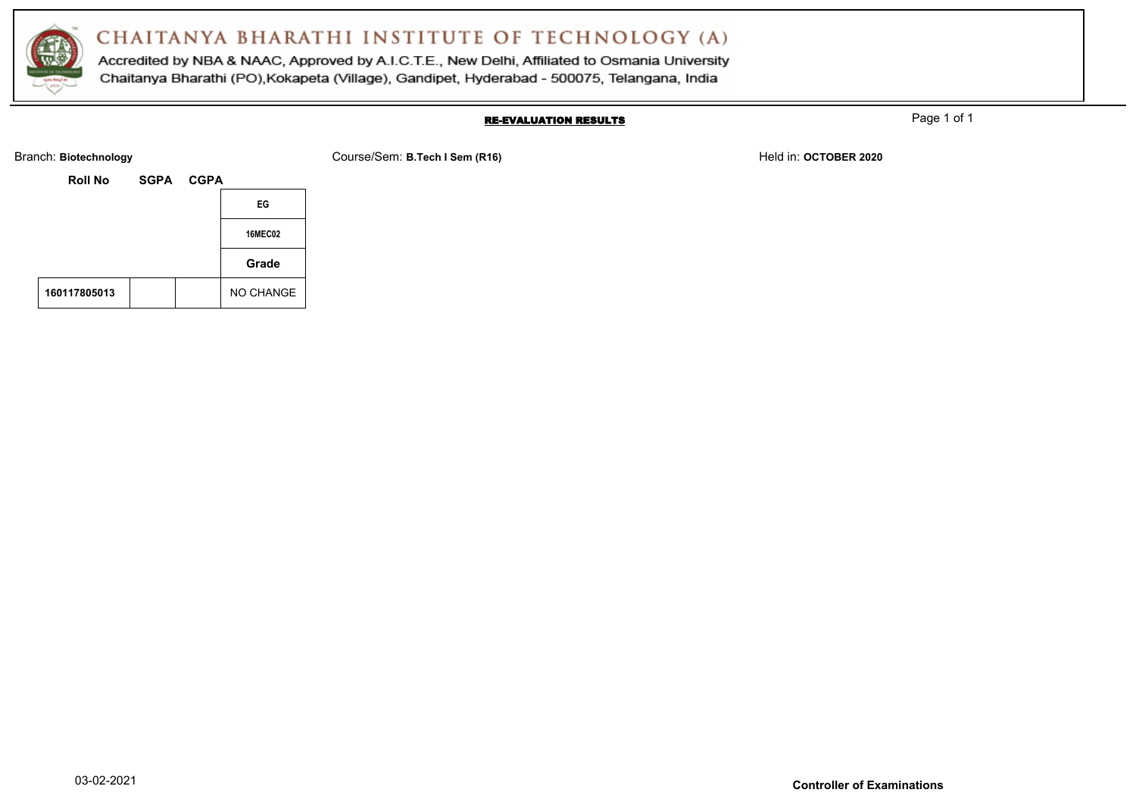

Accredited by NBA & NAAC, Approved by A.I.C.T.E., New Delhi, Affiliated to Osmania University Chaitanya Bharathi (PO), Kokapeta (Village), Gandipet, Hyderabad - 500075, Telangana, India

#### RE-EVALUATION RESULTS

Page 1 of 1

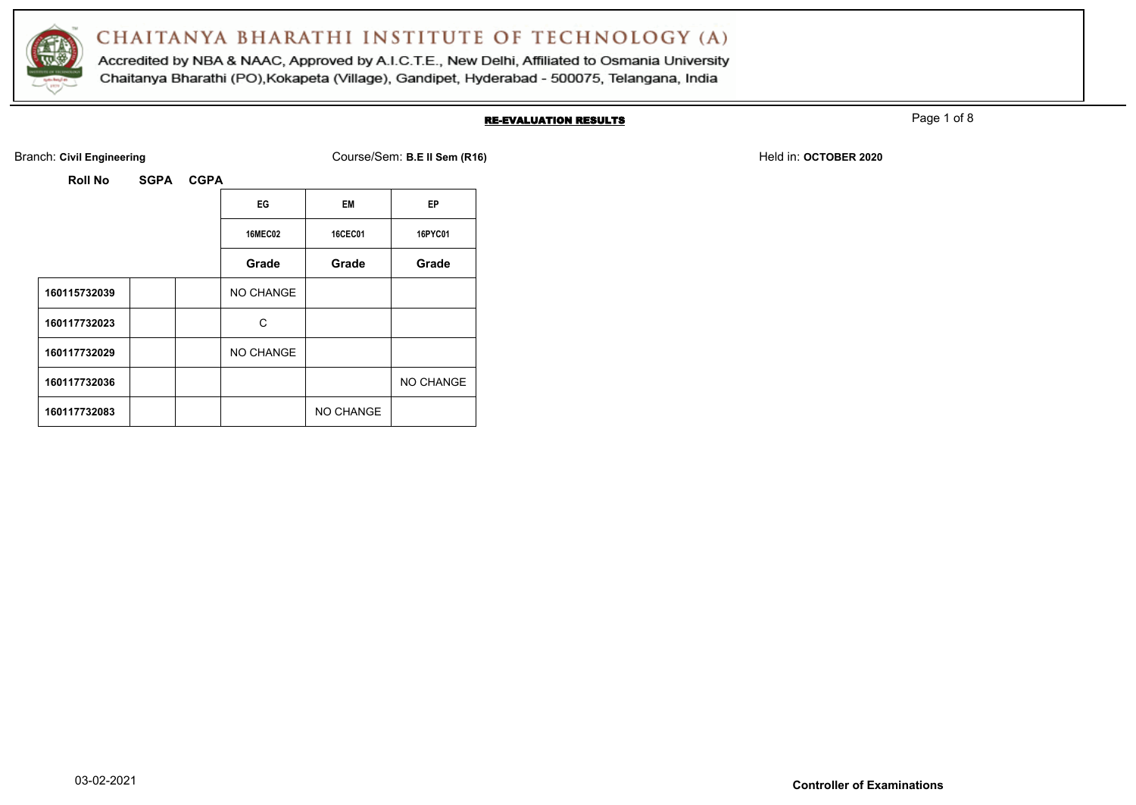

Accredited by NBA & NAAC, Approved by A.I.C.T.E., New Delhi, Affiliated to Osmania University Chaitanya Bharathi (PO), Kokapeta (Village), Gandipet, Hyderabad - 500075, Telangana, India

#### RE-EVALUATION RESULTS

Page 1 of 8

**Roll No SGPA CGPA**

Branch: Civil Engineering **COULS EXECUTE: A COULS EXECUTE: COURSE/Sem: B.E II Sem (R16)** Held in: OCTOBER 2020

**16MEC02 16CEC01 16PYC01**

**Grade Grade Grade**

|              |  | EG             | EM             | EP                |
|--------------|--|----------------|----------------|-------------------|
|              |  | <b>16MEC02</b> | <b>16CEC01</b> | 16PY <sub>(</sub> |
|              |  | Grade          | Grade          | Gra               |
| 160115732039 |  | NO CHANGE      |                |                   |
| 160117732023 |  | C              |                |                   |
|              |  |                |                |                   |

160117732083 | | | | NO CHANGE

160117732036 **No. 2012 19:00 NO CHANGE** 

160117732029 **NO CHANGE**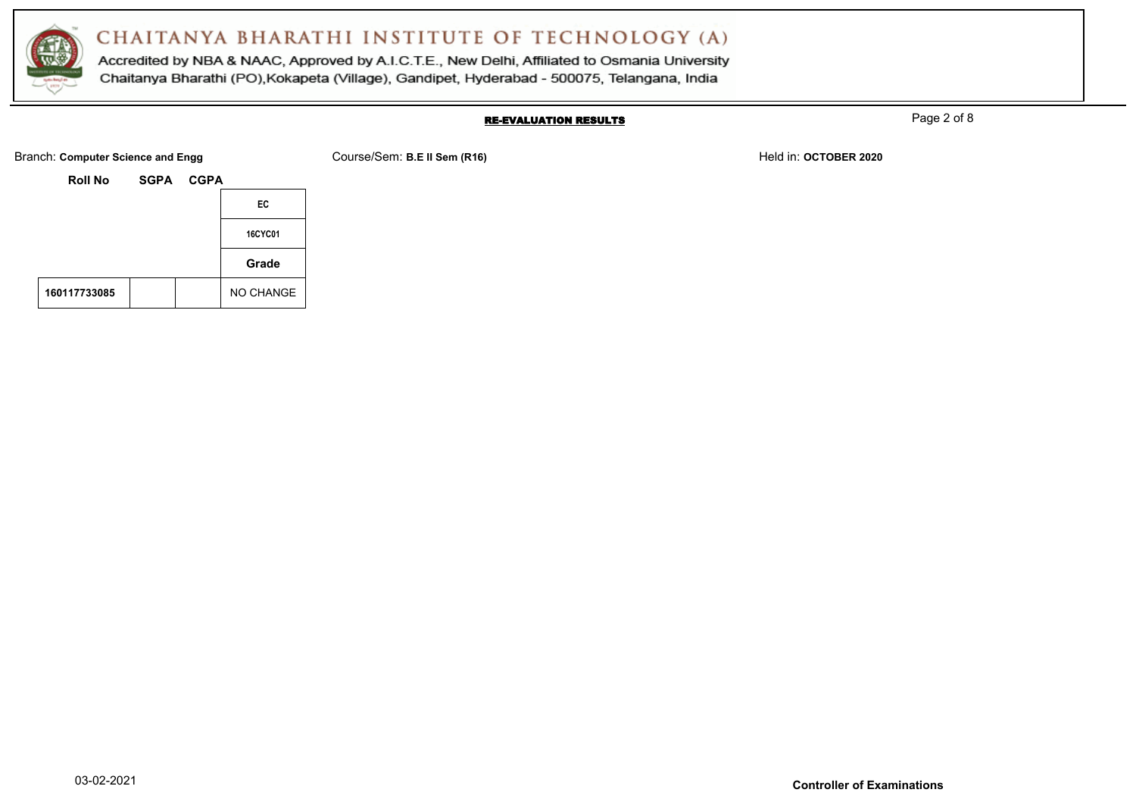

Accredited by NBA & NAAC, Approved by A.I.C.T.E., New Delhi, Affiliated to Osmania University Chaitanya Bharathi (PO), Kokapeta (Village), Gandipet, Hyderabad - 500075, Telangana, India

#### RE-EVALUATION RESULTS

Page 2 of 8

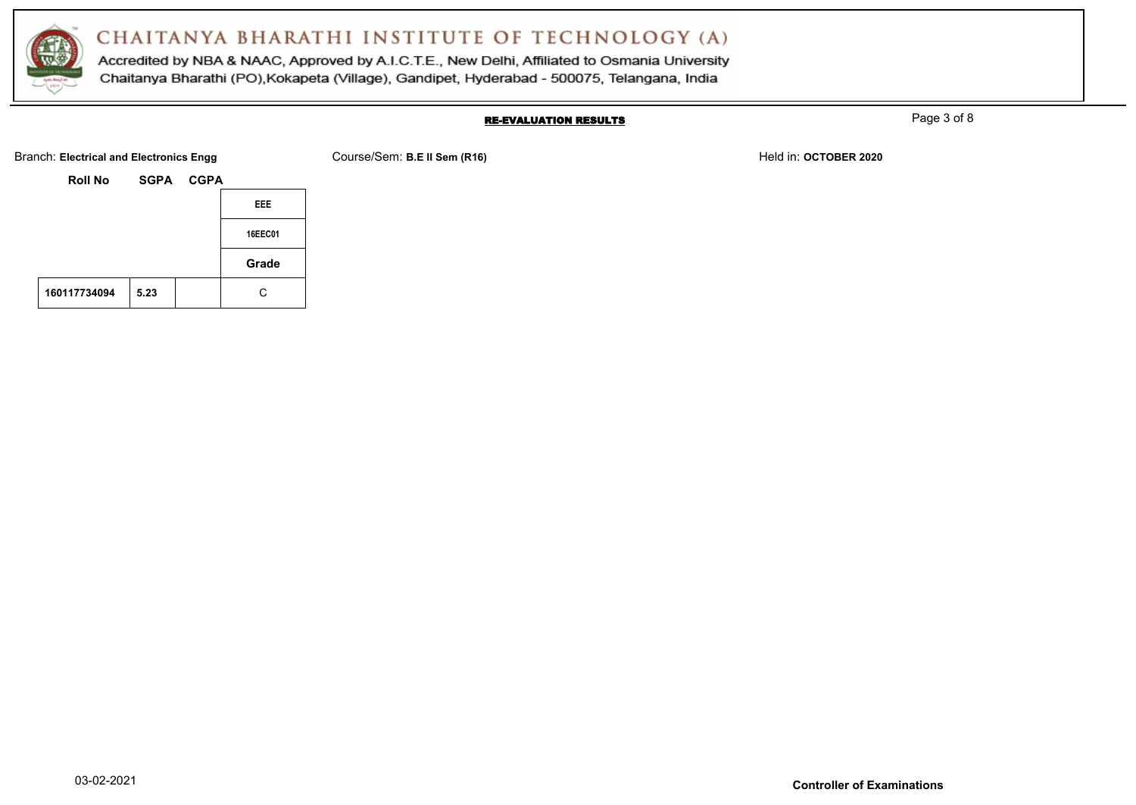

Accredited by NBA & NAAC, Approved by A.I.C.T.E., New Delhi, Affiliated to Osmania University Chaitanya Bharathi (PO), Kokapeta (Village), Gandipet, Hyderabad - 500075, Telangana, India

#### RE-EVALUATION RESULTS

Page 3 of 8

Branch: Electrical and Electronics Engg **Course/Sem: B.E II Sem (R16)** Branch: **B.E.II Sem (R16)** Held in: OCTOBER 2020

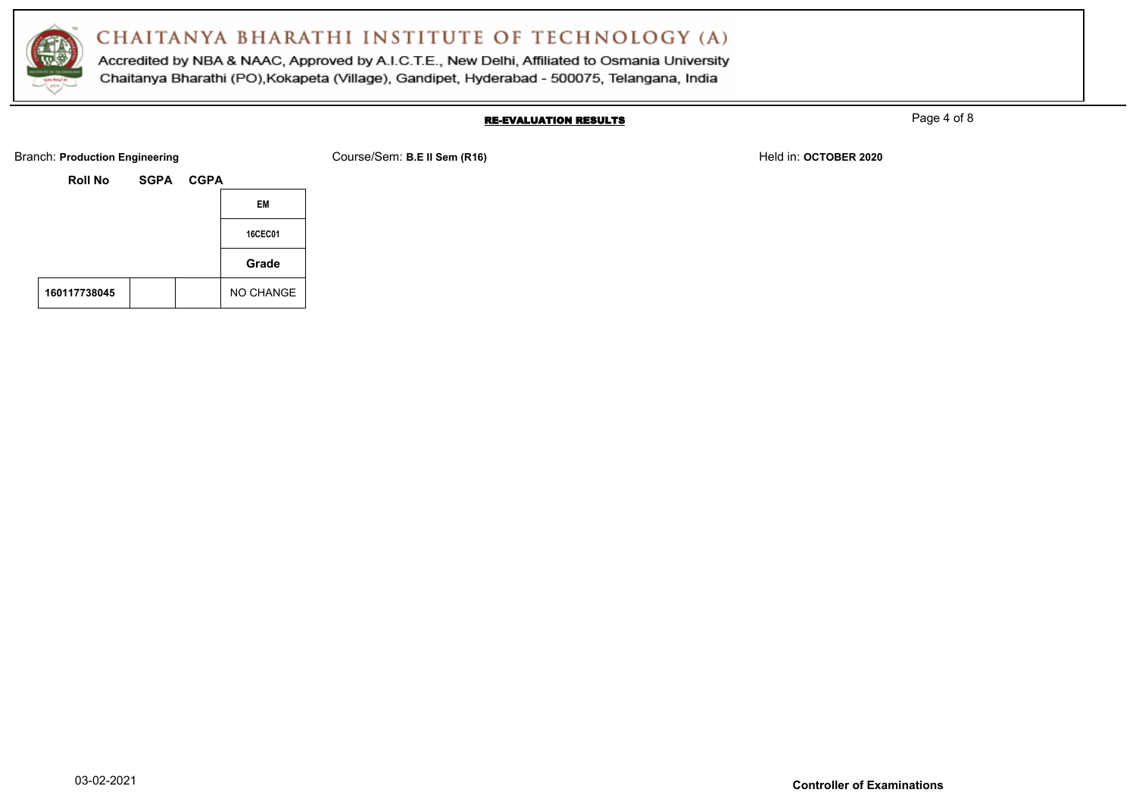

Accredited by NBA & NAAC, Approved by A.I.C.T.E., New Delhi, Affiliated to Osmania University Chaitanya Bharathi (PO), Kokapeta (Village), Gandipet, Hyderabad - 500075, Telangana, India

#### RE-EVALUATION RESULTS

Page 4 of 8

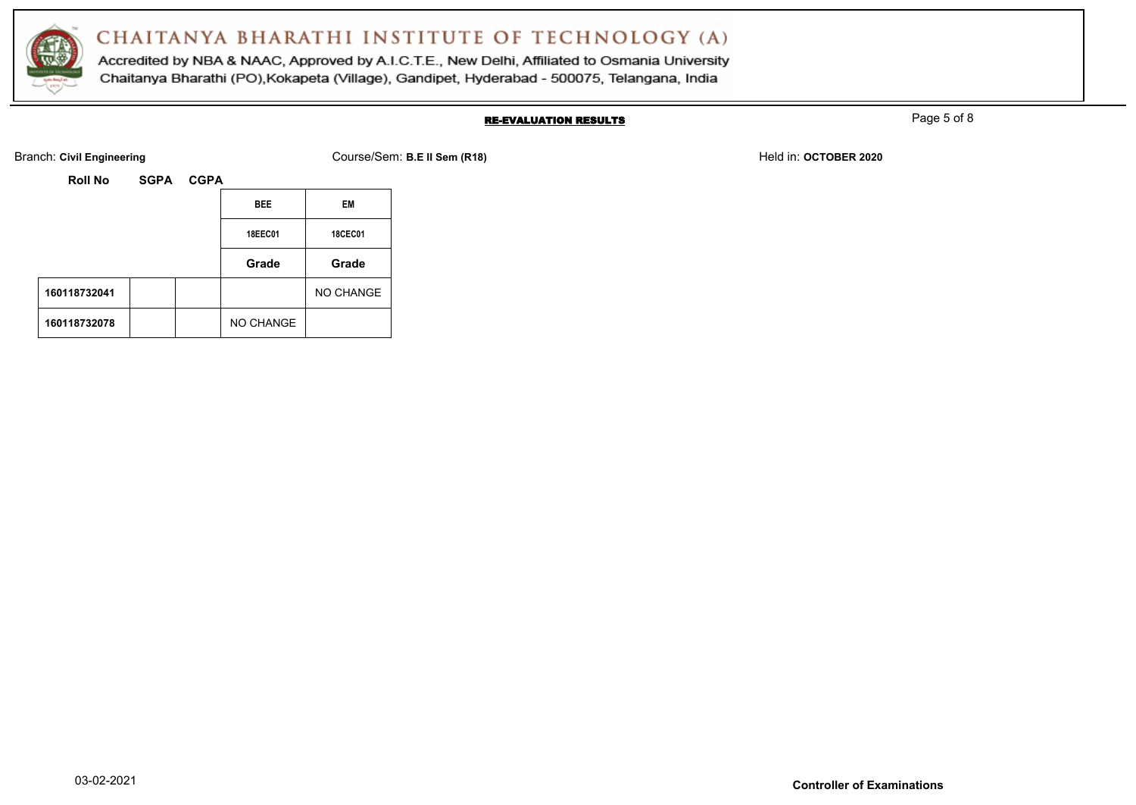

Accredited by NBA & NAAC, Approved by A.I.C.T.E., New Delhi, Affiliated to Osmania University Chaitanya Bharathi (PO), Kokapeta (Village), Gandipet, Hyderabad - 500075, Telangana, India

### RE-EVALUATION RESULTS

Page 5 of 8

Branch: Civil Engineering **COULS EXECUTE:** Course/Sem: B.E II Sem (R18) Held in: OCTOBER 2020

| ourse/Sem: B.E II Sem (R18) |  |  |  |
|-----------------------------|--|--|--|
|-----------------------------|--|--|--|

| RUII NU      | OUFA | <b>VUFA</b> |                |                |
|--------------|------|-------------|----------------|----------------|
|              |      |             | <b>BEE</b>     | EM             |
|              |      |             | <b>18EEC01</b> | <b>18CEC01</b> |
|              |      |             | Grade          | Grade          |
| 160118732041 |      |             |                | NO CHANGE      |
| 160118732078 |      |             | NO CHANGE      |                |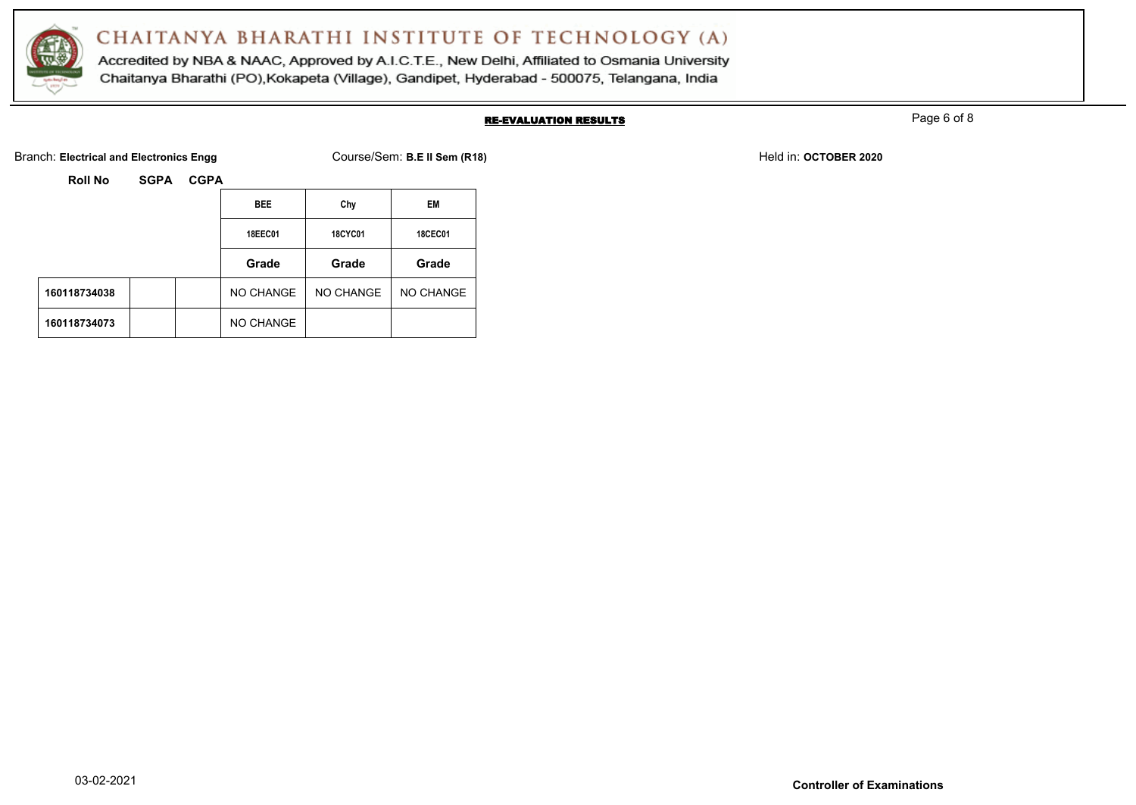

Accredited by NBA & NAAC, Approved by A.I.C.T.E., New Delhi, Affiliated to Osmania University Chaitanya Bharathi (PO), Kokapeta (Village), Gandipet, Hyderabad - 500075, Telangana, India

### RE-EVALUATION RESULTS

Page 6 of 8

Branch: Electrical and Electronics Engg **Course/Sem: B.E II Sem (R18)** Branch: **B.E.II Sem (R18)** Held in: OCTOBER 2020

| RUILINU      | 59FA | <b>VUFA</b> |                |                |                |  |
|--------------|------|-------------|----------------|----------------|----------------|--|
|              |      |             | <b>BEE</b>     | Chy            | EM             |  |
|              |      |             | <b>18EEC01</b> | <b>18CYC01</b> | <b>18CEC01</b> |  |
|              |      |             | Grade          | Grade          | Grade          |  |
| 160118734038 |      |             | NO CHANGE      | NO CHANGE      | NO CHANGE      |  |
| 160118734073 |      |             | NO CHANGE      |                |                |  |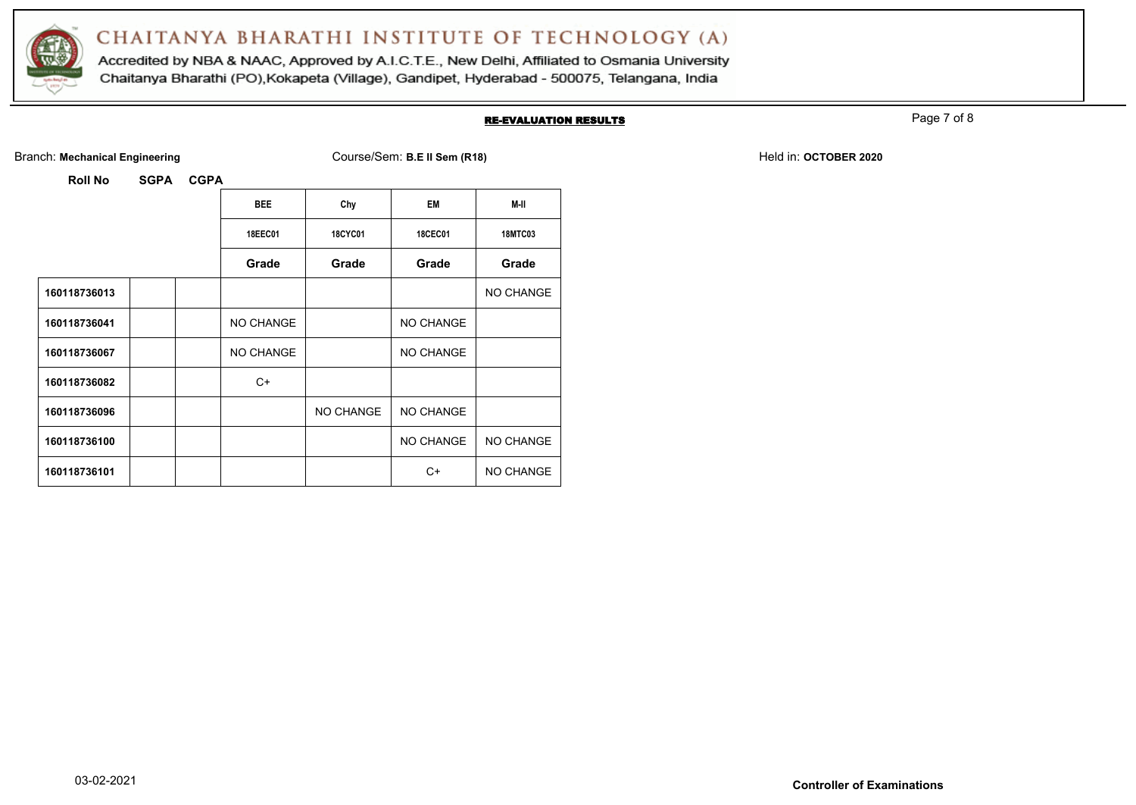

Accredited by NBA & NAAC, Approved by A.I.C.T.E., New Delhi, Affiliated to Osmania University Chaitanya Bharathi (PO), Kokapeta (Village), Gandipet, Hyderabad - 500075, Telangana, India

#### RE-EVALUATION RESULTS

Page 7 of 8

Branch: Mechanical Engineering **Course/Sem: B.E II Sem (R18)** Branch: Mechanical Engineering **Held in: OCTOBER 2020** 

|              | <b>BEE</b> | Chy            | <b>EM</b>      | M-II           |
|--------------|------------|----------------|----------------|----------------|
|              | 18EEC01    | <b>18CYC01</b> | <b>18CEC01</b> | <b>18MTC03</b> |
|              | Grade      | Grade          | Grade          | Grade          |
| 160118736013 |            |                |                | NO CHANGE      |
| 160118736041 | NO CHANGE  |                | NO CHANGE      |                |
| 160118736067 | NO CHANGE  |                | NO CHANGE      |                |
| 160118736082 | $C+$       |                |                |                |
| 160118736096 |            | NO CHANGE      | NO CHANGE      |                |
| 160118736100 |            |                | NO CHANGE      | NO CHANGE      |
| 160118736101 |            |                | C+             | NO CHANGE      |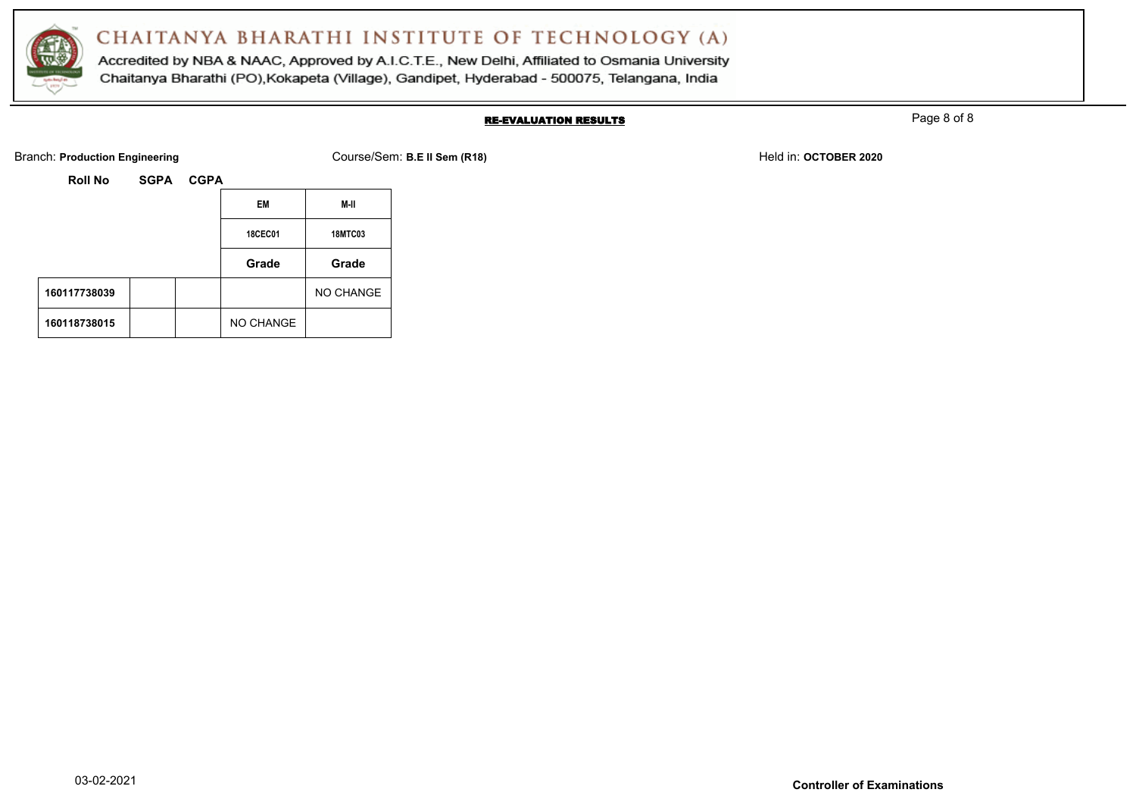

Accredited by NBA & NAAC, Approved by A.I.C.T.E., New Delhi, Affiliated to Osmania University Chaitanya Bharathi (PO), Kokapeta (Village), Gandipet, Hyderabad - 500075, Telangana, India

#### RE-EVALUATION RESULTS

Page 8 of 8

Branch: **Production Engineering The Course/Sem: B.E II Sem (R18)** Branch: **Held in: OCTOBER 2020** Held in: **OCTOBER 2020** 

| <b>Roll No</b> | <b>SGPA</b> | <b>CGPA</b> |                |                |
|----------------|-------------|-------------|----------------|----------------|
|                |             |             | EM             | M-II           |
|                |             |             | <b>18CEC01</b> | <b>18MTC03</b> |
|                |             |             | Grade          | Grade          |
| 160117738039   |             |             |                | NO CHANGE      |
| 160118738015   |             |             | NO CHANGE      |                |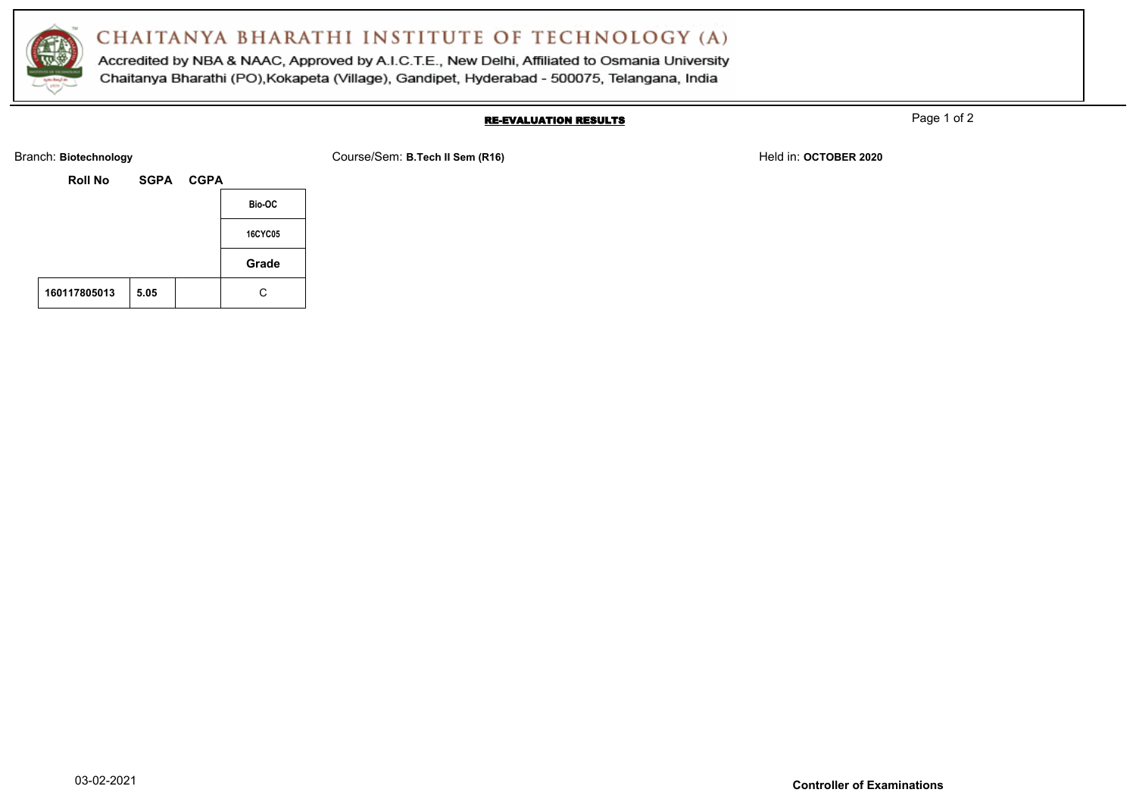

Accredited by NBA & NAAC, Approved by A.I.C.T.E., New Delhi, Affiliated to Osmania University Chaitanya Bharathi (PO), Kokapeta (Village), Gandipet, Hyderabad - 500075, Telangana, India

### RE-EVALUATION RESULTS

Page 1 of 2

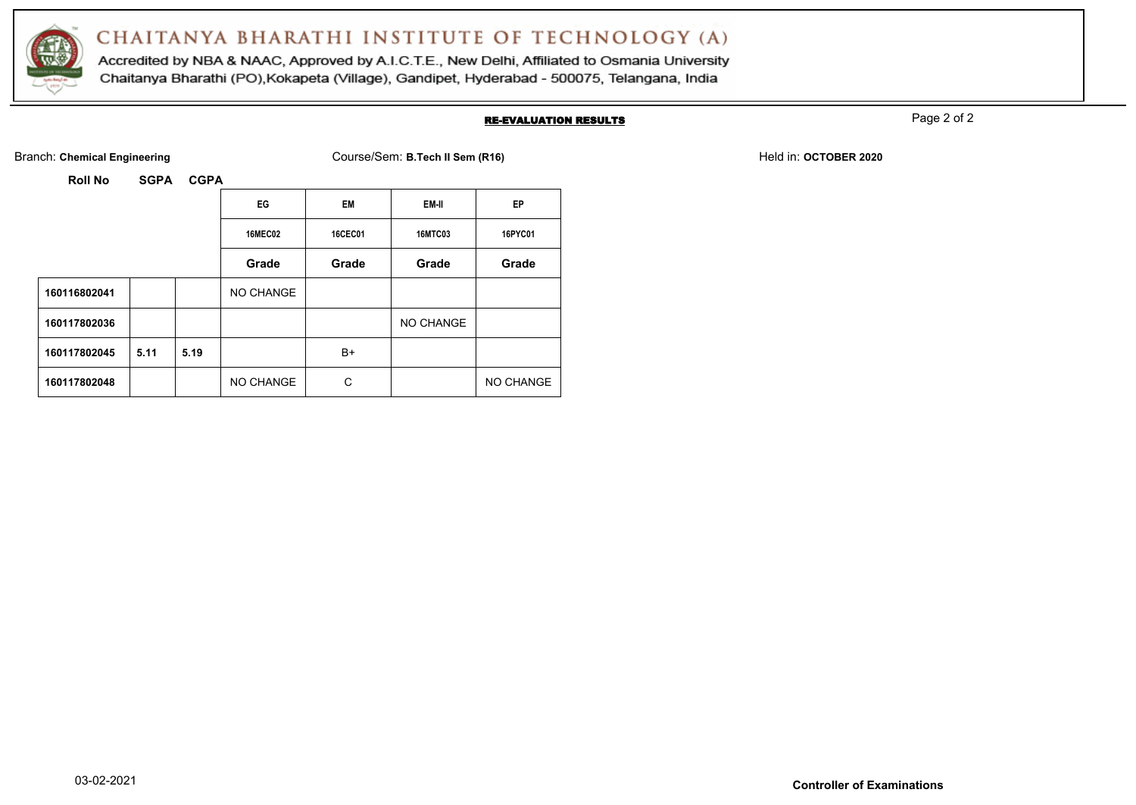

Accredited by NBA & NAAC, Approved by A.I.C.T.E., New Delhi, Affiliated to Osmania University Chaitanya Bharathi (PO), Kokapeta (Village), Gandipet, Hyderabad - 500075, Telangana, India

#### RE-EVALUATION RESULTS

Page 2 of 2

Branch: Chemical Engineering **COURSER 2020** Course/Sem: B.Tech II Sem (R16) Held in: OCTOBER 2020

|              |      |      | EG             | EM             | EM-II          | EP        |
|--------------|------|------|----------------|----------------|----------------|-----------|
|              |      |      | <b>16MEC02</b> | <b>16CEC01</b> | <b>16MTC03</b> | 16PYC01   |
|              |      |      | Grade          | Grade          | Grade          | Grade     |
| 160116802041 |      |      | NO CHANGE      |                |                |           |
| 160117802036 |      |      |                |                | NO CHANGE      |           |
| 160117802045 | 5.11 | 5.19 |                | B+             |                |           |
| 160117802048 |      |      | NO CHANGE      | С              |                | NO CHANGE |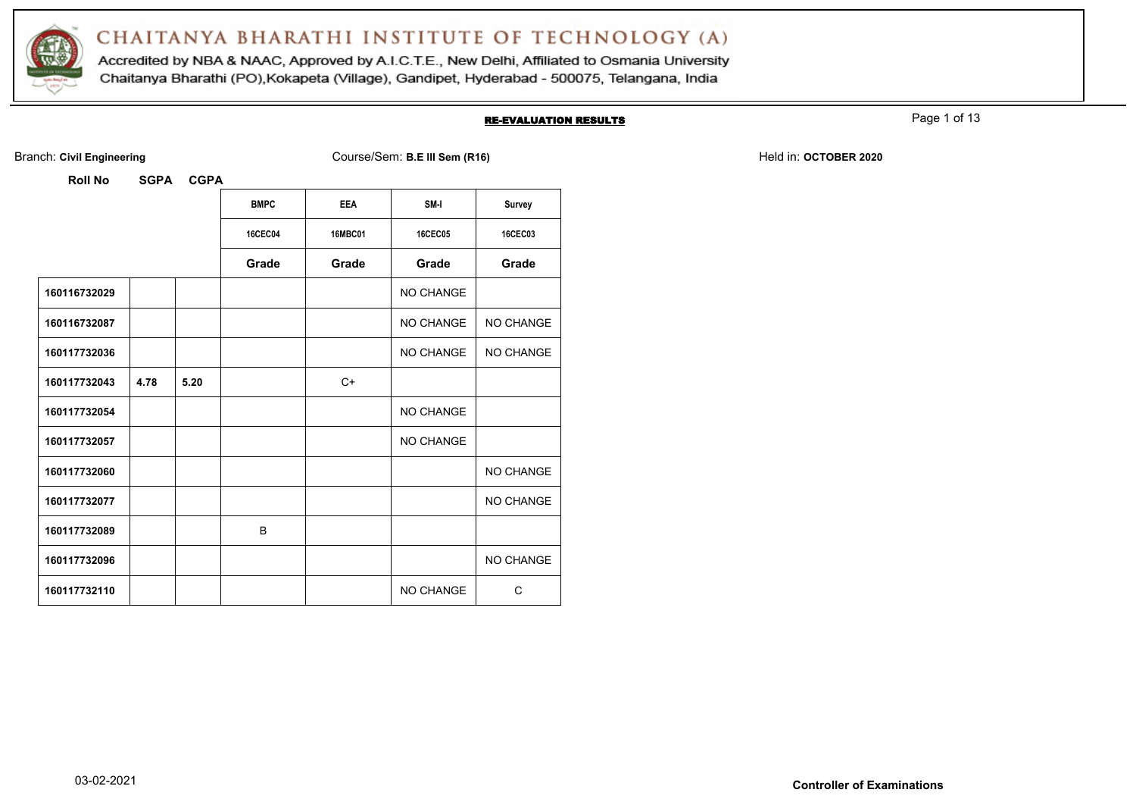

Accredited by NBA & NAAC, Approved by A.I.C.T.E., New Delhi, Affiliated to Osmania University Chaitanya Bharathi (PO), Kokapeta (Village), Gandipet, Hyderabad - 500075, Telangana, India

#### RE-EVALUATION RESULTS

Page 1 of 13

Branch: Civil Engineering **COULS EXECUTE: A COULS EXECUTE: COURSE/Sem: B.E III Sem (R16)** Held in: OCTOBER 2020

| <b>Roll No</b> | <b>SGPA</b> | <b>CGPA</b> |                |                |                  |                |
|----------------|-------------|-------------|----------------|----------------|------------------|----------------|
|                |             |             | <b>BMPC</b>    | <b>EEA</b>     | SM-I             | Survey         |
|                |             |             | <b>16CEC04</b> | <b>16MBC01</b> | <b>16CEC05</b>   | <b>16CEC03</b> |
|                |             |             | Grade          | Grade          | Grade            | Grade          |
| 160116732029   |             |             |                |                | <b>NO CHANGE</b> |                |
| 160116732087   |             |             |                |                | NO CHANGE        | NO CHANGE      |
| 160117732036   |             |             |                |                | NO CHANGE        | NO CHANGE      |
| 160117732043   | 4.78        | 5.20        |                | $C+$           |                  |                |
| 160117732054   |             |             |                |                | <b>NO CHANGE</b> |                |
| 160117732057   |             |             |                |                | NO CHANGE        |                |
| 160117732060   |             |             |                |                |                  | NO CHANGE      |
| 160117732077   |             |             |                |                |                  | NO CHANGE      |
| 160117732089   |             |             | B              |                |                  |                |
| 160117732096   |             |             |                |                |                  | NO CHANGE      |
| 160117732110   |             |             |                |                | <b>NO CHANGE</b> | C              |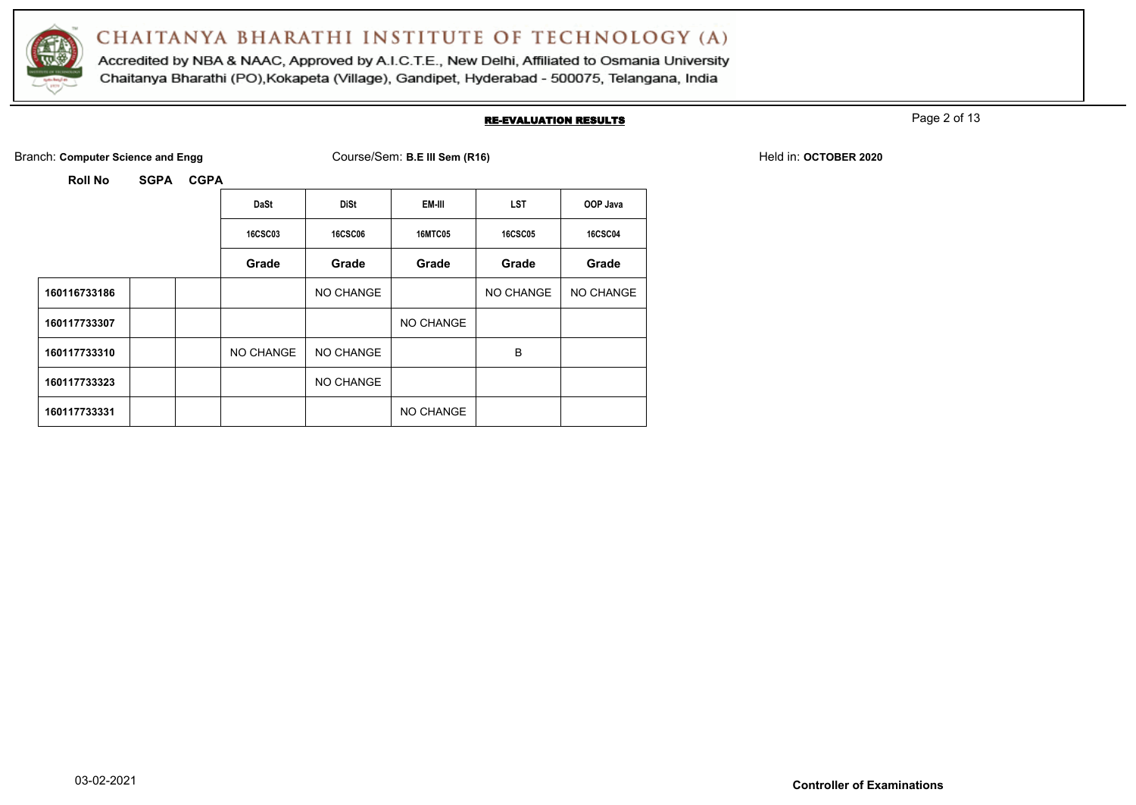

Accredited by NBA & NAAC, Approved by A.I.C.T.E., New Delhi, Affiliated to Osmania University Chaitanya Bharathi (PO), Kokapeta (Village), Gandipet, Hyderabad - 500075, Telangana, India

#### RE-EVALUATION RESULTS

Page 2 of 13

Branch: **Computer Science and Engg COURSE COURSE COURSE AND COURSE ASSESSED AT A COURSE AND FELD IN: OCTOBER 2020** 

|              | <b>DaSt</b>    | <b>DiSt</b>    | EM-III         | <b>LST</b>     | OOP Java       |
|--------------|----------------|----------------|----------------|----------------|----------------|
|              | <b>16CSC03</b> | <b>16CSC06</b> | <b>16MTC05</b> | <b>16CSC05</b> | <b>16CSC04</b> |
|              | Grade          | Grade          | Grade          | Grade          | Grade          |
| 160116733186 |                | NO CHANGE      |                | NO CHANGE      | NO CHANGE      |
| 160117733307 |                |                | NO CHANGE      |                |                |
| 160117733310 | NO CHANGE      | NO CHANGE      |                | B              |                |
| 160117733323 |                | NO CHANGE      |                |                |                |
| 160117733331 |                |                | NO CHANGE      |                |                |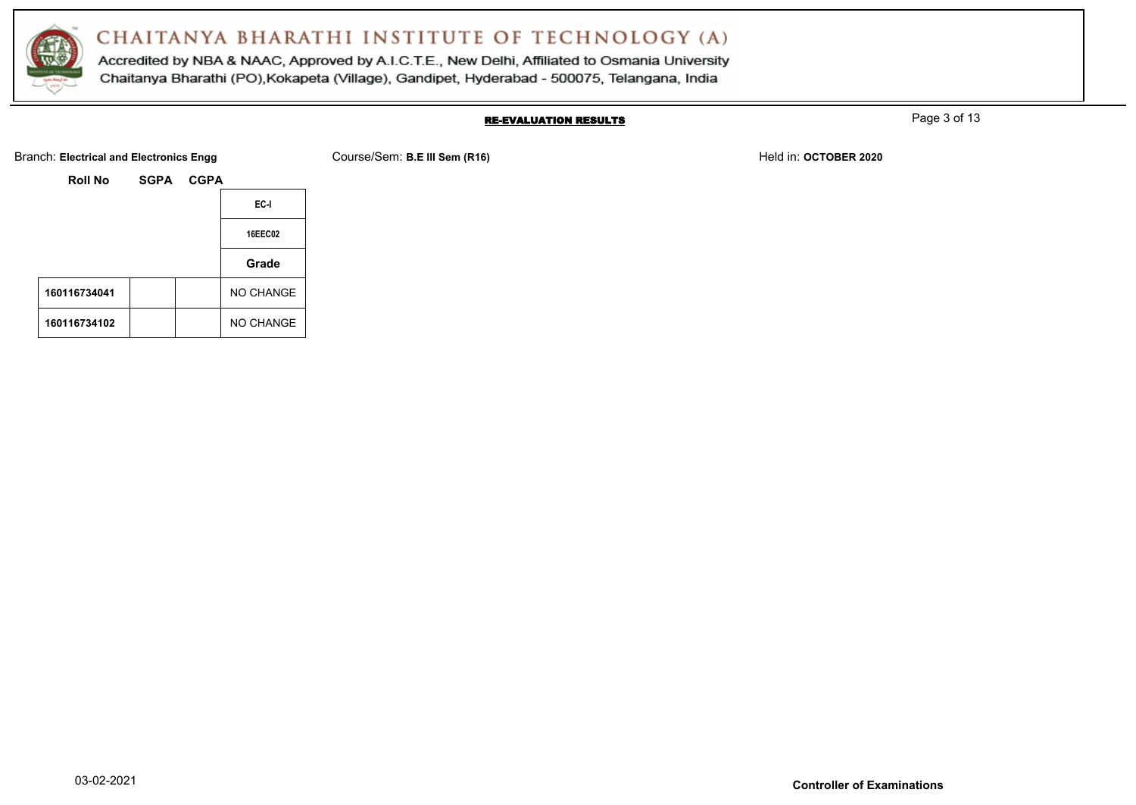

Accredited by NBA & NAAC, Approved by A.I.C.T.E., New Delhi, Affiliated to Osmania University Chaitanya Bharathi (PO), Kokapeta (Village), Gandipet, Hyderabad - 500075, Telangana, India

### RE-EVALUATION RESULTS

Page 3 of 13

Branch: Electrical and Electronics Engg **Course/Sem: B.E III Sem (R16)** Branch: **Held in: OCTOBER 2020** 

| <b>Roll No</b> | SGPA | <b>CGPA</b> |                  |
|----------------|------|-------------|------------------|
|                |      |             | EC-I             |
|                |      |             | <b>16EEC02</b>   |
|                |      |             | Grade            |
| 160116734041   |      |             | <b>NO CHANGE</b> |
| 160116734102   |      |             | <b>NO CHANGE</b> |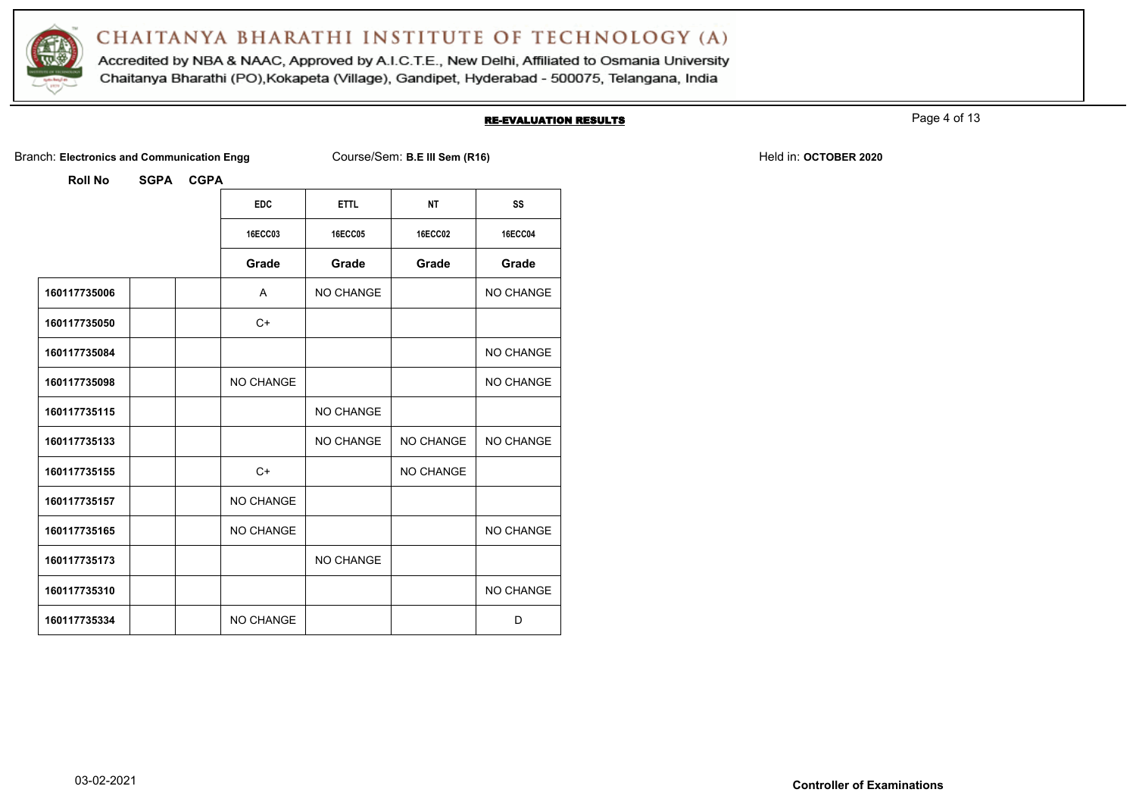

Accredited by NBA & NAAC, Approved by A.I.C.T.E., New Delhi, Affiliated to Osmania University Chaitanya Bharathi (PO), Kokapeta (Village), Gandipet, Hyderabad - 500075, Telangana, India

#### RE-EVALUATION RESULTS

Page 4 of 13

Branch: Electronics and Communication Engg Course/Sem: **B.E III Sem (R16)** Branch: **Held in: OCTOBER 2020** 

|              | <b>EDC</b>       | <b>ETTL</b>    | <b>NT</b>        | SS             |
|--------------|------------------|----------------|------------------|----------------|
|              | <b>16ECC03</b>   | <b>16ECC05</b> | <b>16ECC02</b>   | <b>16ECC04</b> |
|              | Grade            | Grade          | Grade            | Grade          |
| 160117735006 | A                | NO CHANGE      |                  | NO CHANGE      |
| 160117735050 | $C+$             |                |                  |                |
| 160117735084 |                  |                |                  | NO CHANGE      |
| 160117735098 | NO CHANGE        |                |                  | NO CHANGE      |
| 160117735115 |                  | NO CHANGE      |                  |                |
| 160117735133 |                  | NO CHANGE      | <b>NO CHANGE</b> | NO CHANGE      |
| 160117735155 | $C+$             |                | <b>NO CHANGE</b> |                |
| 160117735157 | NO CHANGE        |                |                  |                |
| 160117735165 | NO CHANGE        |                |                  | NO CHANGE      |
| 160117735173 |                  | NO CHANGE      |                  |                |
| 160117735310 |                  |                |                  | NO CHANGE      |
| 160117735334 | <b>NO CHANGE</b> |                |                  | D              |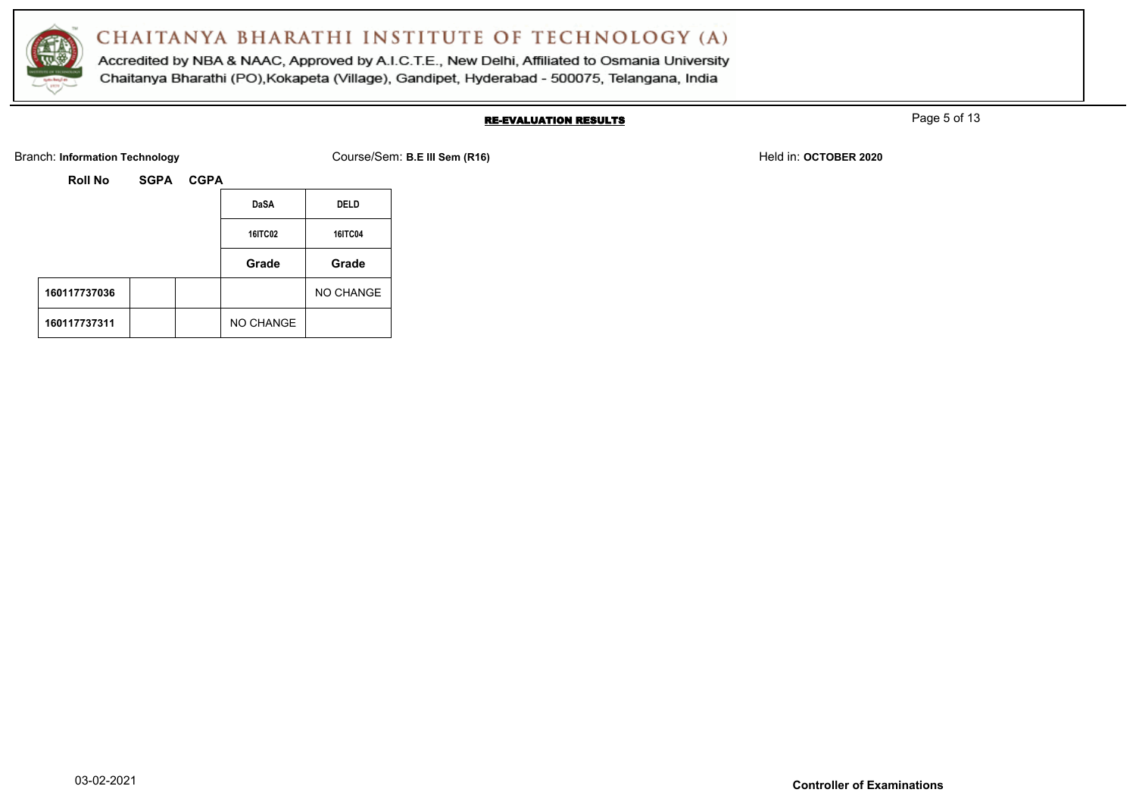

Accredited by NBA & NAAC, Approved by A.I.C.T.E., New Delhi, Affiliated to Osmania University Chaitanya Bharathi (PO), Kokapeta (Village), Gandipet, Hyderabad - 500075, Telangana, India

### RE-EVALUATION RESULTS

Page 5 of 13

Branch: Information Technology **Course/Sem: B.E III Sem (R16)** Branch: Information Technology Held in: **OCTOBER 2020** 

| <b>Roll No</b> | <b>SGPA</b> | <b>CGPA</b> |                |                |
|----------------|-------------|-------------|----------------|----------------|
|                |             |             | <b>DaSA</b>    | <b>DELD</b>    |
|                |             |             | <b>16ITC02</b> | <b>16ITC04</b> |
|                |             |             | Grade          | Grade          |
| 160117737036   |             |             |                | NO CHANGE      |
| 160117737311   |             |             | NO CHANGE      |                |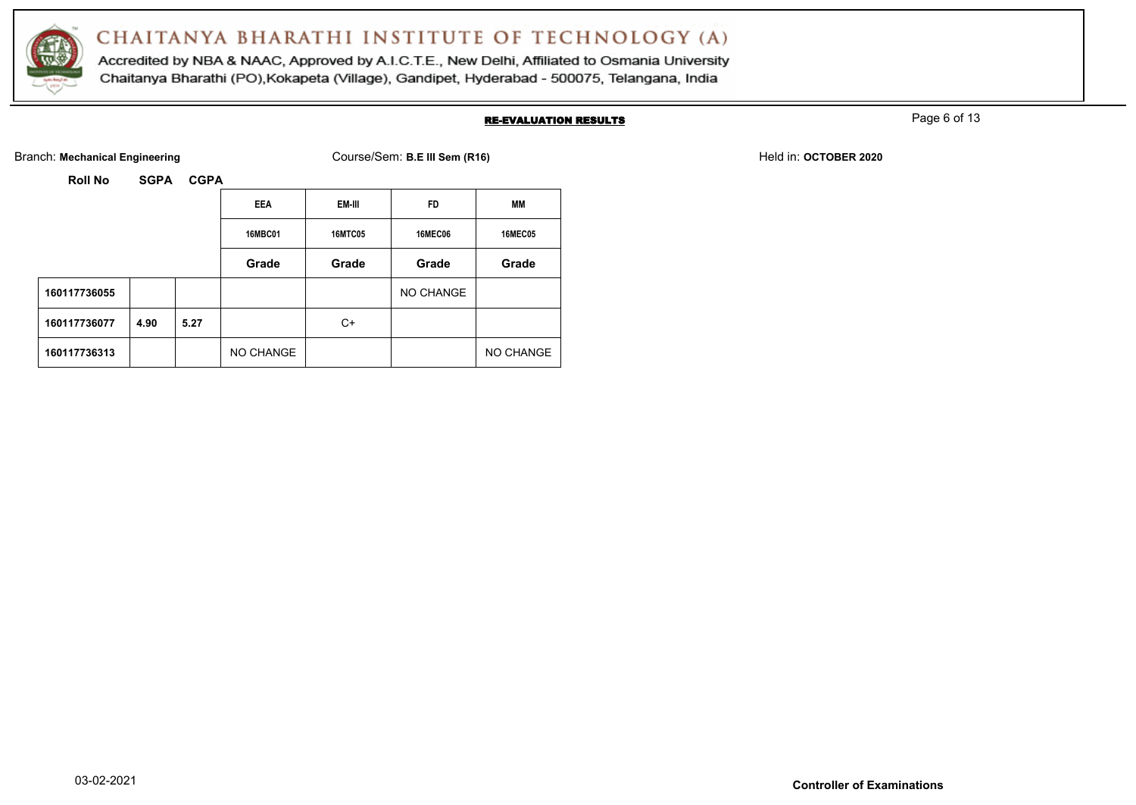

Accredited by NBA & NAAC, Approved by A.I.C.T.E., New Delhi, Affiliated to Osmania University Chaitanya Bharathi (PO), Kokapeta (Village), Gandipet, Hyderabad - 500075, Telangana, India

#### RE-EVALUATION RESULTS

Page 6 of 13

Branch: Mechanical Engineering **Course/Sem: B.E III Sem (R16)** Branch: Mechanical Engineering **Held in: OCTOBER 2020** 

|              |      |      | <b>EEA</b>     | EM-III         | <b>FD</b>      | MМ             |
|--------------|------|------|----------------|----------------|----------------|----------------|
|              |      |      | <b>16MBC01</b> | <b>16MTC05</b> | <b>16MEC06</b> | <b>16MEC05</b> |
|              |      |      | Grade          | Grade          | Grade          | Grade          |
| 160117736055 |      |      |                |                | NO CHANGE      |                |
| 160117736077 | 4.90 | 5.27 |                | C+             |                |                |
| 160117736313 |      |      | NO CHANGE      |                |                | NO CHANGE      |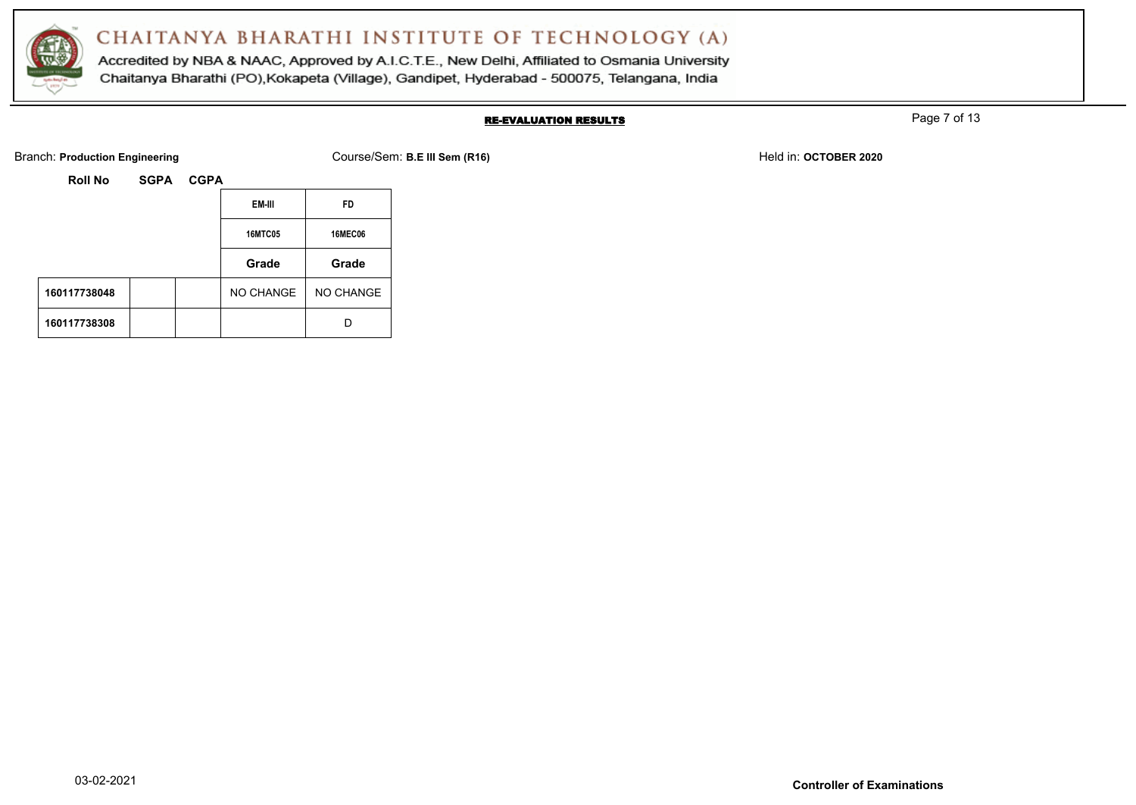

Accredited by NBA & NAAC, Approved by A.I.C.T.E., New Delhi, Affiliated to Osmania University Chaitanya Bharathi (PO), Kokapeta (Village), Gandipet, Hyderabad - 500075, Telangana, India

### RE-EVALUATION RESULTS

Page 7 of 13

Branch: **Production Engineering Course/Sem: B.E III Sem (R16)** Branch: **Production Engineering Held in: OCTOBER 2020** 

| Roll No | <b>SGPA</b> |
|---------|-------------|
|         |             |

|              |  |                | EM-III         | <b>FD</b> |
|--------------|--|----------------|----------------|-----------|
|              |  | <b>16MTC05</b> | <b>16MEC06</b> |           |
|              |  |                | Grade          | Grade     |
| 160117738048 |  |                | NO CHANGE      | NO CHANGE |
| 160117738308 |  |                |                | D         |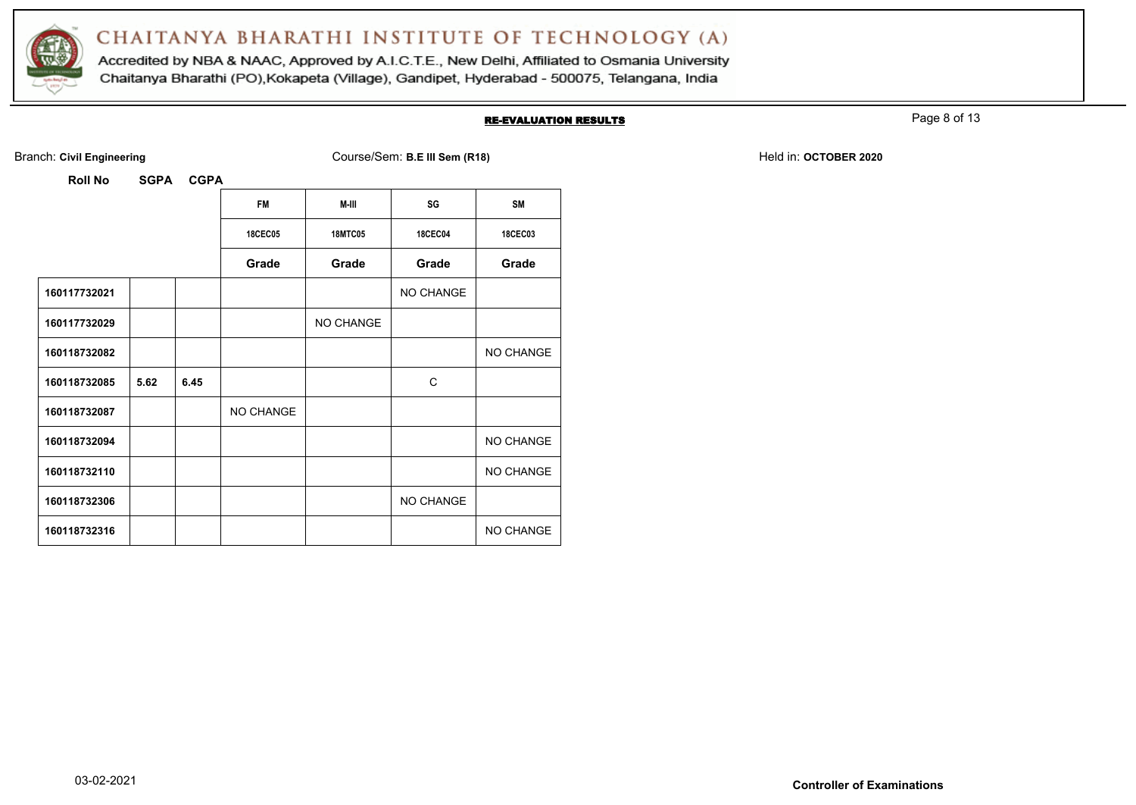

Accredited by NBA & NAAC, Approved by A.I.C.T.E., New Delhi, Affiliated to Osmania University Chaitanya Bharathi (PO), Kokapeta (Village), Gandipet, Hyderabad - 500075, Telangana, India

#### RE-EVALUATION RESULTS

Page 8 of 13

Branch: Civil Engineering **COULS EXECUTE:** Course/Sem: B.E III Sem (R18) Held in: OCTOBER 2020

| KOII NO      | 59PA | <b>UUPA</b> |                |                |                |                  |
|--------------|------|-------------|----------------|----------------|----------------|------------------|
|              |      |             | <b>FM</b>      | M-III          | SG             | <b>SM</b>        |
|              |      |             | <b>18CEC05</b> | <b>18MTC05</b> | <b>18CEC04</b> | <b>18CEC03</b>   |
|              |      |             | Grade          | Grade          | Grade          | Grade            |
| 160117732021 |      |             |                |                | NO CHANGE      |                  |
| 160117732029 |      |             |                | NO CHANGE      |                |                  |
| 160118732082 |      |             |                |                |                | NO CHANGE        |
| 160118732085 | 5.62 | 6.45        |                |                | C              |                  |
| 160118732087 |      |             | NO CHANGE      |                |                |                  |
| 160118732094 |      |             |                |                |                | <b>NO CHANGE</b> |
| 160118732110 |      |             |                |                |                | NO CHANGE        |
| 160118732306 |      |             |                |                | NO CHANGE      |                  |
| 160118732316 |      |             |                |                |                | NO CHANGE        |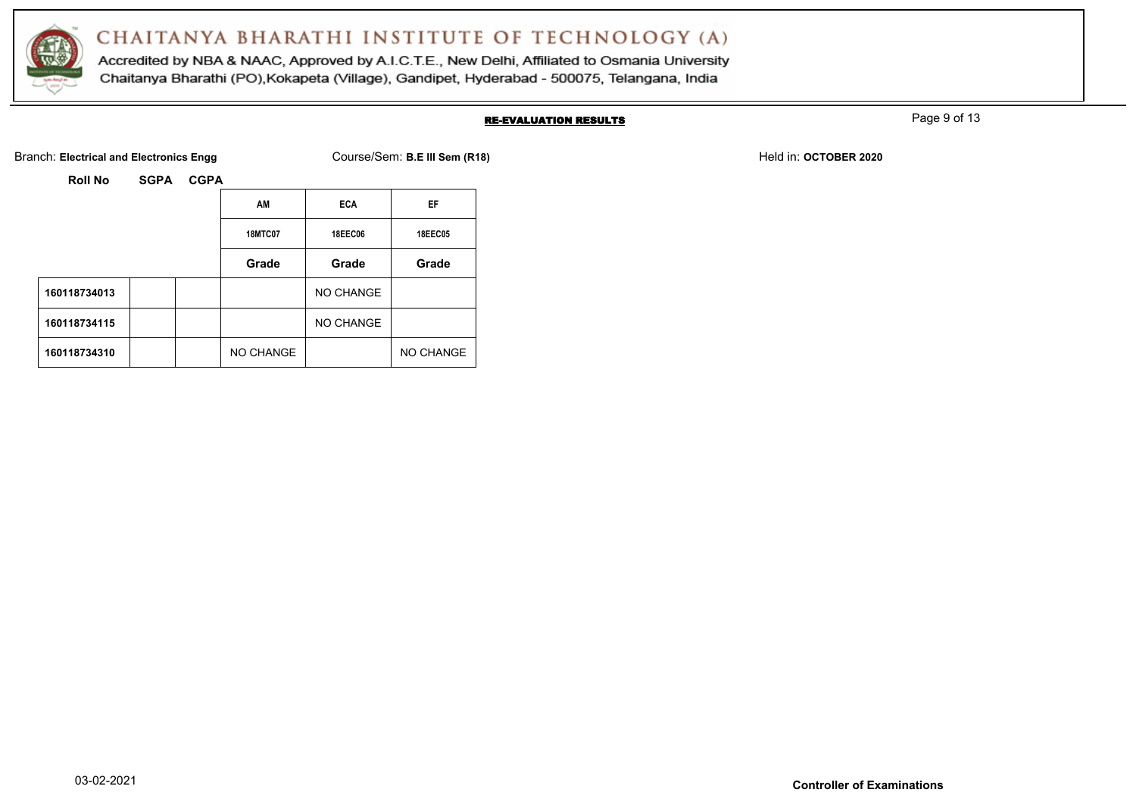

Accredited by NBA & NAAC, Approved by A.I.C.T.E., New Delhi, Affiliated to Osmania University Chaitanya Bharathi (PO), Kokapeta (Village), Gandipet, Hyderabad - 500075, Telangana, India

### RE-EVALUATION RESULTS

Page 9 of 13

Branch: Electrical and Electronics Engg **Course/Sem: B.E III Sem (R18)** Branch: Electrical and Electronics Engg Course/Sem: B.E III Sem (R18)

| <b>Roll No</b> | <b>SGPA</b> | <b>CGPA</b> |                |                |                |
|----------------|-------------|-------------|----------------|----------------|----------------|
|                |             |             | AM             | <b>ECA</b>     | EF             |
|                |             |             | <b>18MTC07</b> | <b>18EEC06</b> | <b>18EEC05</b> |
|                |             |             | Grade          | Grade          | Grade          |
| 160118734013   |             |             |                | NO CHANGE      |                |
| 160118734115   |             |             |                | NO CHANGE      |                |
| 160118734310   |             |             | NO CHANGE      |                | NO CHANGE      |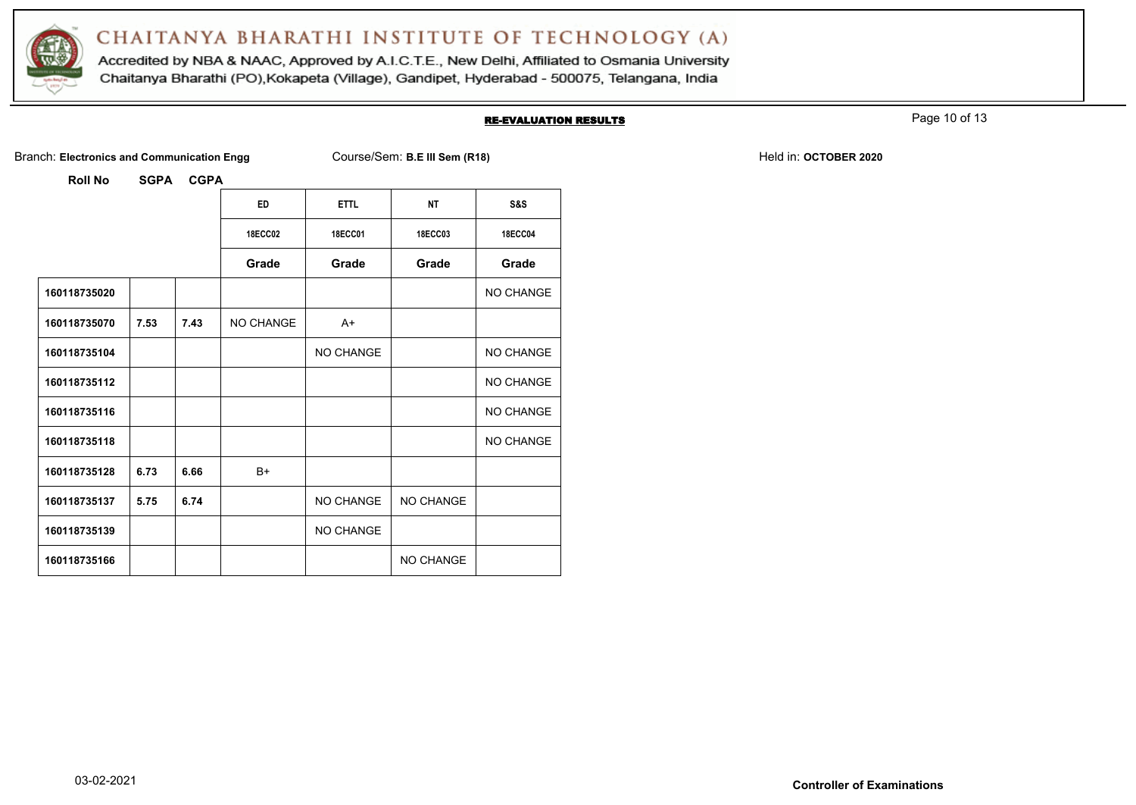

Accredited by NBA & NAAC, Approved by A.I.C.T.E., New Delhi, Affiliated to Osmania University Chaitanya Bharathi (PO), Kokapeta (Village), Gandipet, Hyderabad - 500075, Telangana, India

#### RE-EVALUATION RESULTS

Page 10 of 13

Branch: Electronics and Communication Engg Course/Sem: B.E III Sem (R18) Branch: Electronics and Communication Engg

| <b>Roll No</b> | SGPA CGPA |  |
|----------------|-----------|--|

| טוו ווטרו    | ה וטט | $\sim$ |                |                |                  |                  |
|--------------|-------|--------|----------------|----------------|------------------|------------------|
|              |       |        | <b>ED</b>      | <b>ETTL</b>    | <b>NT</b>        | S&S              |
|              |       |        | <b>18ECC02</b> | <b>18ECC01</b> | <b>18ECC03</b>   | <b>18ECC04</b>   |
|              |       |        | Grade          | Grade          | Grade            | Grade            |
| 160118735020 |       |        |                |                |                  | <b>NO CHANGE</b> |
| 160118735070 | 7.53  | 7.43   | NO CHANGE      | $A+$           |                  |                  |
| 160118735104 |       |        |                | NO CHANGE      |                  | NO CHANGE        |
| 160118735112 |       |        |                |                |                  | <b>NO CHANGE</b> |
| 160118735116 |       |        |                |                |                  | <b>NO CHANGE</b> |
| 160118735118 |       |        |                |                |                  | <b>NO CHANGE</b> |
| 160118735128 | 6.73  | 6.66   | $B+$           |                |                  |                  |
| 160118735137 | 5.75  | 6.74   |                | NO CHANGE      | <b>NO CHANGE</b> |                  |
| 160118735139 |       |        |                | NO CHANGE      |                  |                  |
| 160118735166 |       |        |                |                | <b>NO CHANGE</b> |                  |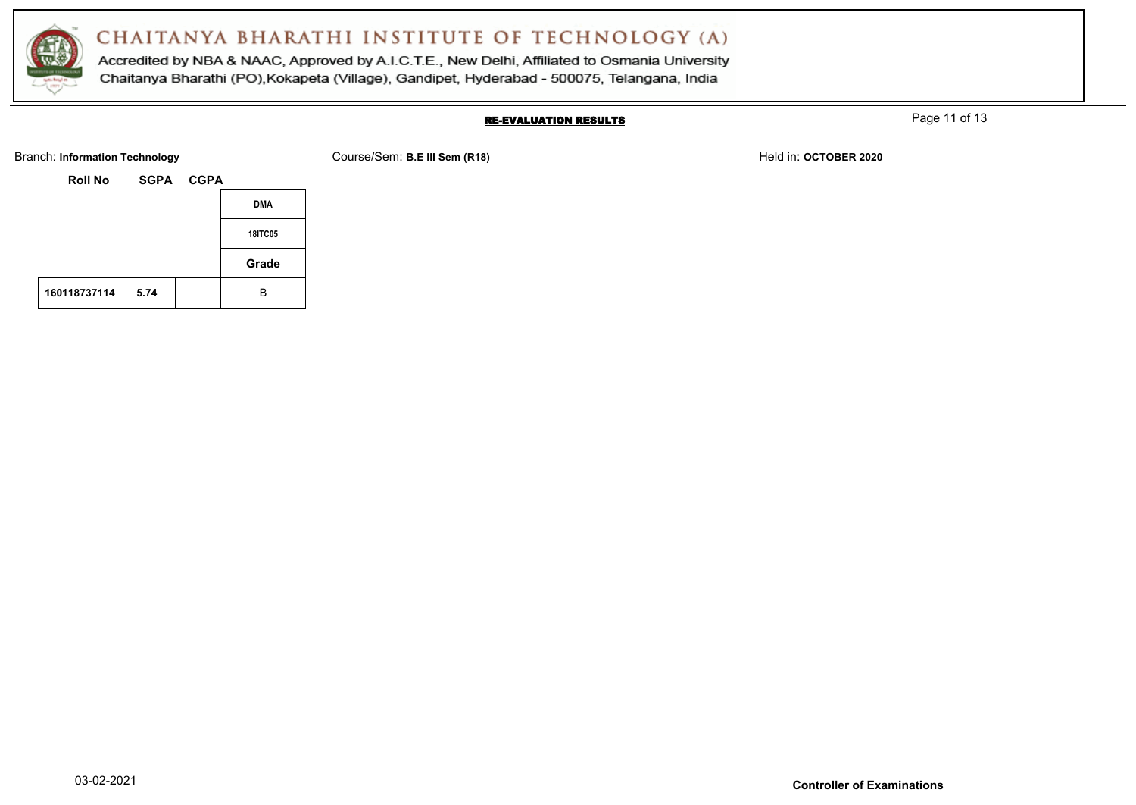

Accredited by NBA & NAAC, Approved by A.I.C.T.E., New Delhi, Affiliated to Osmania University Chaitanya Bharathi (PO), Kokapeta (Village), Gandipet, Hyderabad - 500075, Telangana, India

### RE-EVALUATION RESULTS

Page 11 of 13

| <b>Branch: Information Technology</b> | Course/Sem: B.E III Sem (R18) | Held in: OCTOBER 2020 |
|---------------------------------------|-------------------------------|-----------------------|
|---------------------------------------|-------------------------------|-----------------------|

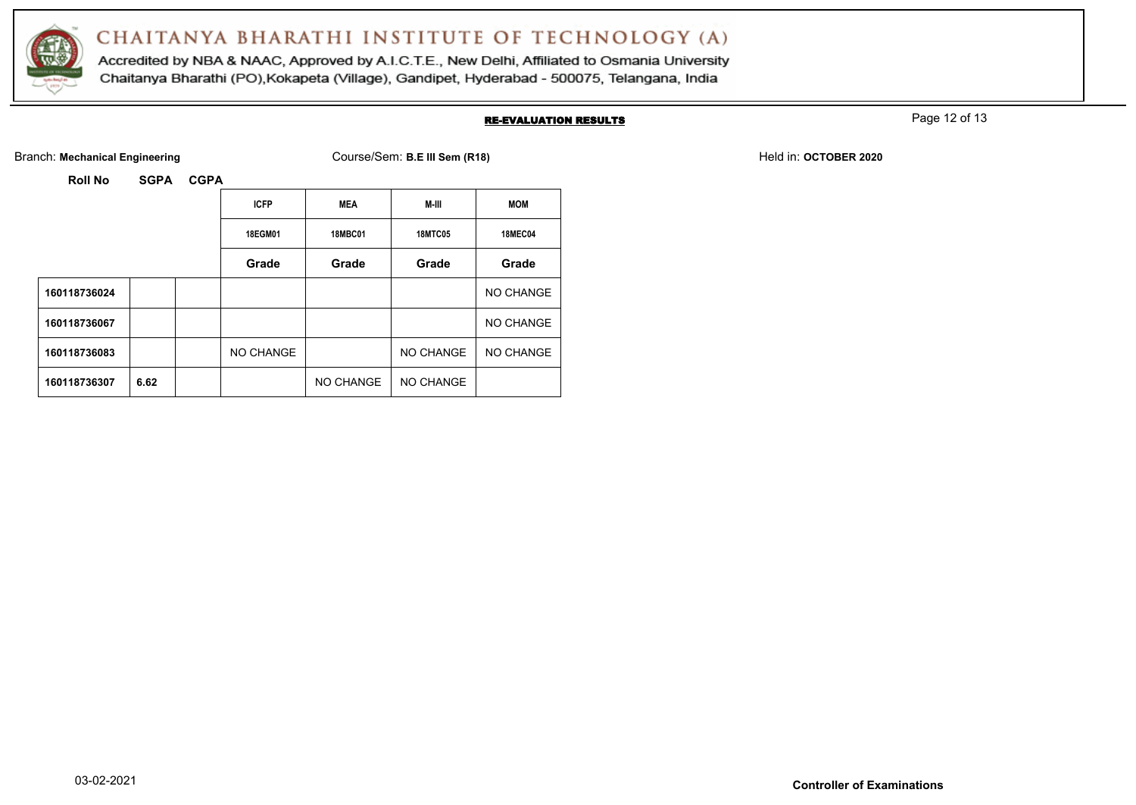

Accredited by NBA & NAAC, Approved by A.I.C.T.E., New Delhi, Affiliated to Osmania University Chaitanya Bharathi (PO), Kokapeta (Village), Gandipet, Hyderabad - 500075, Telangana, India

#### RE-EVALUATION RESULTS

Page 12 of 13

Branch: Mechanical Engineering **Course/Sem: B.E III Sem (R18)** Branch: Mechanical Engineering Held in: **OCTOBER 2020** 

**Roll No SGPA CGPA ICFP MEA M-III MOM 18EGM01 18MBC01 18MTC05 18MEC04 Grade Grade Grade Grade 160118736024** NO CHANGE **160118736067** NO CHANGE 160118736083 NO CHANGE NO CHANGE NO CHANGE NO CHANGE 160118736307 6.62 **NO CHANGE NO CHANGE**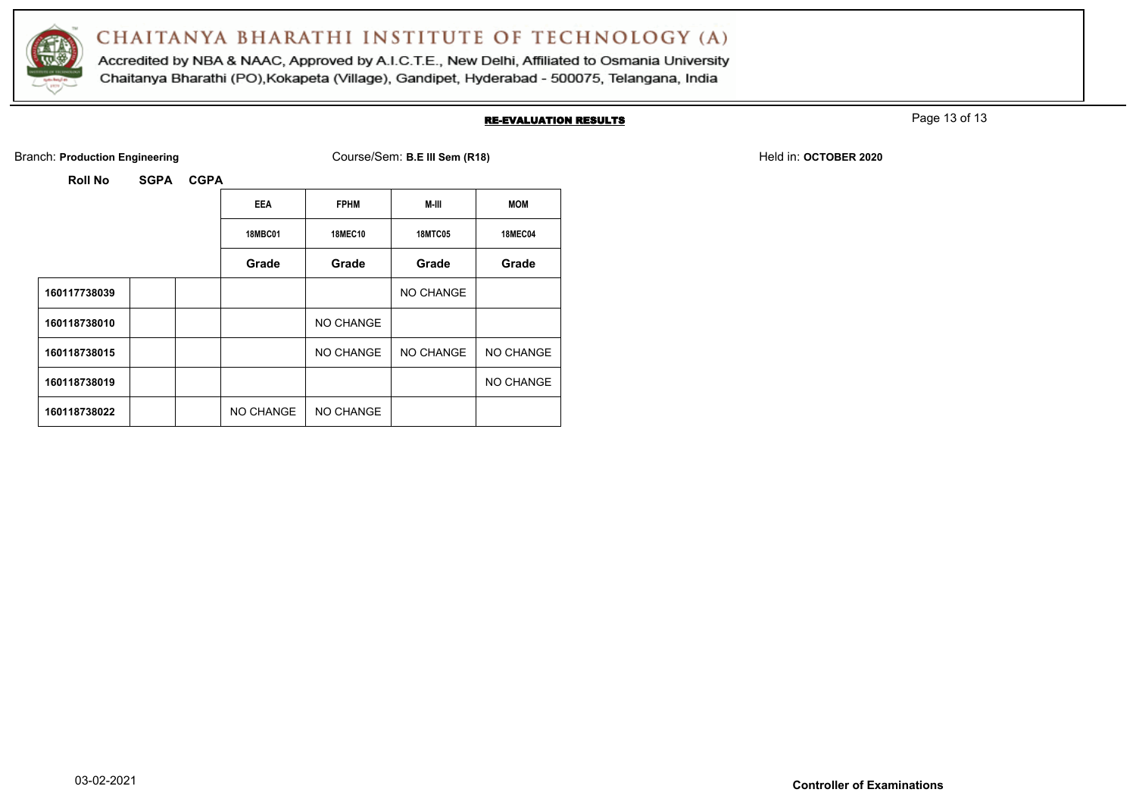

Accredited by NBA & NAAC, Approved by A.I.C.T.E., New Delhi, Affiliated to Osmania University Chaitanya Bharathi (PO), Kokapeta (Village), Gandipet, Hyderabad - 500075, Telangana, India

#### RE-EVALUATION RESULTS

Page 13 of 13

Branch: **Production Engineering Course/Sem: B.E III Sem (R18)** Branch: **Production Engineering Held in: OCTOBER 2020** 

|              | <b>EEA</b>     | <b>FPHM</b>    | M-III          | <b>MOM</b>     |
|--------------|----------------|----------------|----------------|----------------|
|              | <b>18MBC01</b> | <b>18MEC10</b> | <b>18MTC05</b> | <b>18MEC04</b> |
|              | Grade          | Grade          | Grade          | Grade          |
| 160117738039 |                |                | NO CHANGE      |                |
| 160118738010 |                | NO CHANGE      |                |                |
| 160118738015 |                | NO CHANGE      | NO CHANGE      | NO CHANGE      |
| 160118738019 |                |                |                | NO CHANGE      |
| 160118738022 | NO CHANGE      | NO CHANGE      |                |                |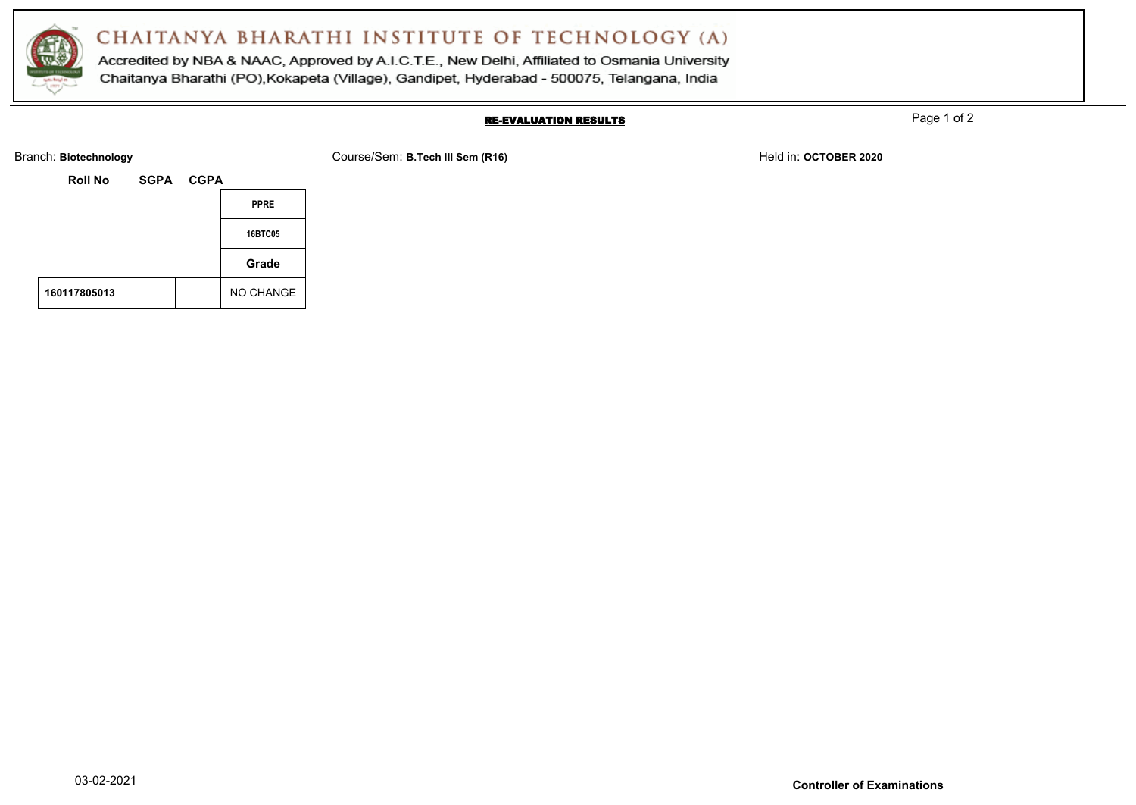

Accredited by NBA & NAAC, Approved by A.I.C.T.E., New Delhi, Affiliated to Osmania University Chaitanya Bharathi (PO), Kokapeta (Village), Gandipet, Hyderabad - 500075, Telangana, India

#### RE-EVALUATION RESULTS

Page 1 of 2

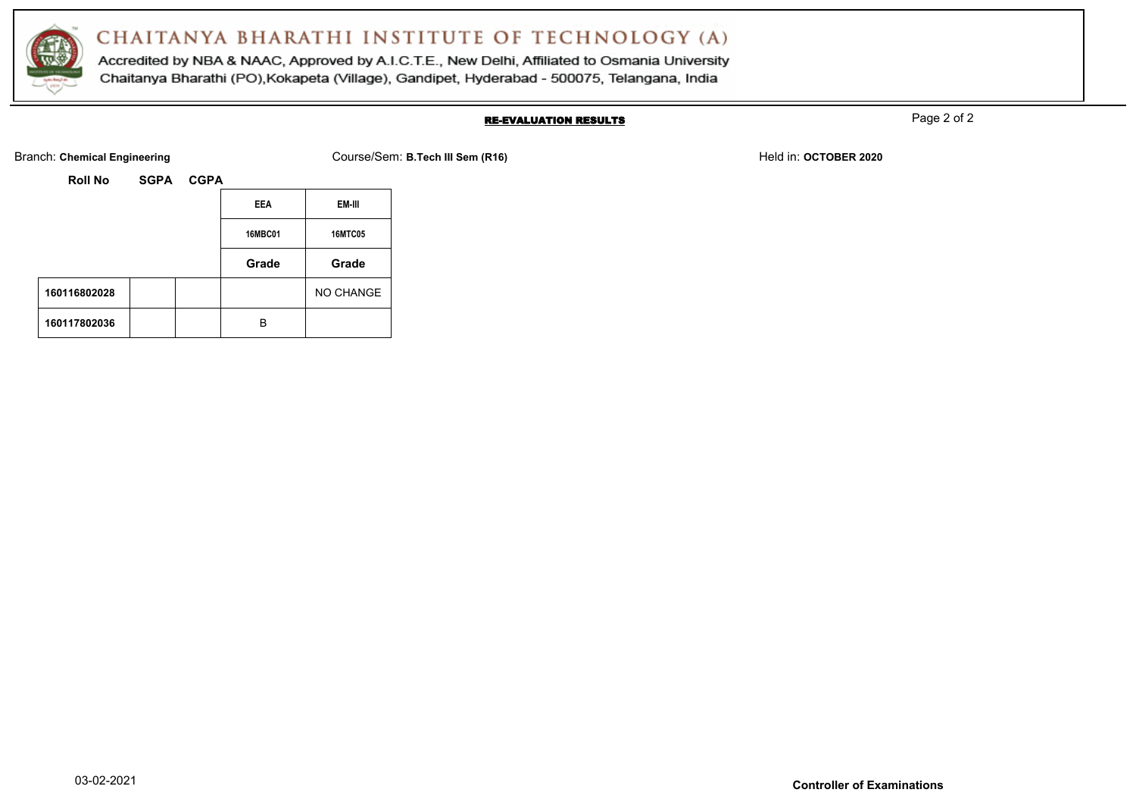

Accredited by NBA & NAAC, Approved by A.I.C.T.E., New Delhi, Affiliated to Osmania University Chaitanya Bharathi (PO), Kokapeta (Village), Gandipet, Hyderabad - 500075, Telangana, India

#### RE-EVALUATION RESULTS

Page 2 of 2

Branch: Chemical Engineering **Course/Sem: B.Tech III Sem (R16)** Held in: OCTOBER 2020

| <b>Roll No</b> | <b>SGPA</b> | <b>CGPA</b> |                |                |
|----------------|-------------|-------------|----------------|----------------|
|                |             |             | <b>EEA</b>     | EM-III         |
|                |             |             | <b>16MBC01</b> | <b>16MTC05</b> |
|                |             |             |                |                |
|                |             |             | Grade          | Grade          |
| 160116802028   |             |             |                | NO CHANGE      |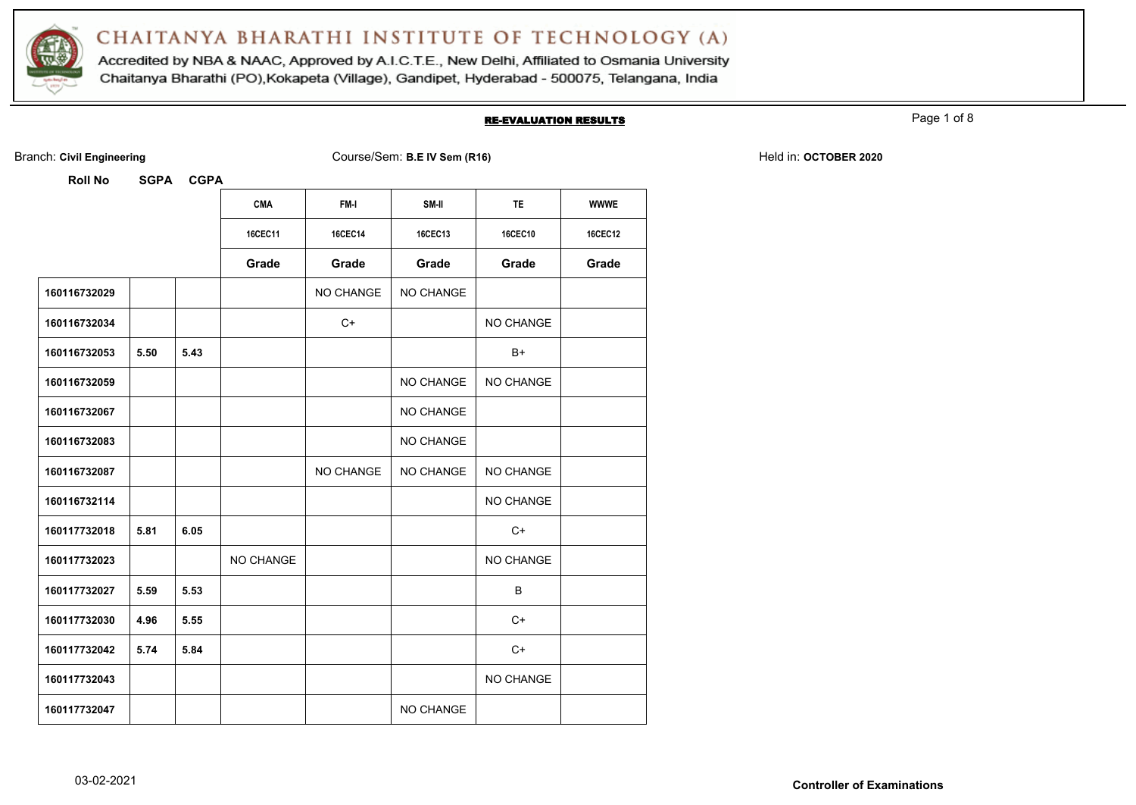

Accredited by NBA & NAAC, Approved by A.I.C.T.E., New Delhi, Affiliated to Osmania University Chaitanya Bharathi (PO), Kokapeta (Village), Gandipet, Hyderabad - 500075, Telangana, India

#### RE-EVALUATION RESULTS

Page 1 of 8

| <b>Roll No</b> | <b>SGPA</b> | <b>CGPA</b> |                |                |           |                |             |
|----------------|-------------|-------------|----------------|----------------|-----------|----------------|-------------|
|                |             |             | <b>CMA</b>     | FM-I           | SM-II     | <b>TE</b>      | <b>WWWE</b> |
|                |             |             | <b>16CEC11</b> | <b>16CEC14</b> | 16CEC13   | <b>16CEC10</b> | 16CEC12     |
|                |             |             | Grade          | Grade          | Grade     | Grade          | Grade       |
| 160116732029   |             |             |                | NO CHANGE      | NO CHANGE |                |             |
| 160116732034   |             |             |                | $C+$           |           | NO CHANGE      |             |
| 160116732053   | 5.50        | 5.43        |                |                |           | B+             |             |
| 160116732059   |             |             |                |                | NO CHANGE | NO CHANGE      |             |
| 160116732067   |             |             |                |                | NO CHANGE |                |             |
| 160116732083   |             |             |                |                | NO CHANGE |                |             |
| 160116732087   |             |             |                | NO CHANGE      | NO CHANGE | NO CHANGE      |             |
| 160116732114   |             |             |                |                |           | NO CHANGE      |             |
| 160117732018   | 5.81        | 6.05        |                |                |           | $C+$           |             |
| 160117732023   |             |             | NO CHANGE      |                |           | NO CHANGE      |             |
| 160117732027   | 5.59        | 5.53        |                |                |           | B              |             |
| 160117732030   | 4.96        | 5.55        |                |                |           | $C+$           |             |
| 160117732042   | 5.74        | 5.84        |                |                |           | C+             |             |
| 160117732043   |             |             |                |                |           | NO CHANGE      |             |
| 160117732047   |             |             |                |                | NO CHANGE |                |             |

Branch: Civil Engineering **COULS EXECUTE:** Course/Sem: B.E IV Sem (R16) Held in: OCTOBER 2020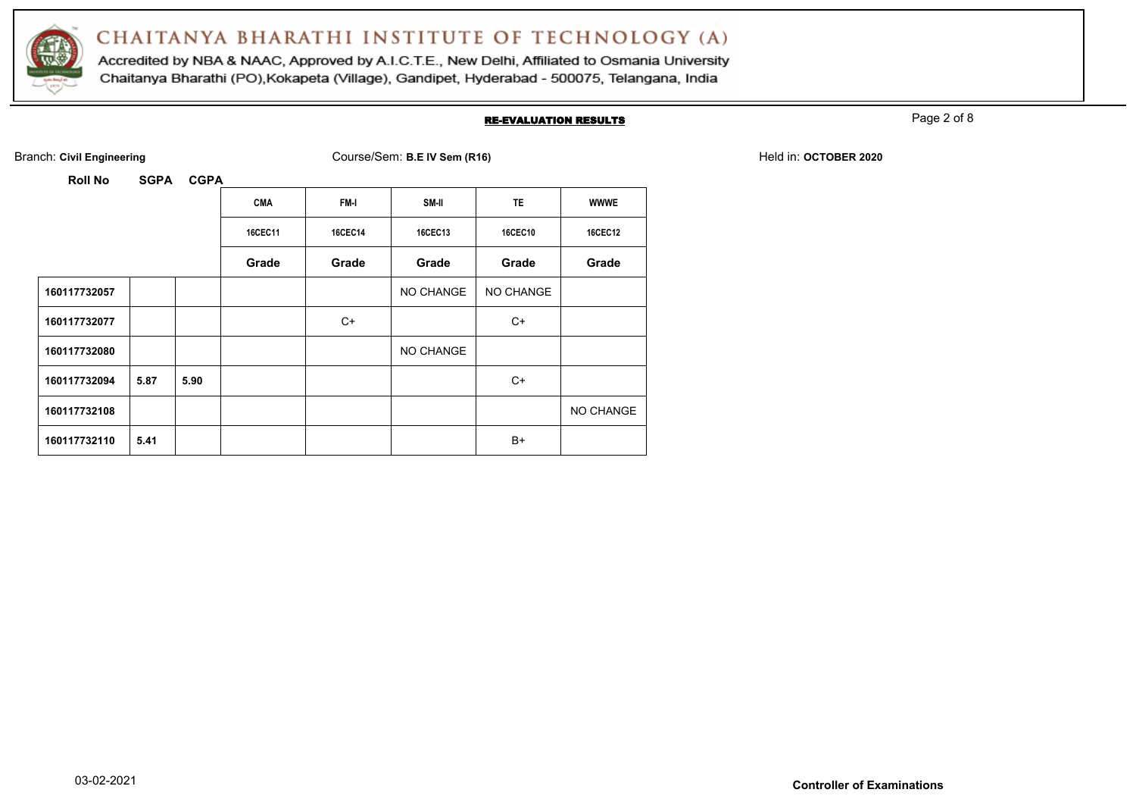

Accredited by NBA & NAAC, Approved by A.I.C.T.E., New Delhi, Affiliated to Osmania University Chaitanya Bharathi (PO), Kokapeta (Village), Gandipet, Hyderabad - 500075, Telangana, India

#### RE-EVALUATION RESULTS

Page 2 of 8

| <b>Roll No</b> | <b>SGPA</b> | <b>CGPA</b> |                |                |           |                |                |
|----------------|-------------|-------------|----------------|----------------|-----------|----------------|----------------|
|                |             |             | <b>CMA</b>     | FM-I           | SM-II     | <b>TE</b>      | <b>WWWE</b>    |
|                |             |             | <b>16CEC11</b> | <b>16CEC14</b> | 16CEC13   | <b>16CEC10</b> | <b>16CEC12</b> |
|                |             |             | Grade          | Grade          | Grade     | Grade          | Grade          |
| 160117732057   |             |             |                |                | NO CHANGE | NO CHANGE      |                |
| 160117732077   |             |             |                | $C+$           |           | $C+$           |                |
| 160117732080   |             |             |                |                | NO CHANGE |                |                |
| 160117732094   | 5.87        | 5.90        |                |                |           | $C+$           |                |
| 160117732108   |             |             |                |                |           |                | NO CHANGE      |
| 160117732110   | 5.41        |             |                |                |           | $B+$           |                |

Branch: Civil Engineering **COULS EXECUTE:** Course/Sem: B.E IV Sem (R16) Held in: OCTOBER 2020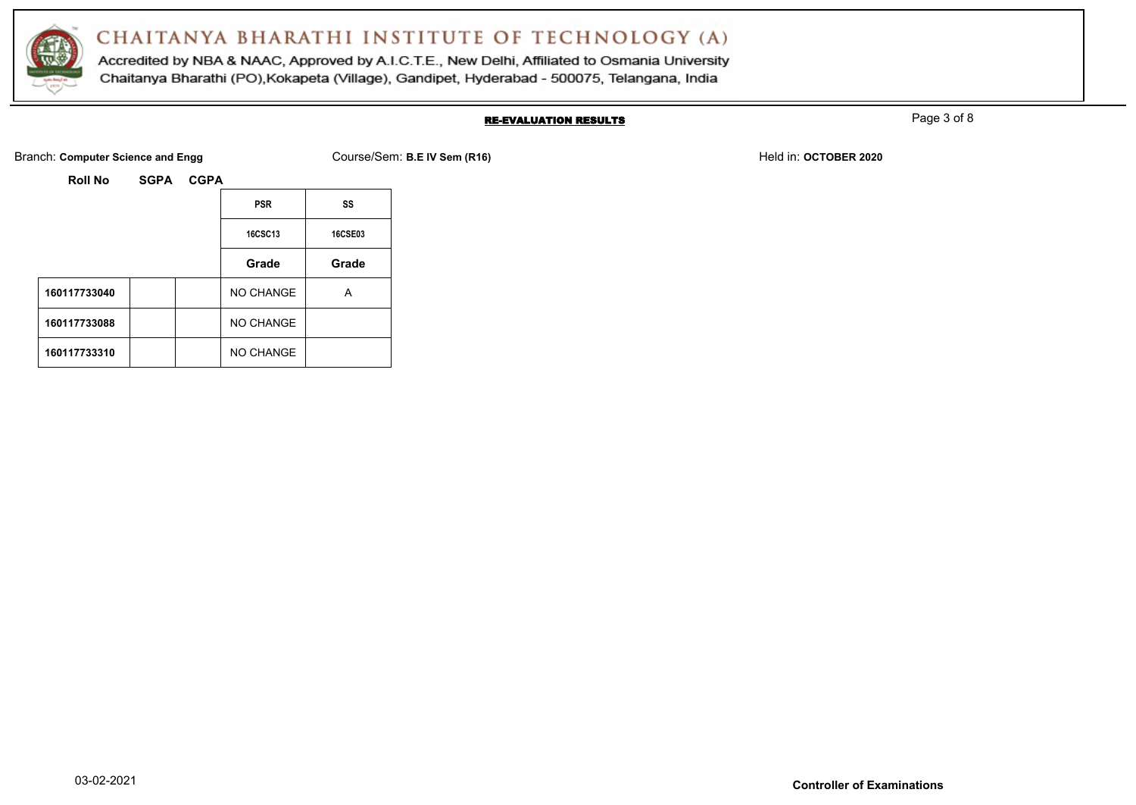

Accredited by NBA & NAAC, Approved by A.I.C.T.E., New Delhi, Affiliated to Osmania University Chaitanya Bharathi (PO), Kokapeta (Village), Gandipet, Hyderabad - 500075, Telangana, India

### RE-EVALUATION RESULTS

Page 3 of 8

Branch: **Computer Science and Engg Course/Sem: B.E IV Sem (R16)** Branch: **B.E IV Sem (R16)** Held in: **OCTOBER 2020** 

|              | <b>PSR</b>       | SS             |
|--------------|------------------|----------------|
|              | <b>16CSC13</b>   | <b>16CSE03</b> |
|              | Grade            | Grade          |
| 160117733040 | <b>NO CHANGE</b> | А              |
| 160117733088 | NO CHANGE        |                |
| 160117733310 | NO CHANGE        |                |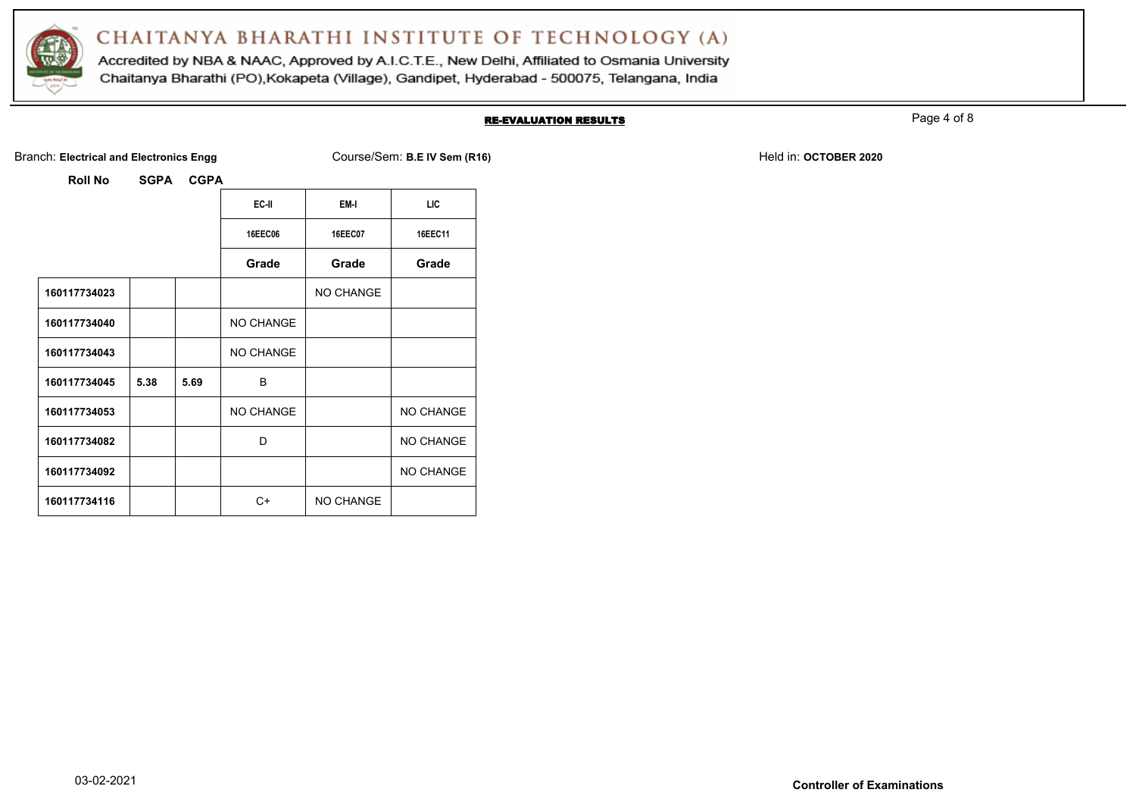

Accredited by NBA & NAAC, Approved by A.I.C.T.E., New Delhi, Affiliated to Osmania University Chaitanya Bharathi (PO), Kokapeta (Village), Gandipet, Hyderabad - 500075, Telangana, India

#### RE-EVALUATION RESULTS

Page 4 of 8

Branch: Electrical and Electronics Engg **Course/Sem: B.E IV Sem (R16)** Branch: **B.E IV Sem (R16)** Held in: OCTOBER 2020

|              |      |         | EC-II     | EM-I             | LIC       |
|--------------|------|---------|-----------|------------------|-----------|
|              |      | 16EEC06 | 16EEC07   | 16EEC11          |           |
|              |      |         | Grade     | Grade            | Grade     |
| 160117734023 |      |         |           | <b>NO CHANGE</b> |           |
| 160117734040 |      |         | NO CHANGE |                  |           |
| 160117734043 |      |         | NO CHANGE |                  |           |
| 160117734045 | 5.38 | 5.69    | B         |                  |           |
| 160117734053 |      |         | NO CHANGE |                  | NO CHANGE |
| 160117734082 |      |         | D         |                  | NO CHANGE |
| 160117734092 |      |         |           |                  | NO CHANGE |
| 160117734116 |      |         | $C+$      | <b>NO CHANGE</b> |           |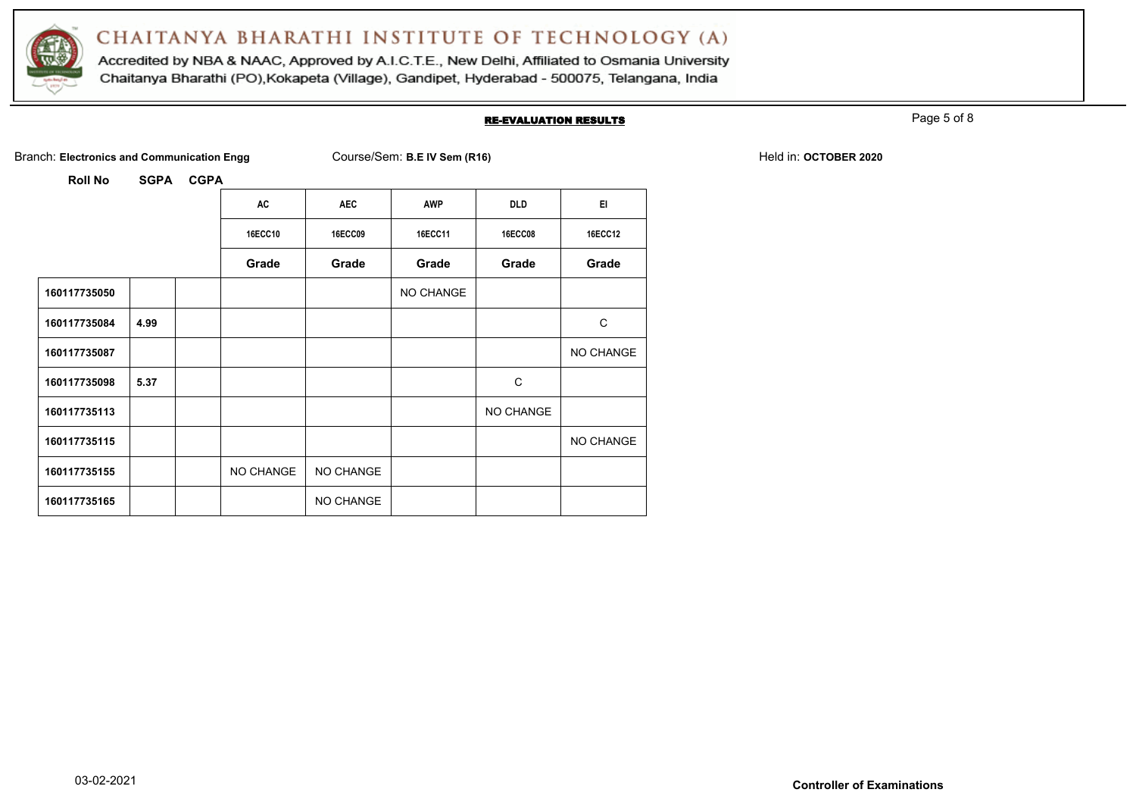

Accredited by NBA & NAAC, Approved by A.I.C.T.E., New Delhi, Affiliated to Osmania University Chaitanya Bharathi (PO), Kokapeta (Village), Gandipet, Hyderabad - 500075, Telangana, India

#### RE-EVALUATION RESULTS

Page 5 of 8

Branch: Electronics and Communication Engg Course/Sem: B.E IV Sem (R16) **Branch: Electronics and Communication Engg** 

|              |      | AC             | <b>AEC</b>     | <b>AWP</b> | <b>DLD</b>     | EI.            |
|--------------|------|----------------|----------------|------------|----------------|----------------|
|              |      | <b>16ECC10</b> | <b>16ECC09</b> | 16ECC11    | <b>16ECC08</b> | <b>16ECC12</b> |
|              |      | Grade          | Grade          | Grade      | Grade          | Grade          |
| 160117735050 |      |                |                | NO CHANGE  |                |                |
| 160117735084 | 4.99 |                |                |            |                | C              |
| 160117735087 |      |                |                |            |                | NO CHANGE      |
| 160117735098 | 5.37 |                |                |            | C              |                |
| 160117735113 |      |                |                |            | NO CHANGE      |                |
| 160117735115 |      |                |                |            |                | NO CHANGE      |
| 160117735155 |      | NO CHANGE      | NO CHANGE      |            |                |                |
| 160117735165 |      |                | NO CHANGE      |            |                |                |
|              |      |                |                |            |                |                |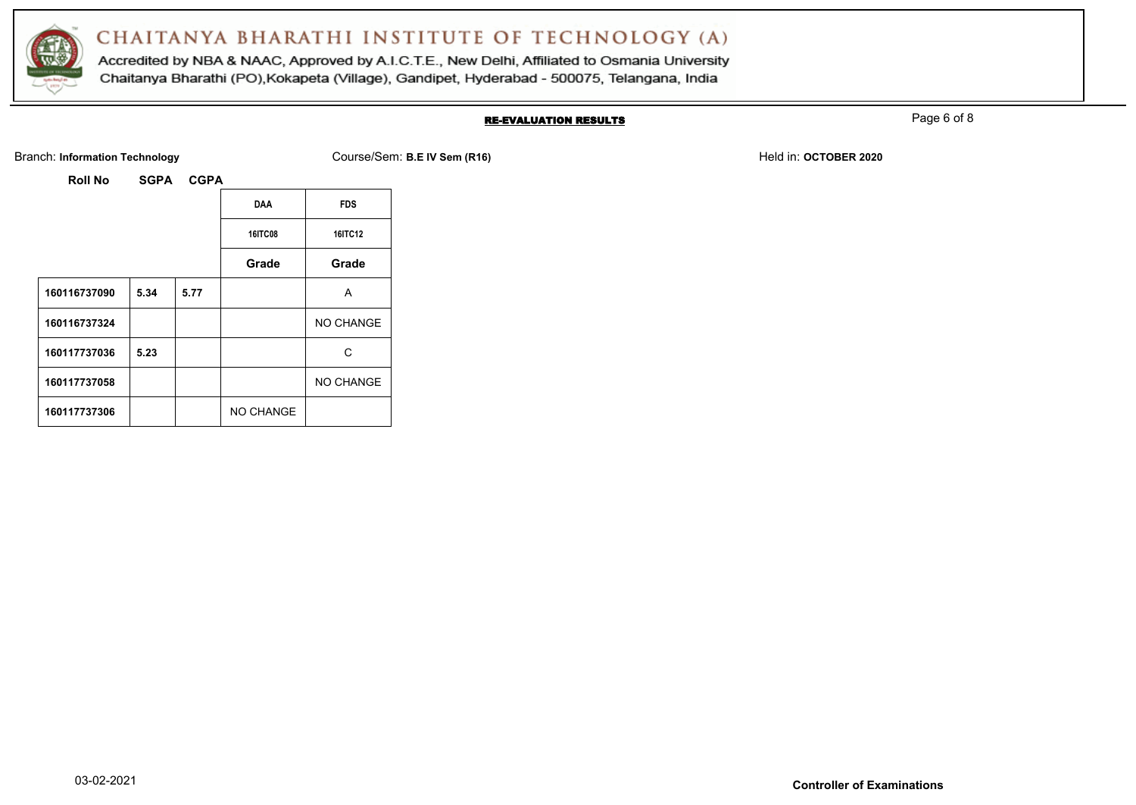

Accredited by NBA & NAAC, Approved by A.I.C.T.E., New Delhi, Affiliated to Osmania University Chaitanya Bharathi (PO), Kokapeta (Village), Gandipet, Hyderabad - 500075, Telangana, India

#### RE-EVALUATION RESULTS

Page 6 of 8

Branch: Information Technology **Course/Sem: B.E IV Sem (R16)** Branch: Information Technology Held in: OCTOBER 2020

| Roll No | <b>SGPA</b> |
|---------|-------------|
|         |             |

|              |      |      | <b>DAA</b>     | <b>FDS</b> |
|--------------|------|------|----------------|------------|
|              |      |      | <b>16ITC08</b> | 16ITC12    |
|              |      |      | Grade          | Grade      |
| 160116737090 | 5.34 | 5.77 |                | A          |
| 160116737324 |      |      |                | NO CHANGE  |
| 160117737036 | 5.23 |      |                | С          |
| 160117737058 |      |      |                | NO CHANGE  |
| 160117737306 |      |      | NO CHANGE      |            |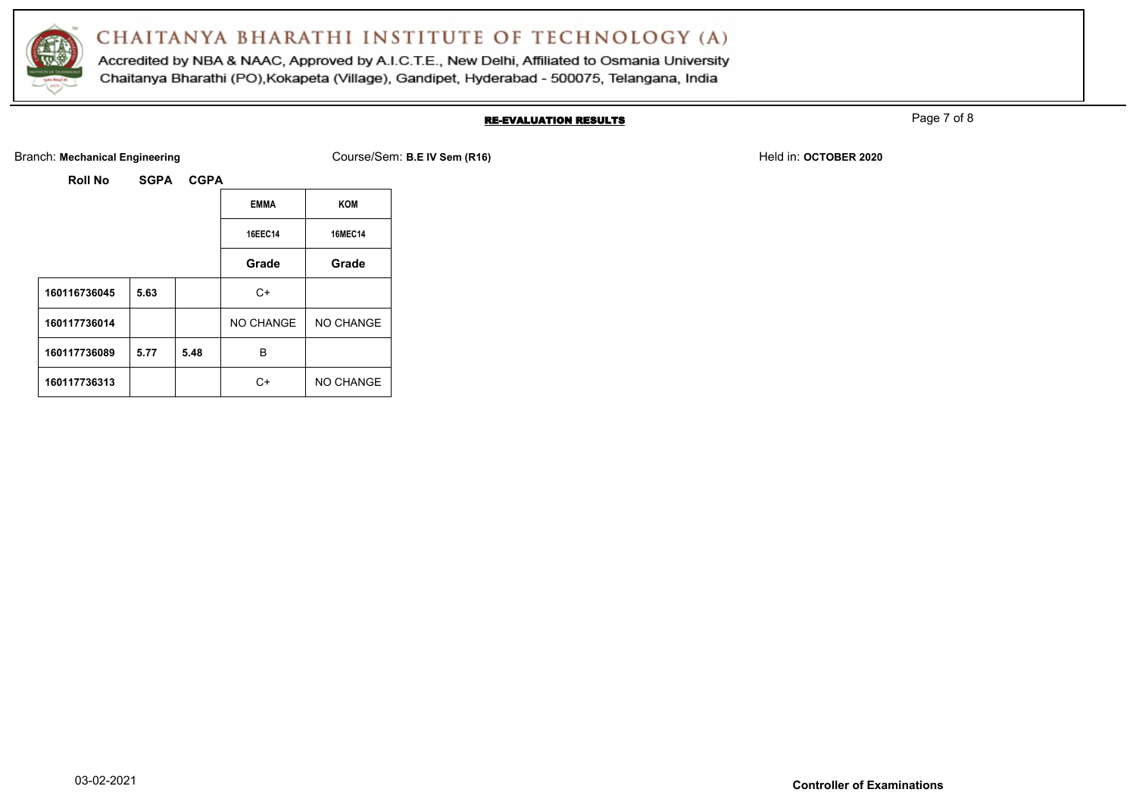

Accredited by NBA & NAAC, Approved by A.I.C.T.E., New Delhi, Affiliated to Osmania University Chaitanya Bharathi (PO), Kokapeta (Village), Gandipet, Hyderabad - 500075, Telangana, India

### RE-EVALUATION RESULTS

Page 7 of 8

Branch: Mechanical Engineering **Course/Sem: B.E IV Sem (R16)** Branch: Mechanical Engineering **Held in: OCTOBER 2020** 

|              |      |      | <b>EMMA</b> | <b>KOM</b>       |
|--------------|------|------|-------------|------------------|
|              |      |      | 16EEC14     | <b>16MEC14</b>   |
|              |      |      | Grade       | Grade            |
| 160116736045 | 5.63 |      | $C+$        |                  |
| 160117736014 |      |      | NO CHANGE   | NO CHANGE        |
| 160117736089 | 5.77 | 5.48 | B           |                  |
| 160117736313 |      |      | r.          | <b>NO CHANGE</b> |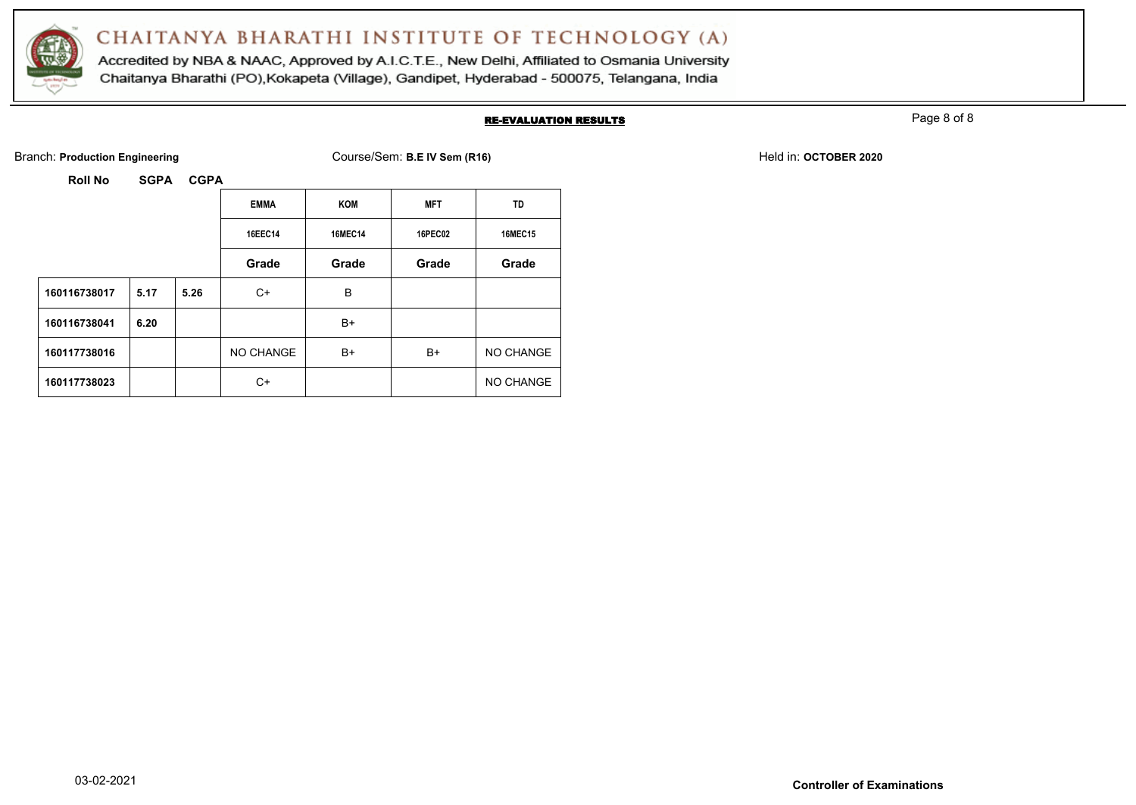

Accredited by NBA & NAAC, Approved by A.I.C.T.E., New Delhi, Affiliated to Osmania University Chaitanya Bharathi (PO), Kokapeta (Village), Gandipet, Hyderabad - 500075, Telangana, India

#### RE-EVALUATION RESULTS

Page 8 of 8

Branch: **Production Engineering Course/Sem: B.E IV Sem (R16)** Branch: **Production Engineering Held in: OCTOBER 2020** 

|              |      |      | <b>EMMA</b> | <b>KOM</b>     | <b>MFT</b>     | <b>TD</b>      |
|--------------|------|------|-------------|----------------|----------------|----------------|
|              |      |      | 16EEC14     | <b>16MEC14</b> | <b>16PEC02</b> | <b>16MEC15</b> |
|              |      |      | Grade       | Grade          | Grade          | Grade          |
| 160116738017 | 5.17 | 5.26 | C+          | B              |                |                |
| 160116738041 | 6.20 |      |             | B+             |                |                |
| 160117738016 |      |      | NO CHANGE   | B+             | B+             | NO CHANGE      |
| 160117738023 |      |      | C+          |                |                | NO CHANGE      |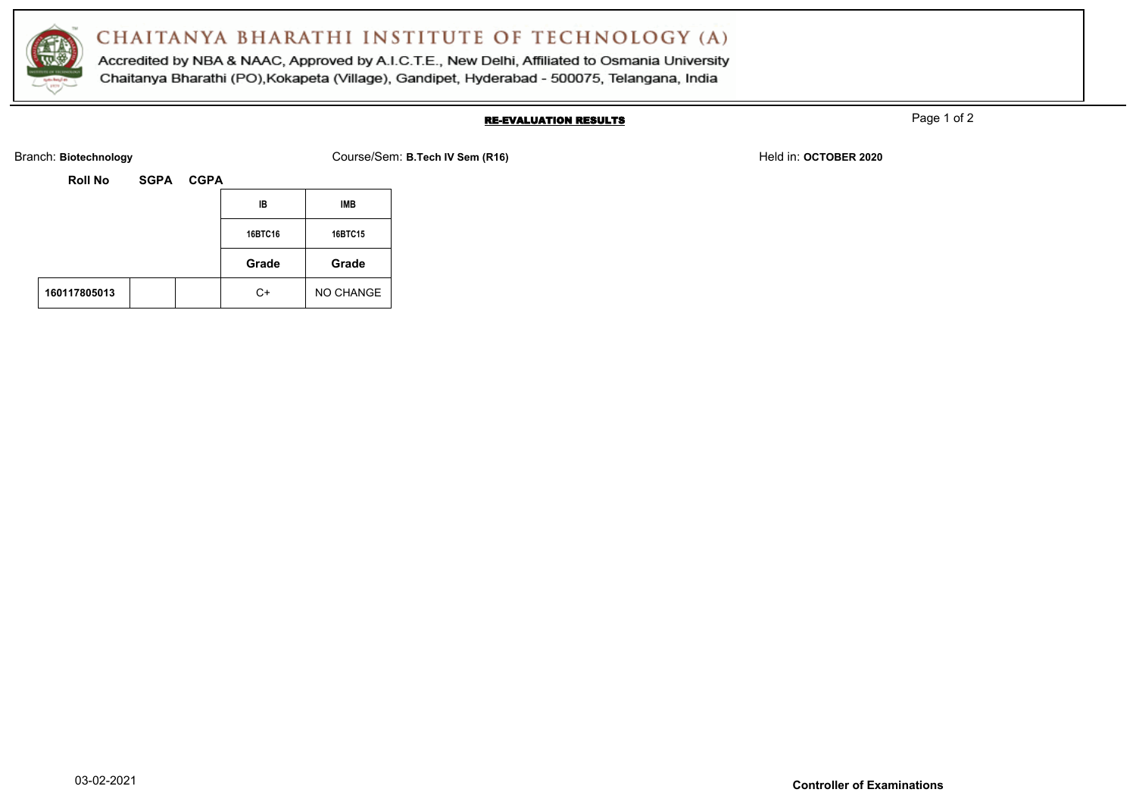

Accredited by NBA & NAAC, Approved by A.I.C.T.E., New Delhi, Affiliated to Osmania University Chaitanya Bharathi (PO), Kokapeta (Village), Gandipet, Hyderabad - 500075, Telangana, India

### RE-EVALUATION RESULTS

Page 1 of 2

Branch: Biotechnology **Course/Sem: B.Tech IV Sem (R16)** Branch: Biotechnology Held in: OCTOBER 2020

| <b>Roll No</b> | <b>SGPA</b> | <b>CGPA</b> |         |           |
|----------------|-------------|-------------|---------|-----------|
|                |             |             | IB      | IMB       |
|                |             |             | 16BTC16 | 16BTC15   |
|                |             |             | Grade   | Grade     |
| 160117805013   |             |             | C+      | NO CHANGE |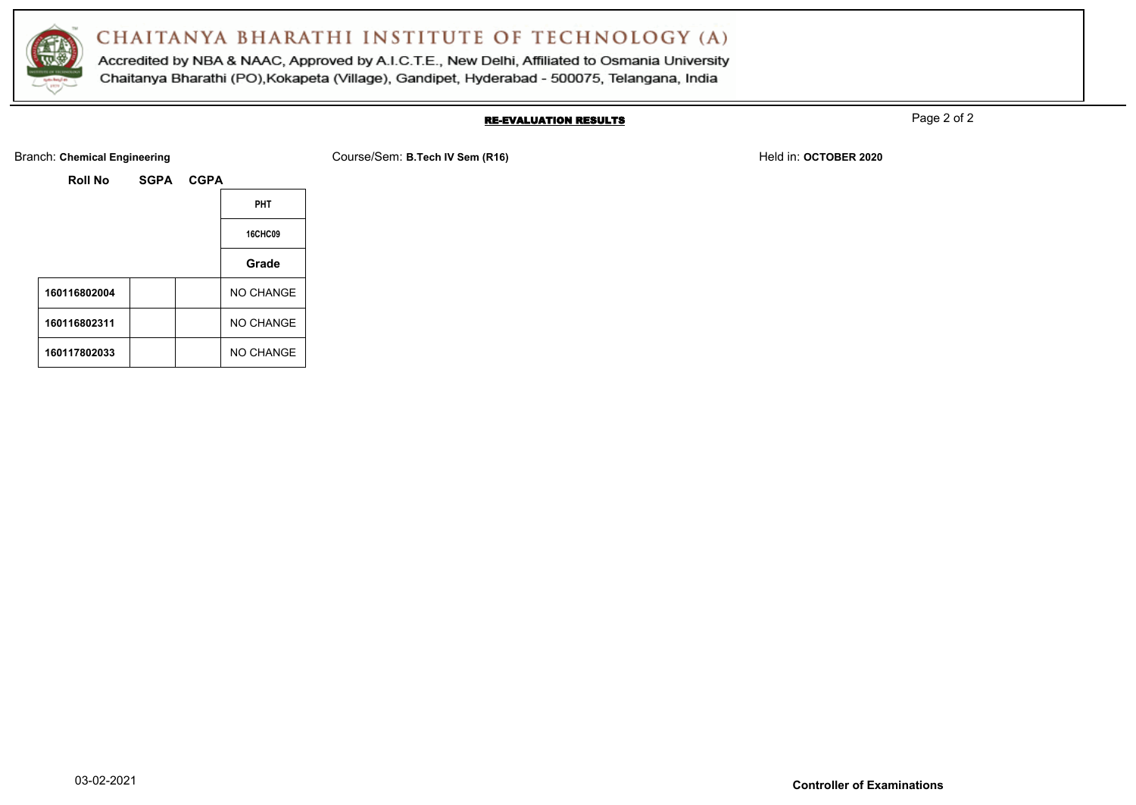

Accredited by NBA & NAAC, Approved by A.I.C.T.E., New Delhi, Affiliated to Osmania University Chaitanya Bharathi (PO), Kokapeta (Village), Gandipet, Hyderabad - 500075, Telangana, India

#### RE-EVALUATION RESULTS

Page 2 of 2

Branch: Chemical Engineering **COURSER 2020** Course/Sem: B.Tech IV Sem (R16) **Held in: OCTOBER 2020** Held in: OCTOBER 2020

| <b>Roll No</b> | SGPA CGPA |                  |
|----------------|-----------|------------------|
|                |           | <b>PHT</b>       |
|                |           | <b>16CHC09</b>   |
|                |           | Grade            |
| 160116802004   |           | <b>NO CHANGE</b> |
| 160116802311   |           | <b>NO CHANGE</b> |
| 160117802033   |           | <b>NO CHANGE</b> |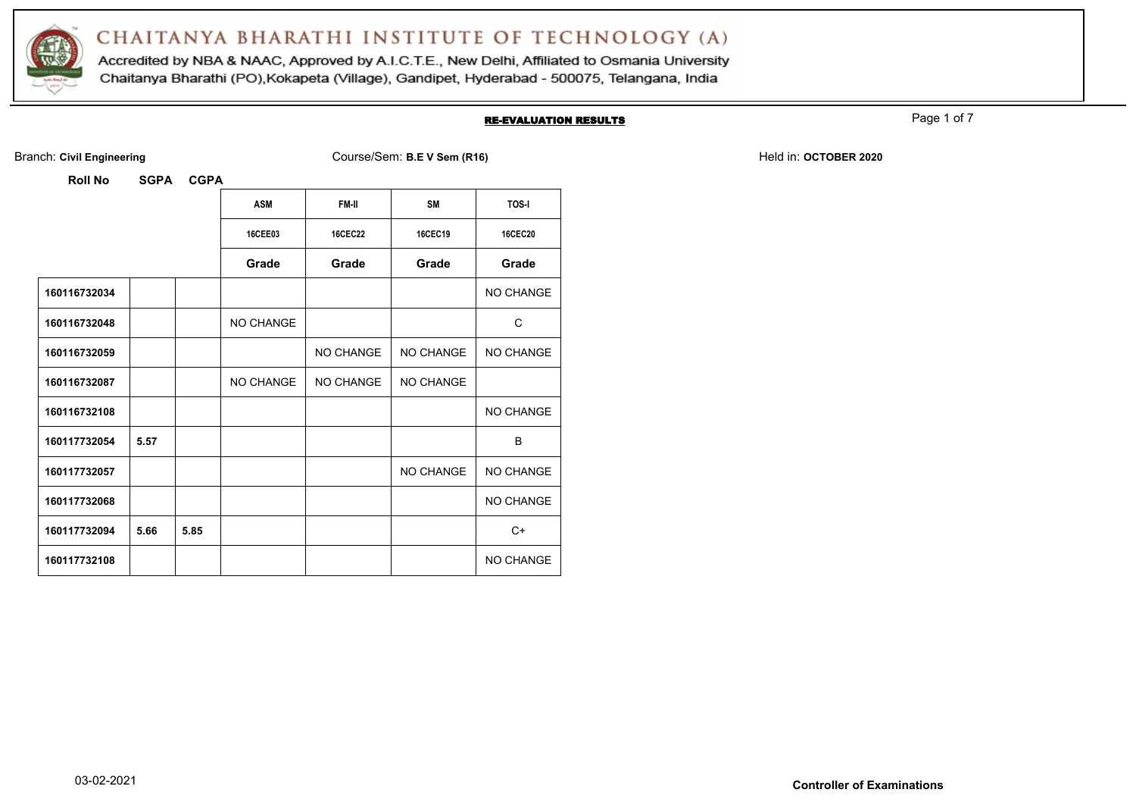

Accredited by NBA & NAAC, Approved by A.I.C.T.E., New Delhi, Affiliated to Osmania University Chaitanya Bharathi (PO), Kokapeta (Village), Gandipet, Hyderabad - 500075, Telangana, India

#### RE-EVALUATION RESULTS

Page 1 of 7

Branch: Civil Engineering **COULS EXECUTE:** Course/Sem: B.E V Sem (R16) Held in: OCTOBER 2020

| ROII NO      | SGPA | <b>GGPA</b> |                  |                |                  |                  |
|--------------|------|-------------|------------------|----------------|------------------|------------------|
|              |      |             | <b>ASM</b>       | FM-II          | <b>SM</b>        | <b>TOS-I</b>     |
|              |      |             | <b>16CEE03</b>   | <b>16CEC22</b> | 16CEC19          | <b>16CEC20</b>   |
|              |      |             | Grade            | Grade          | Grade            | Grade            |
| 160116732034 |      |             |                  |                |                  | NO CHANGE        |
| 160116732048 |      |             | <b>NO CHANGE</b> |                |                  | C                |
| 160116732059 |      |             |                  | NO CHANGE      | NO CHANGE        | NO CHANGE        |
| 160116732087 |      |             | NO CHANGE        | NO CHANGE      | <b>NO CHANGE</b> |                  |
| 160116732108 |      |             |                  |                |                  | <b>NO CHANGE</b> |
| 160117732054 | 5.57 |             |                  |                |                  | B                |
| 160117732057 |      |             |                  |                | NO CHANGE        | NO CHANGE        |
| 160117732068 |      |             |                  |                |                  | NO CHANGE        |
| 160117732094 | 5.66 | 5.85        |                  |                |                  | $C+$             |
| 160117732108 |      |             |                  |                |                  | <b>NO CHANGE</b> |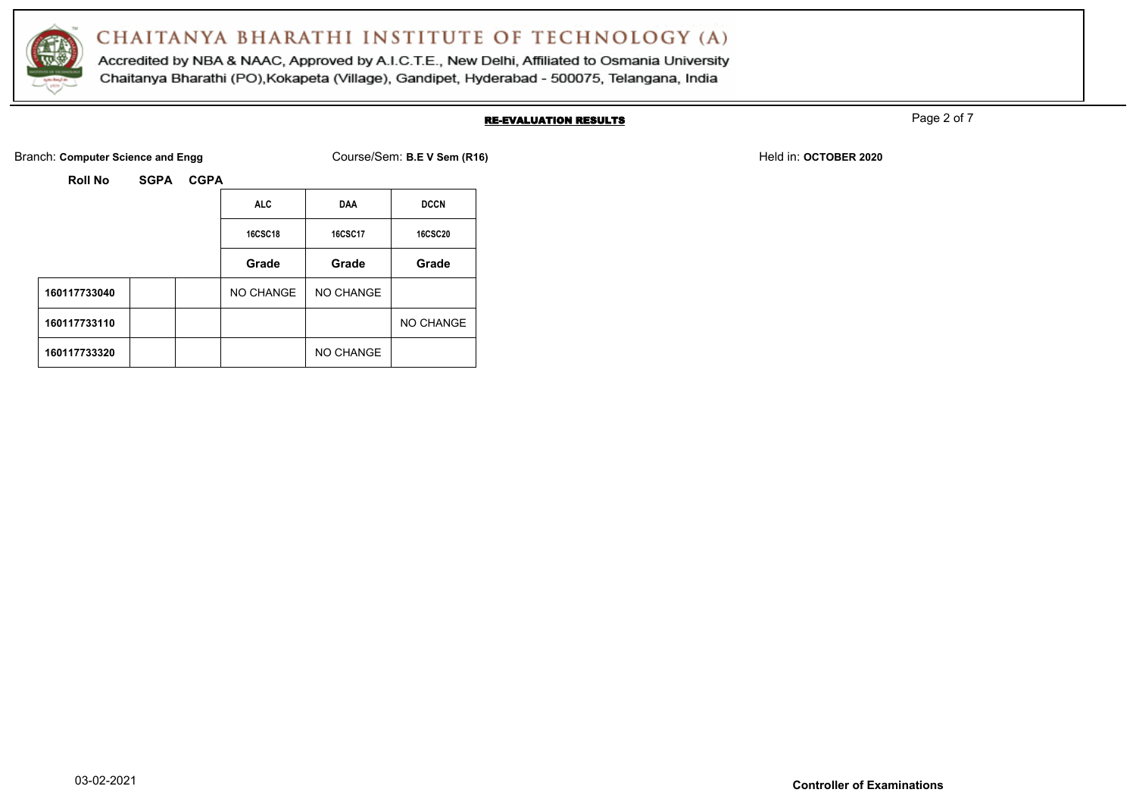

Accredited by NBA & NAAC, Approved by A.I.C.T.E., New Delhi, Affiliated to Osmania University Chaitanya Bharathi (PO), Kokapeta (Village), Gandipet, Hyderabad - 500075, Telangana, India

#### RE-EVALUATION RESULTS

Page 2 of 7

Branch: **Computer Science and Engg** Course/Sem: **B.E V Sem (R16)** Held in: **OCTOBER 2020** Held in: **OCTOBER 2020** 

| <b>SGPA</b><br>Roll No |  |
|------------------------|--|
|------------------------|--|

|              | <b>ALC</b>     | <b>DAA</b>     | <b>DCCN</b>      |
|--------------|----------------|----------------|------------------|
|              | <b>16CSC18</b> | <b>16CSC17</b> | <b>16CSC20</b>   |
|              | Grade          | Grade          | Grade            |
| 160117733040 | NO CHANGE      | NO CHANGE      |                  |
| 160117733110 |                |                | <b>NO CHANGE</b> |
| 160117733320 |                | NO CHANGE      |                  |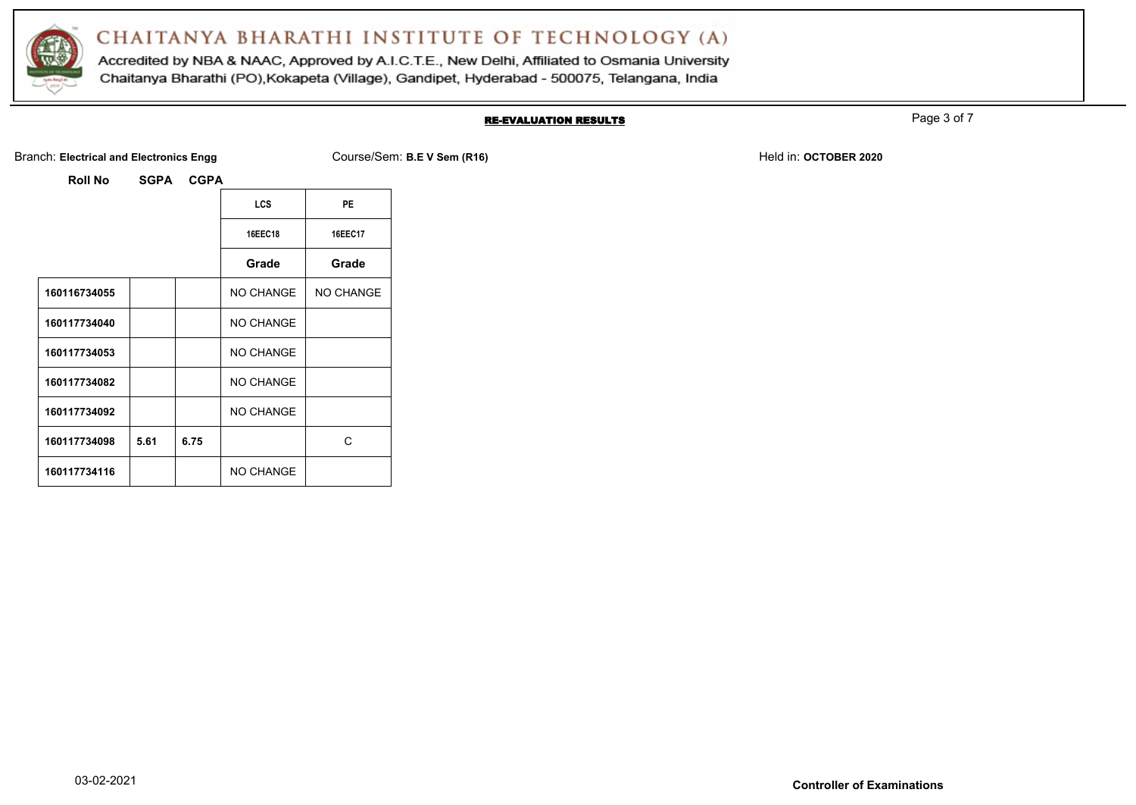

Accredited by NBA & NAAC, Approved by A.I.C.T.E., New Delhi, Affiliated to Osmania University Chaitanya Bharathi (PO), Kokapeta (Village), Gandipet, Hyderabad - 500075, Telangana, India

#### RE-EVALUATION RESULTS

Page 3 of 7

Branch: Electrical and Electronics Engg **Course/Sem: B.E V Sem (R16)** Branch: **B.E W Sem (R16)** Held in: OCTOBER 2020

|              |      |      | <b>LCS</b>       | PE             |
|--------------|------|------|------------------|----------------|
|              |      |      | <b>16EEC18</b>   | <b>16EEC17</b> |
|              |      |      | Grade            | Grade          |
| 160116734055 |      |      | NO CHANGE        | NO CHANGE      |
| 160117734040 |      |      | NO CHANGE        |                |
| 160117734053 |      |      | NO CHANGE        |                |
| 160117734082 |      |      | <b>NO CHANGE</b> |                |
| 160117734092 |      |      | <b>NO CHANGE</b> |                |
| 160117734098 | 5.61 | 6.75 |                  | C              |
| 160117734116 |      |      | <b>NO CHANGE</b> |                |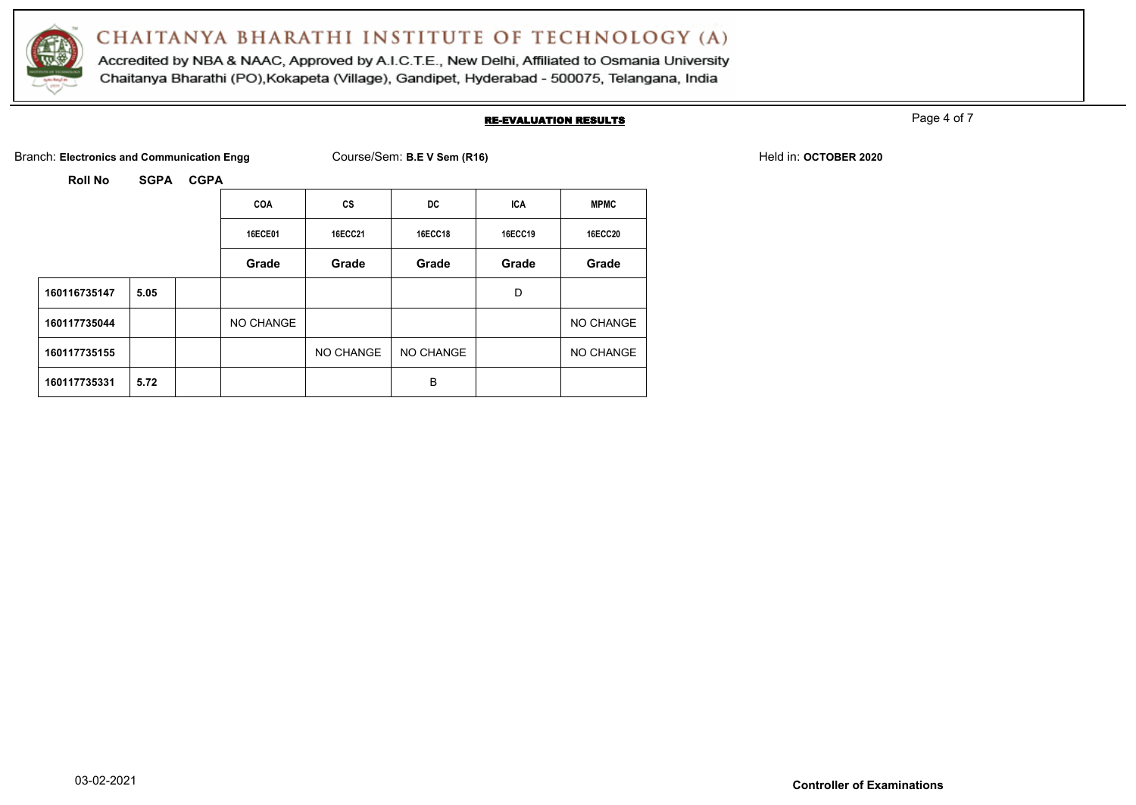

Accredited by NBA & NAAC, Approved by A.I.C.T.E., New Delhi, Affiliated to Osmania University Chaitanya Bharathi (PO), Kokapeta (Village), Gandipet, Hyderabad - 500075, Telangana, India

#### RE-EVALUATION RESULTS

Page 4 of 7

Branch: Electronics and Communication Engg Course/Sem: B.E V Sem (R16) **Held in: OCTOBER 2020** Held in: **OCTOBER 2020** 

|              |      | <b>COA</b>     | <b>CS</b> | DC             | <b>ICA</b>     | <b>MPMC</b>    |
|--------------|------|----------------|-----------|----------------|----------------|----------------|
|              |      | <b>16ECE01</b> | 16ECC21   | <b>16ECC18</b> | <b>16ECC19</b> | <b>16ECC20</b> |
|              |      | Grade          | Grade     | Grade          | Grade          | Grade          |
| 160116735147 | 5.05 |                |           |                | D              |                |
| 160117735044 |      | NO CHANGE      |           |                |                | NO CHANGE      |
| 160117735155 |      |                | NO CHANGE | NO CHANGE      |                | NO CHANGE      |
| 160117735331 | 5.72 |                |           | B              |                |                |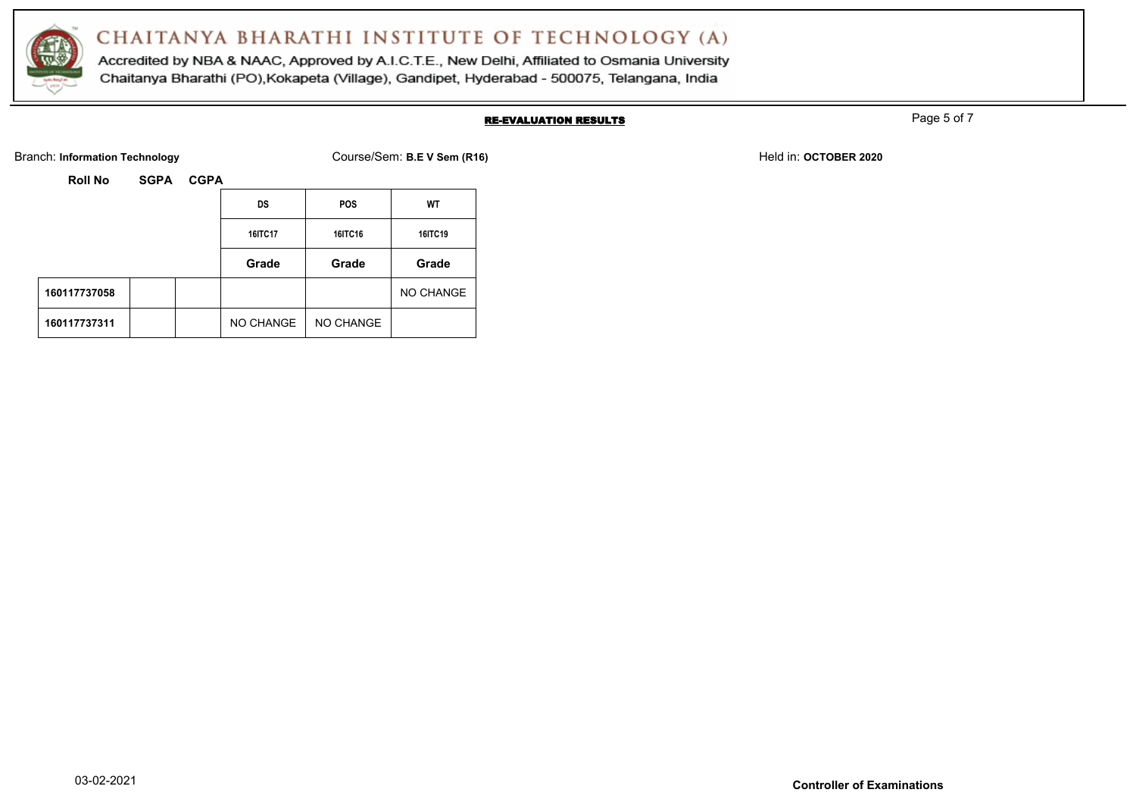

Accredited by NBA & NAAC, Approved by A.I.C.T.E., New Delhi, Affiliated to Osmania University Chaitanya Bharathi (PO), Kokapeta (Village), Gandipet, Hyderabad - 500075, Telangana, India

#### RE-EVALUATION RESULTS

Page 5 of 7

Branch: Information Technology **Course/Sem: B.E V Sem (R16)** Branch: Information Technology Held in: **OCTOBER 2020** 

| <b>Roll No</b> | <b>SGPA</b><br><b>CGPA</b> |         |           |            |           |  |  |
|----------------|----------------------------|---------|-----------|------------|-----------|--|--|
|                |                            |         | DS        | <b>POS</b> | WT        |  |  |
|                |                            | 16ITC17 | 16ITC16   | 16ITC19    |           |  |  |
|                |                            |         | Grade     | Grade      | Grade     |  |  |
| 160117737058   |                            |         |           |            | NO CHANGE |  |  |
| 160117737311   |                            |         | NO CHANGE | NO CHANGE  |           |  |  |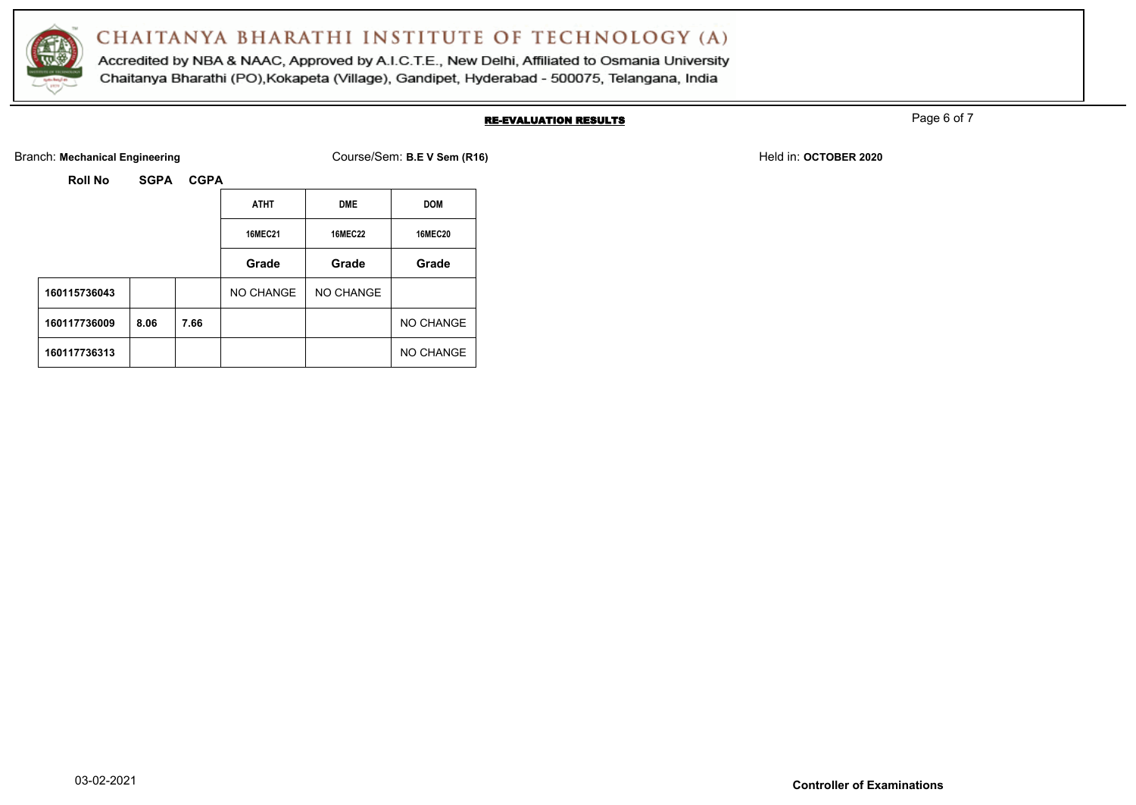

Accredited by NBA & NAAC, Approved by A.I.C.T.E., New Delhi, Affiliated to Osmania University Chaitanya Bharathi (PO), Kokapeta (Village), Gandipet, Hyderabad - 500075, Telangana, India

### RE-EVALUATION RESULTS

Page 6 of 7

Branch: Mechanical Engineering **Course/Sem: B.E V Sem (R16)** Branch: Mechanical Engineering **Held in: OCTOBER 2020** 

| Roll No | <b>SGPA</b> | <b>CGPA</b> |
|---------|-------------|-------------|
|         |             |             |

|              |      |      | <b>ATHT</b>    | <b>DME</b>     | <b>DOM</b>     |
|--------------|------|------|----------------|----------------|----------------|
|              |      |      | <b>16MEC21</b> | <b>16MEC22</b> | <b>16MEC20</b> |
|              |      |      | Grade          | Grade          | Grade          |
| 160115736043 |      |      | NO CHANGE      | NO CHANGE      |                |
| 160117736009 | 8.06 | 7.66 |                |                | NO CHANGE      |
| 160117736313 |      |      |                |                | NO CHANGE      |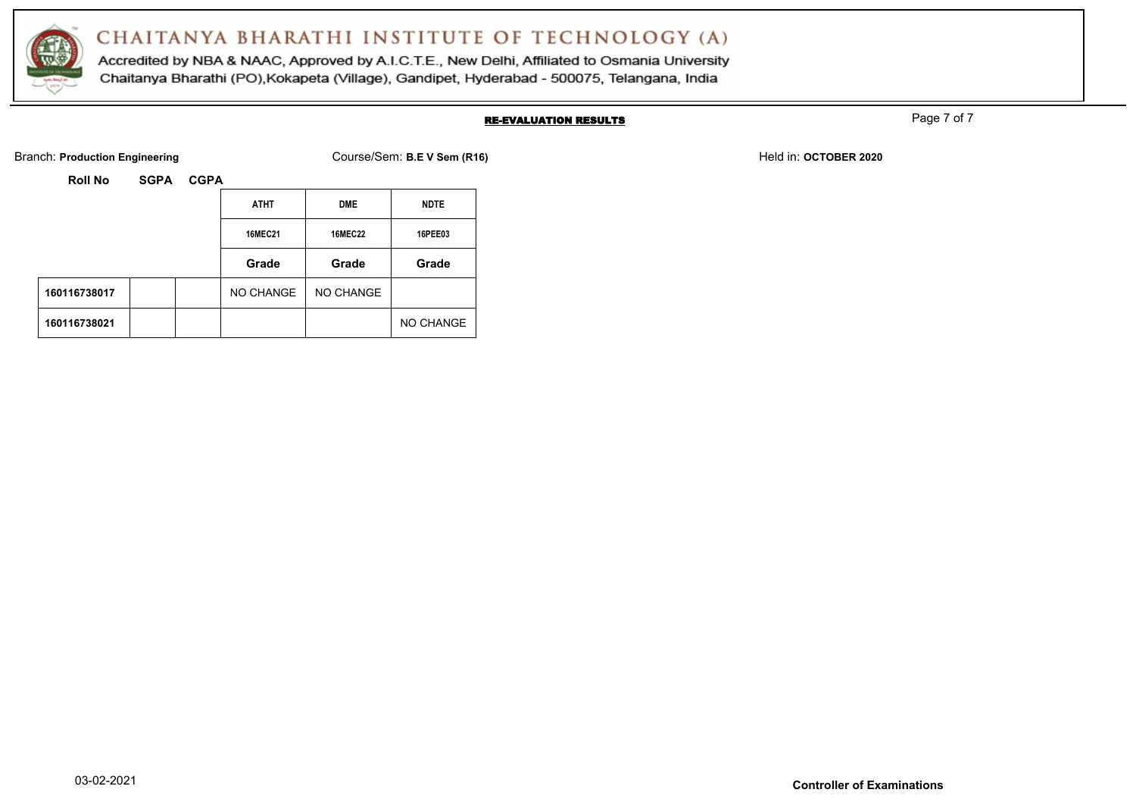

Accredited by NBA & NAAC, Approved by A.I.C.T.E., New Delhi, Affiliated to Osmania University Chaitanya Bharathi (PO), Kokapeta (Village), Gandipet, Hyderabad - 500075, Telangana, India

#### RE-EVALUATION RESULTS

Page 7 of 7

Branch: **Production Engineering Course/Sem: B.E V Sem (R16)** Branch: **Production Engineering Held in: OCTOBER 2020** 

|              |  | <b>ATHT</b>    | <b>DME</b>     | <b>NDTE</b>    |
|--------------|--|----------------|----------------|----------------|
|              |  | <b>16MEC21</b> | <b>16MEC22</b> | <b>16PEE03</b> |
|              |  | Grade          | Grade          | Grade          |
| 160116738017 |  | NO CHANGE      | NO CHANGE      |                |
| 160116738021 |  |                |                | NO CHANGE      |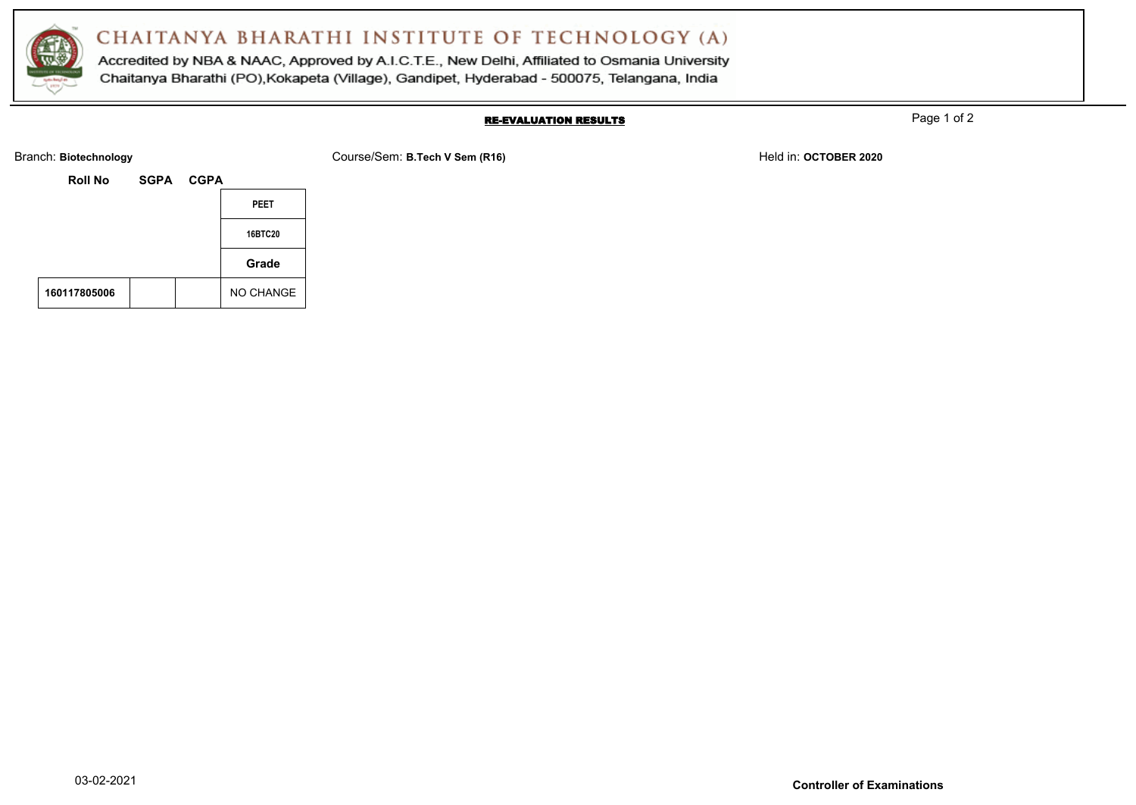

Accredited by NBA & NAAC, Approved by A.I.C.T.E., New Delhi, Affiliated to Osmania University Chaitanya Bharathi (PO), Kokapeta (Village), Gandipet, Hyderabad - 500075, Telangana, India

#### RE-EVALUATION RESULTS

Page 1 of 2

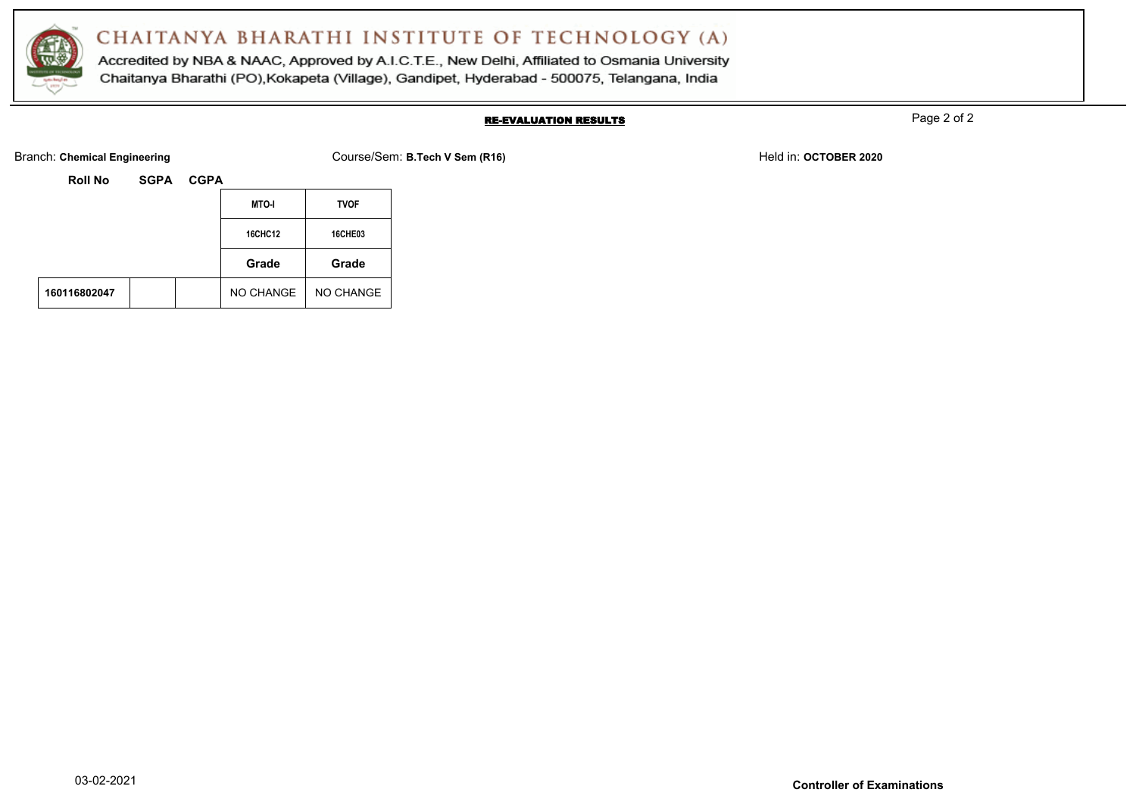

Accredited by NBA & NAAC, Approved by A.I.C.T.E., New Delhi, Affiliated to Osmania University Chaitanya Bharathi (PO), Kokapeta (Village), Gandipet, Hyderabad - 500075, Telangana, India

### RE-EVALUATION RESULTS

Page 2 of 2

Branch: Chemical Engineering **COURSER 2020** Course/Sem: B.Tech V Sem (R16) **Branch: Chemical Engineering Held in: OCTOBER 2020** 

| <b>Roll No</b> | <b>SGPA</b> | <b>CGPA</b> |                |             |
|----------------|-------------|-------------|----------------|-------------|
|                |             |             | <b>MTO-I</b>   | <b>TVOF</b> |
|                |             |             | <b>16CHC12</b> | 16CHE03     |
|                |             |             | Grade          | Grade       |
| 160116802047   |             |             | NO CHANGE      | NO CHANGE   |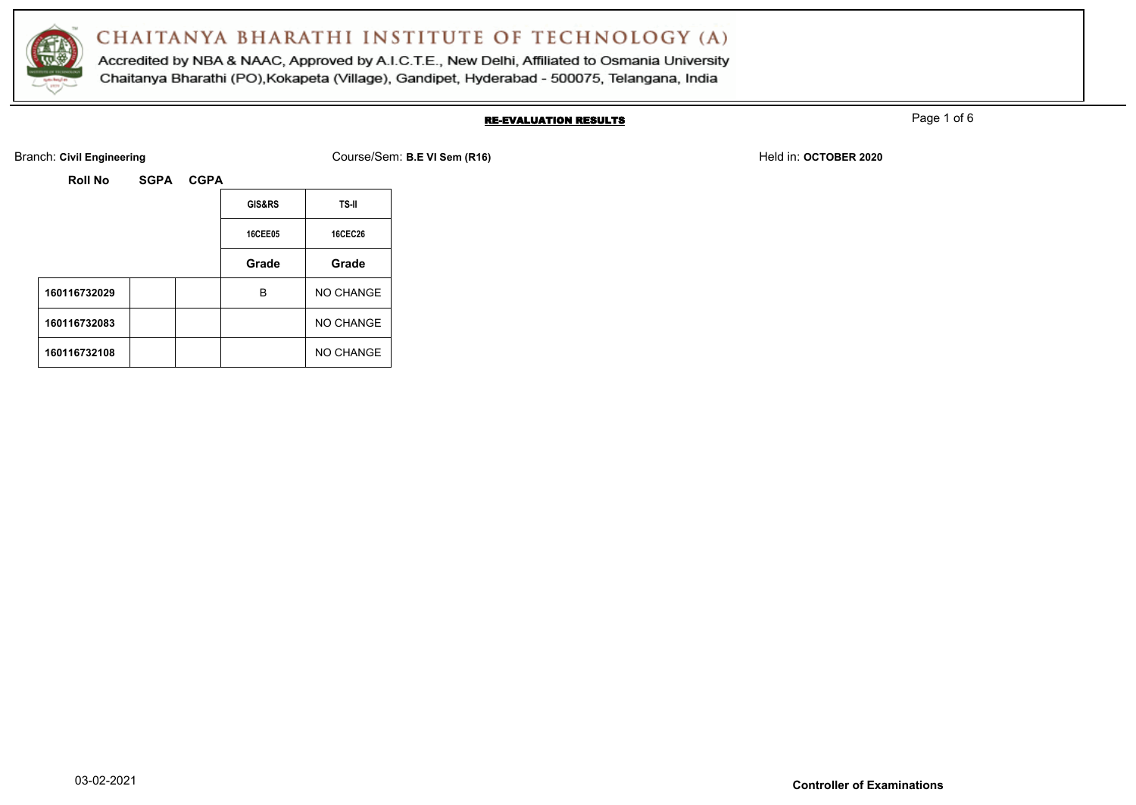

Accredited by NBA & NAAC, Approved by A.I.C.T.E., New Delhi, Affiliated to Osmania University Chaitanya Bharathi (PO), Kokapeta (Village), Gandipet, Hyderabad - 500075, Telangana, India

### RE-EVALUATION RESULTS

Page 1 of 6

Branch: Civil Engineering **COULS EXECUTE:** Course/Sem: B.E VI Sem (R16) Held in: OCTOBER 2020

| <b>Roll No</b> | <b>SGPA</b> | <b>CGPA</b> |                |                |
|----------------|-------------|-------------|----------------|----------------|
|                |             |             | GIS&RS         | <b>TS-II</b>   |
|                |             |             | <b>16CEE05</b> | <b>16CEC26</b> |
|                |             |             | Grade          | Grade          |
| 160116732029   |             |             | B              | NO CHANGE      |
| 160116732083   |             |             |                | NO CHANGE      |
| 160116732108   |             |             |                | NO CHANGE      |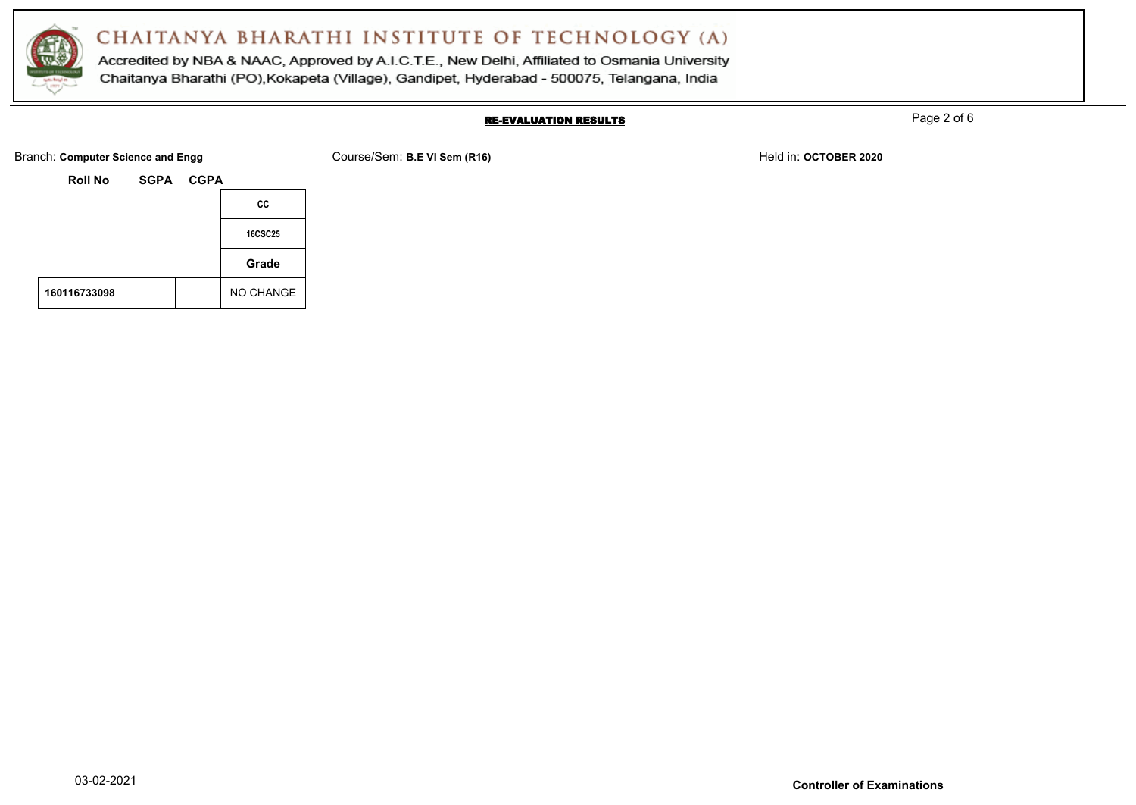

Accredited by NBA & NAAC, Approved by A.I.C.T.E., New Delhi, Affiliated to Osmania University Chaitanya Bharathi (PO), Kokapeta (Village), Gandipet, Hyderabad - 500075, Telangana, India

#### RE-EVALUATION RESULTS

Page 2 of 6

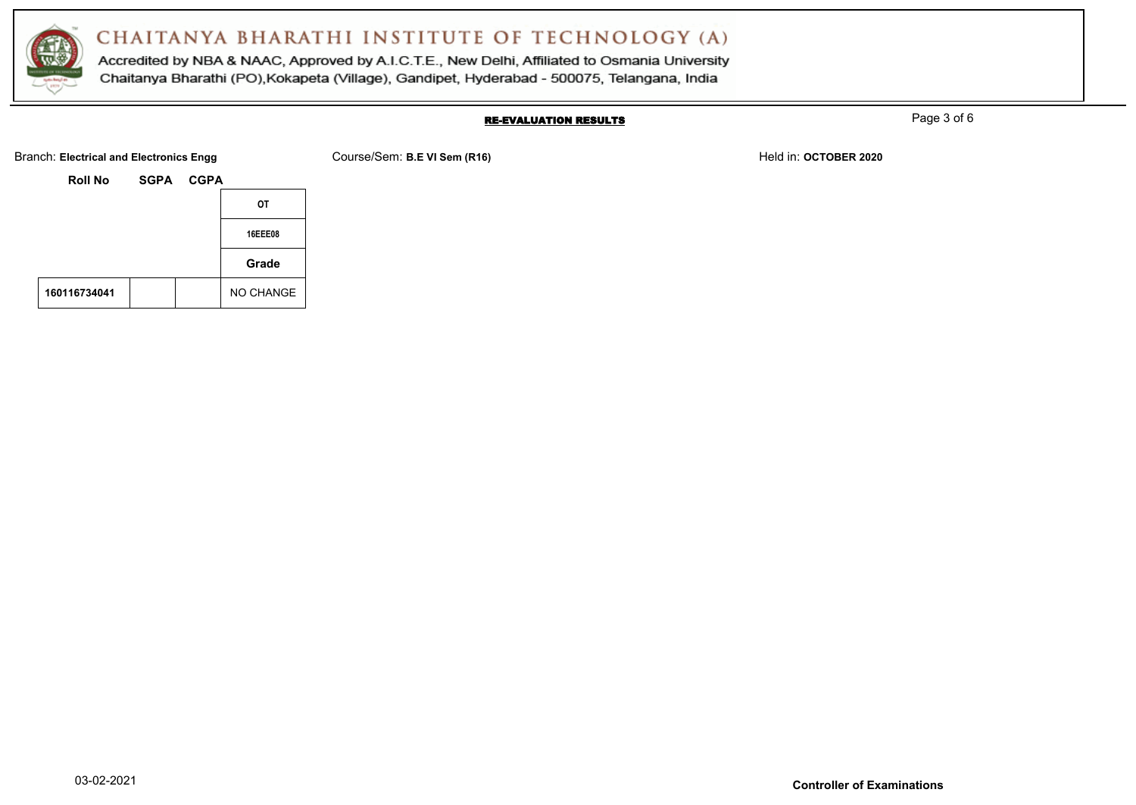

Accredited by NBA & NAAC, Approved by A.I.C.T.E., New Delhi, Affiliated to Osmania University Chaitanya Bharathi (PO), Kokapeta (Village), Gandipet, Hyderabad - 500075, Telangana, India

#### RE-EVALUATION RESULTS

Page 3 of 6



**160116734041** NO CHANGE

|  |  | m: B.E VI Sem (R16) |  |  |
|--|--|---------------------|--|--|
|  |  |                     |  |  |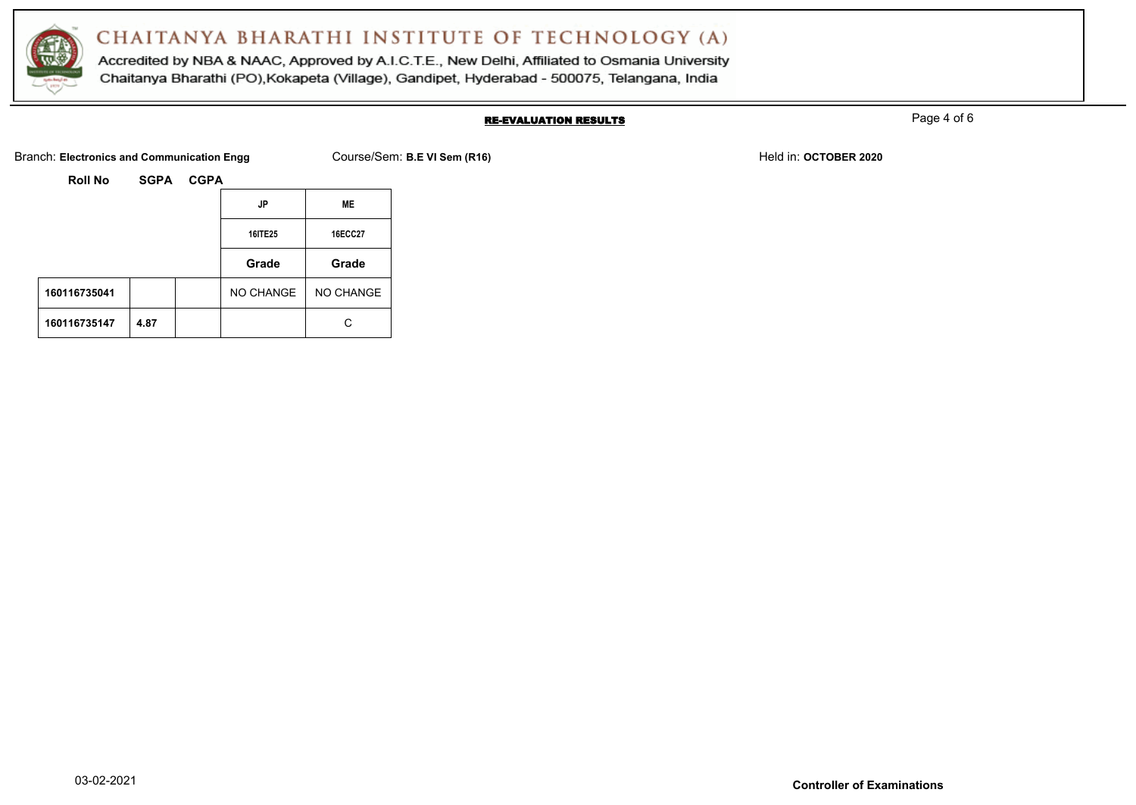

Accredited by NBA & NAAC, Approved by A.I.C.T.E., New Delhi, Affiliated to Osmania University Chaitanya Bharathi (PO), Kokapeta (Village), Gandipet, Hyderabad - 500075, Telangana, India

#### RE-EVALUATION RESULTS

Page 4 of 6

Branch: Electronics and Communication Engg Course/Sem: B.E VI Sem (R16) **Branch: Electronics and Communication Engg** 

|              |      | JP        | ME             |
|--------------|------|-----------|----------------|
|              |      | 16ITE25   | <b>16ECC27</b> |
|              |      | Grade     | Grade          |
| 160116735041 |      | NO CHANGE | NO CHANGE      |
| 160116735147 | 4.87 |           | C              |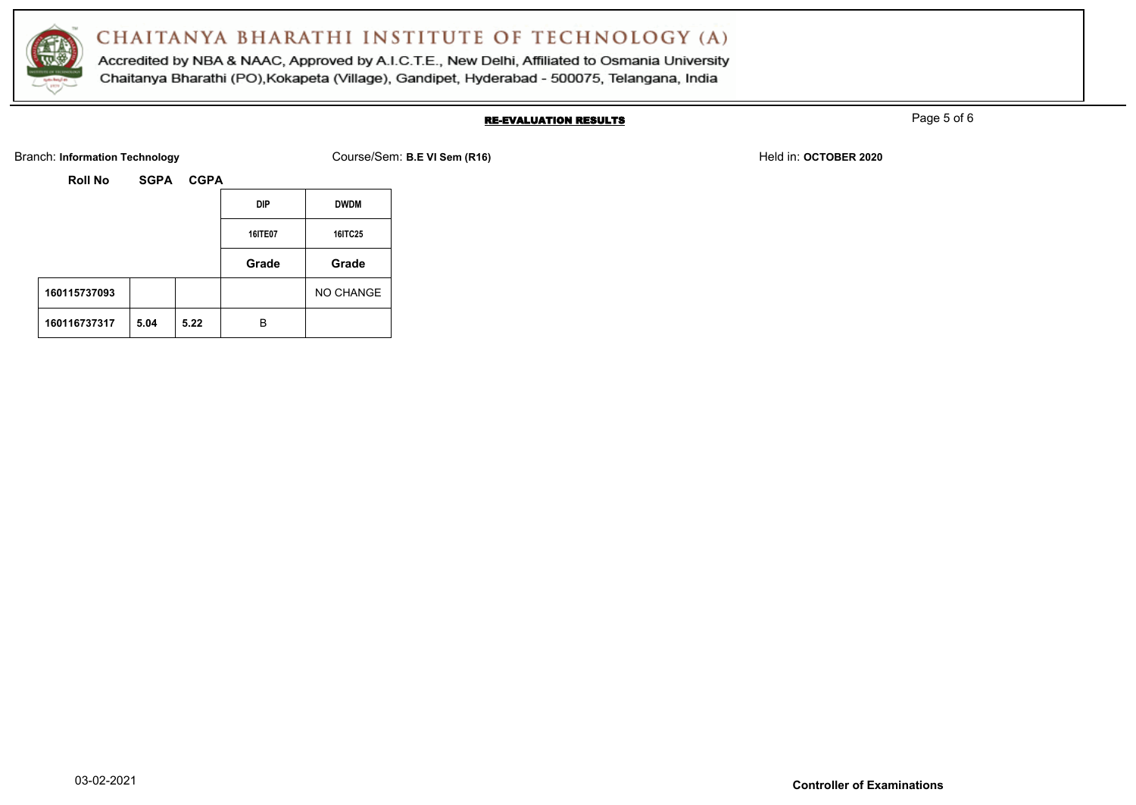

Accredited by NBA & NAAC, Approved by A.I.C.T.E., New Delhi, Affiliated to Osmania University Chaitanya Bharathi (PO), Kokapeta (Village), Gandipet, Hyderabad - 500075, Telangana, India

### RE-EVALUATION RESULTS

Page 5 of 6

Branch: Information Technology **Course/Sem: B.E VI Sem (R16)** Branch: Information Technology Held in: **OCTOBER 2020** 

| <b>Roll No</b> | <b>SGPA</b> | <b>CGPA</b> |            |             |
|----------------|-------------|-------------|------------|-------------|
|                |             |             | <b>DIP</b> | <b>DWDM</b> |
|                |             |             | 16ITE07    | 16ITC25     |
|                |             |             | Grade      | Grade       |
| 160115737093   |             |             |            | NO CHANGE   |
|                |             |             |            |             |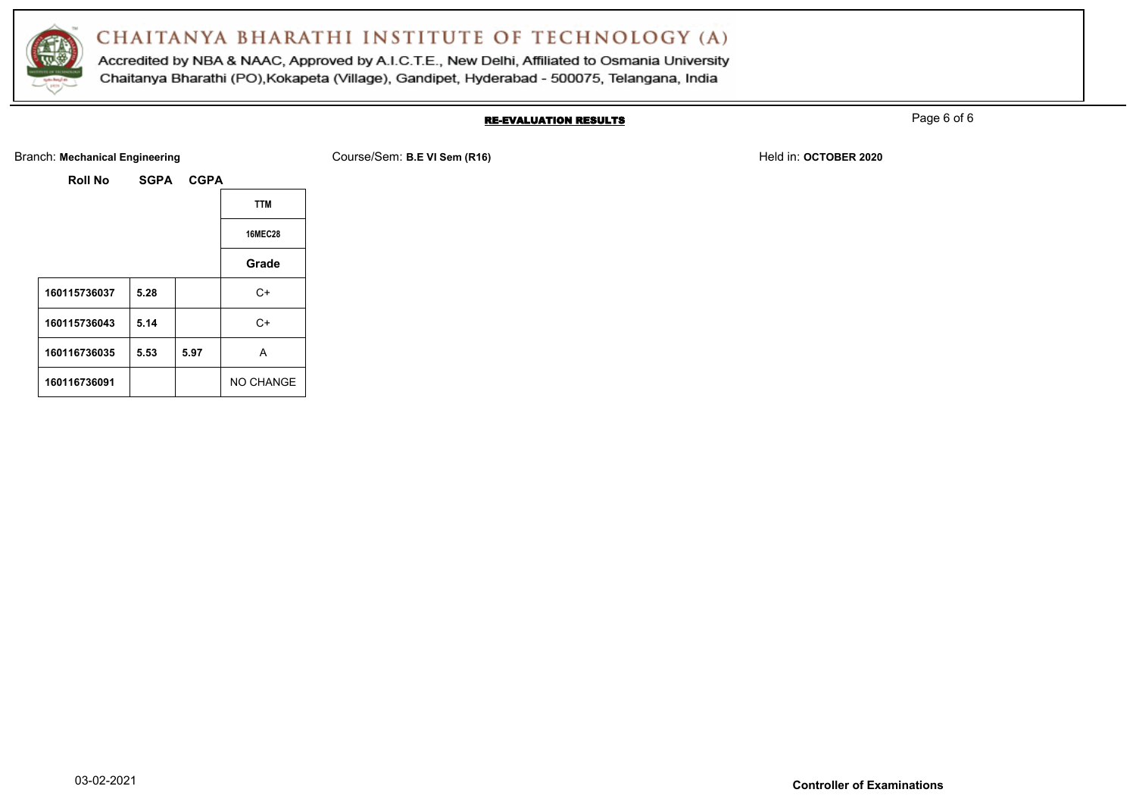

Accredited by NBA & NAAC, Approved by A.I.C.T.E., New Delhi, Affiliated to Osmania University Chaitanya Bharathi (PO), Kokapeta (Village), Gandipet, Hyderabad - 500075, Telangana, India

### RE-EVALUATION RESULTS

Page 6 of 6

#### Branch: Mechanical Engineering **Course/Sem: B.E VI Sem (R16)** Branch: Mechanical Engineering **Held in: OCTOBER 2020**

| <b>Roll No</b> | <b>SGPA</b> | <b>CGPA</b> |                  |
|----------------|-------------|-------------|------------------|
|                |             |             | <b>TTM</b>       |
|                |             |             | <b>16MEC28</b>   |
|                |             |             | Grade            |
| 160115736037   | 5.28        |             | $C+$             |
| 160115736043   | 5.14        |             | $C+$             |
| 160116736035   | 5.53        | 5.97        | A                |
| 160116736091   |             |             | <b>NO CHANGE</b> |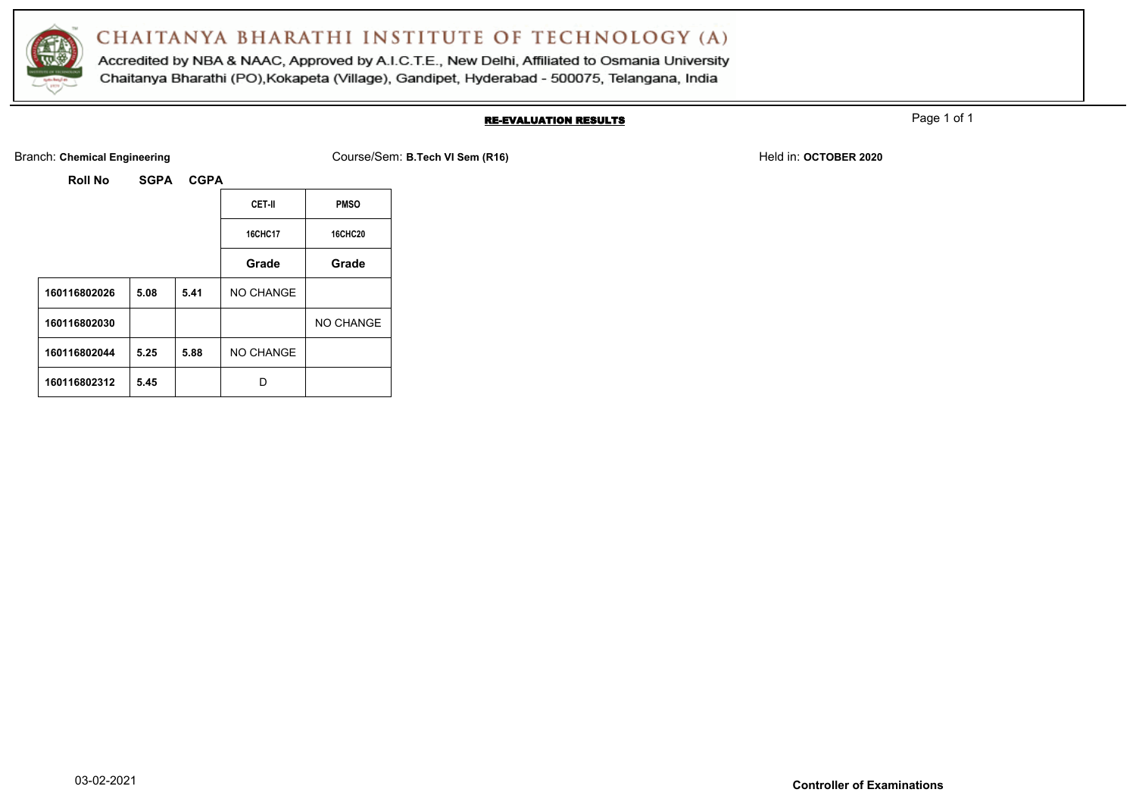

Accredited by NBA & NAAC, Approved by A.I.C.T.E., New Delhi, Affiliated to Osmania University Chaitanya Bharathi (PO), Kokapeta (Village), Gandipet, Hyderabad - 500075, Telangana, India

#### RE-EVALUATION RESULTS

Page 1 of 1

Branch: Chemical Engineering **COURG 2020** Course/Sem: B.Tech VI Sem (R16) **Held in: OCTOBER 2020** Held in: **OCTOBER 2020** 

| Roll No | <b>SGPA</b> | <b>CGPA</b> |
|---------|-------------|-------------|
|         |             |             |

|              |      |      | CET-II         | <b>PMSO</b>    |
|--------------|------|------|----------------|----------------|
|              |      |      | <b>16CHC17</b> | <b>16CHC20</b> |
|              |      |      | Grade          | Grade          |
| 160116802026 | 5.08 | 5.41 | NO CHANGE      |                |
| 160116802030 |      |      |                | NO CHANGE      |
| 160116802044 | 5.25 | 5.88 | NO CHANGE      |                |
| 160116802312 | 5.45 |      | n              |                |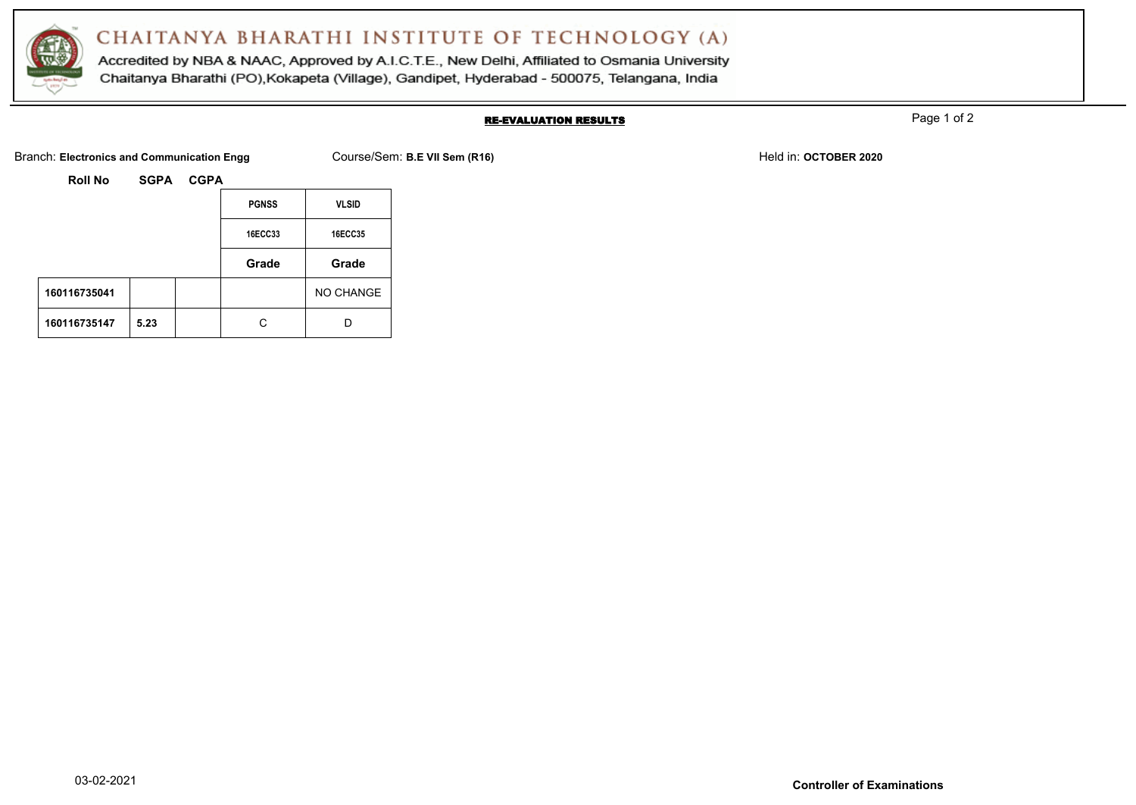

Accredited by NBA & NAAC, Approved by A.I.C.T.E., New Delhi, Affiliated to Osmania University Chaitanya Bharathi (PO), Kokapeta (Village), Gandipet, Hyderabad - 500075, Telangana, India

#### RE-EVALUATION RESULTS

Page 1 of 2

Branch: Electronics and Communication Engg Course/Sem: B.E VII Sem (R16) Branch: Electronics and Communication Engg

|              |      | <b>PGNSS</b>   | <b>VLSID</b>   |
|--------------|------|----------------|----------------|
|              |      | <b>16ECC33</b> | <b>16ECC35</b> |
|              |      | Grade          | Grade          |
| 160116735041 |      |                | NO CHANGE      |
| 160116735147 | 5.23 |                | n              |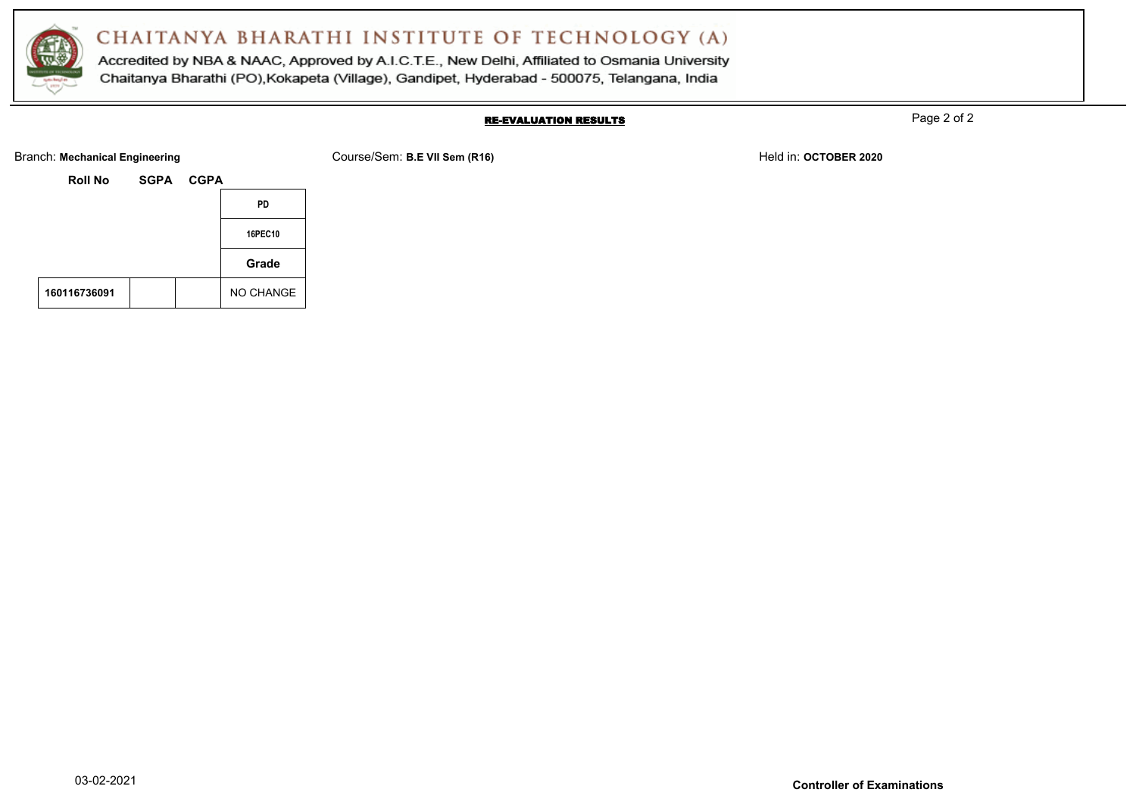

Accredited by NBA & NAAC, Approved by A.I.C.T.E., New Delhi, Affiliated to Osmania University Chaitanya Bharathi (PO), Kokapeta (Village), Gandipet, Hyderabad - 500075, Telangana, India

#### RE-EVALUATION RESULTS

Page 2 of 2